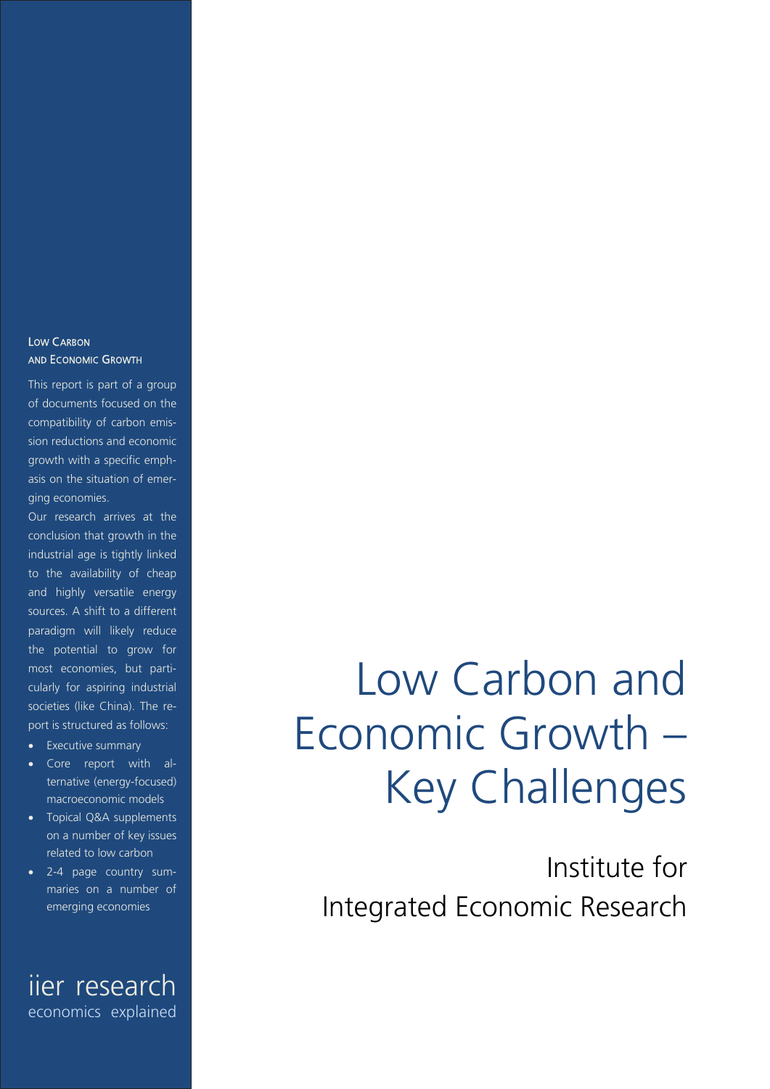#### LOW CARBON AND ECONOMIC GROWTH

This report is part of a group of documents focused on the compatibility of carbon emission reductions and economic growth with a specific emphasis on the situation of emerging economies.

Our research arrives at the conclusion that growth in the industrial age is tightly linked to the availability of cheap and highly versatile energy sources. A shift to a different paradigm will likely reduce the potential to grow for most economies, but particularly for aspiring industrial societies (like China). The report is structured as follows:

- Executive summary
- Core report with alternative (energy-focused) macroeconomic models
- Topical Q&A supplements on a number of key issues related to low carbon
- 2-4 page country summaries on a number of emerging economies

iier research economics explained

# Low Carbon and Economic Growth – Key Challenges

Institute for Integrated Economic Research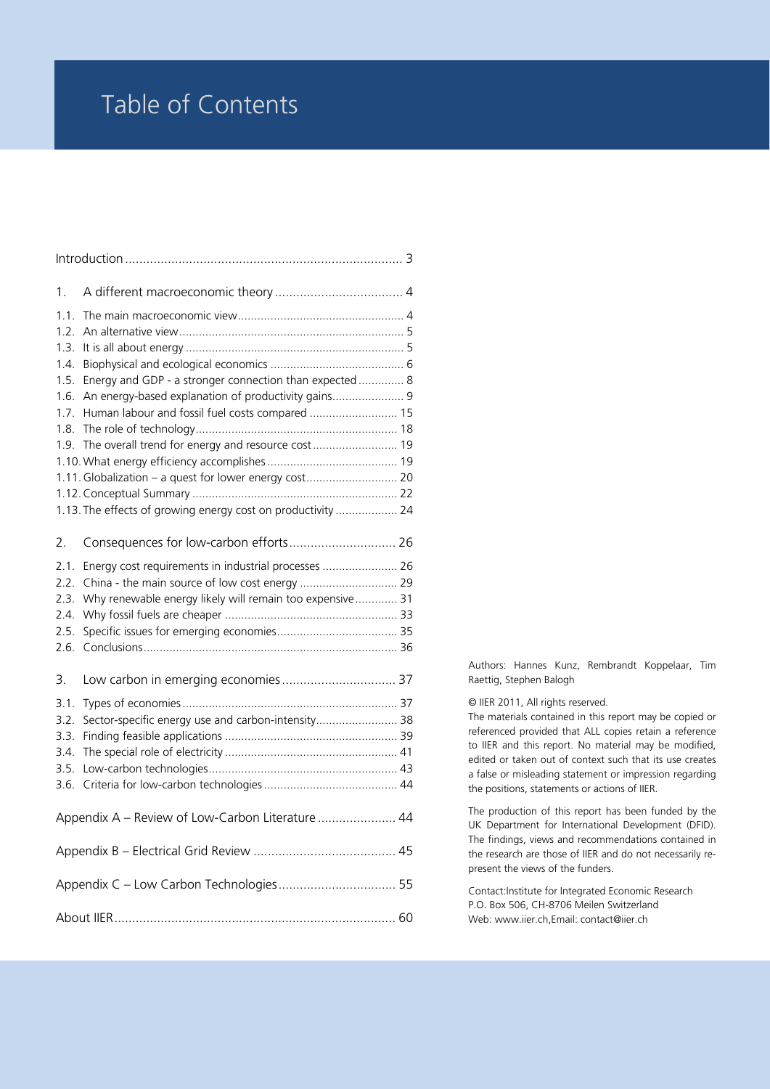### Table of Contents

| 1.                                                                   |                                                                                                                                                                                                                             |  |
|----------------------------------------------------------------------|-----------------------------------------------------------------------------------------------------------------------------------------------------------------------------------------------------------------------------|--|
| 1.1.<br>1.2.<br>1.3.<br>1.4.<br>1.5.<br>1.6.<br>1.7.<br>1.8.<br>1.9. | Energy and GDP - a stronger connection than expected  8<br>An energy-based explanation of productivity gains 9<br>Human labour and fossil fuel costs compared  15<br>1.11. Globalization - a quest for lower energy cost 20 |  |
|                                                                      | 1.13. The effects of growing energy cost on productivity  24                                                                                                                                                                |  |
| 2.                                                                   | Consequences for low-carbon efforts 26                                                                                                                                                                                      |  |
| 2.1.<br>2.2.<br>2.3.<br>2.4.<br>2.5.<br>2.6.                         | Energy cost requirements in industrial processes  26<br>Why renewable energy likely will remain too expensive 31                                                                                                            |  |
| 3.                                                                   |                                                                                                                                                                                                                             |  |
| 3.1.<br>3.2.<br>3.3.<br>3.4.<br>3.5.<br>3.6.                         | Sector-specific energy use and carbon-intensity 38                                                                                                                                                                          |  |
|                                                                      | Appendix A - Review of Low-Carbon Literature  44                                                                                                                                                                            |  |
|                                                                      |                                                                                                                                                                                                                             |  |
|                                                                      | Appendix C - Low Carbon Technologies 55                                                                                                                                                                                     |  |
|                                                                      |                                                                                                                                                                                                                             |  |

Authors: Hannes Kunz, Rembrandt Koppelaar, Tim Raettig, Stephen Balogh

© IIER 2011, All rights reserved.

The materials contained in this report may be copied or referenced provided that ALL copies retain a reference to IIER and this report. No material may be modified, edited or taken out of context such that its use creates a false or misleading statement or impression regarding the positions, statements or actions of IIER.

The production of this report has been funded by the UK Department for International Development (DFID). The findings, views and recommendations contained in the research are those of IIER and do not necessarily represent the views of the funders.

Contact:Institute for Integrated Economic Research P.O. Box 506, CH-8706 Meilen Switzerland Web: www.iier.ch,Email: contact@iier.ch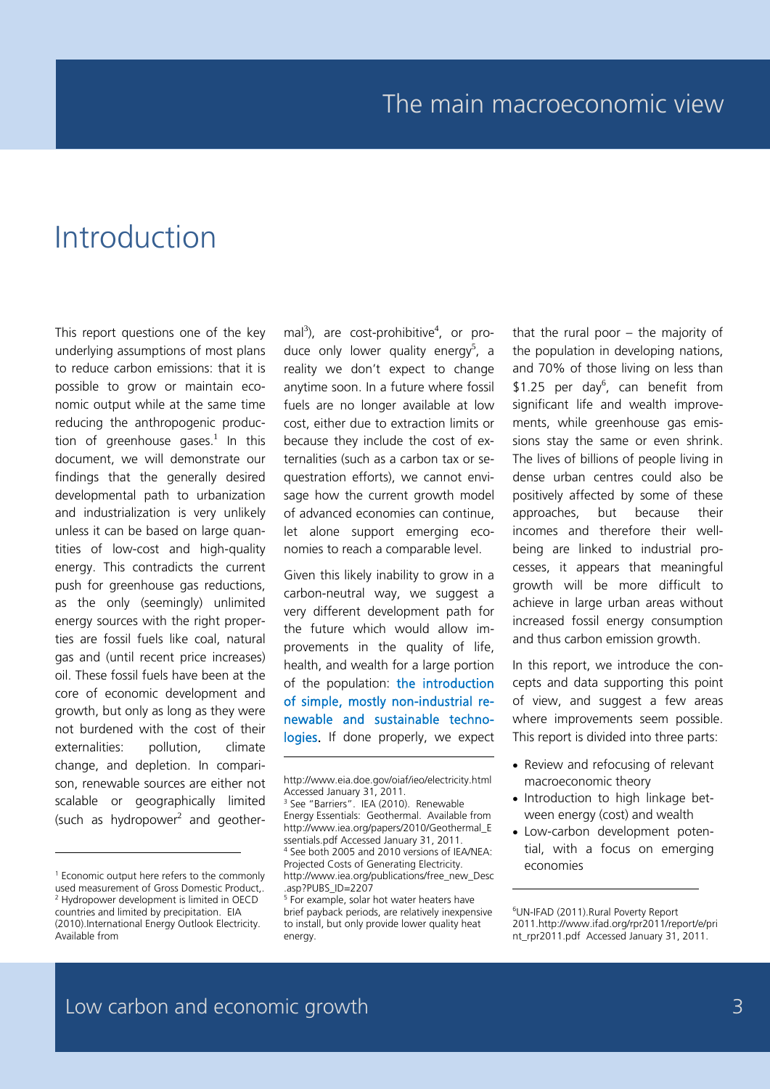# Introduction

This report questions one of the key underlying assumptions of most plans to reduce carbon emissions: that it is possible to grow or maintain economic output while at the same time reducing the anthropogenic production of greenhouse gases.<sup>1</sup> In this document, we will demonstrate our findings that the generally desired developmental path to urbanization and industrialization is very unlikely unless it can be based on large quantities of low-cost and high-quality energy. This contradicts the current push for greenhouse gas reductions, as the only (seemingly) unlimited energy sources with the right properties are fossil fuels like coal, natural gas and (until recent price increases) oil. These fossil fuels have been at the core of economic development and growth, but only as long as they were not burdened with the cost of their externalities: pollution, climate change, and depletion. In comparison, renewable sources are either not scalable or geographically limited (such as hydropower<sup>2</sup> and geother-

-

mal<sup>3</sup>), are cost-prohibitive<sup>4</sup>, or produce only lower quality energy<sup>5</sup>, a reality we don't expect to change anytime soon. In a future where fossil fuels are no longer available at low cost, either due to extraction limits or because they include the cost of externalities (such as a carbon tax or sequestration efforts), we cannot envisage how the current growth model of advanced economies can continue, let alone support emerging economies to reach a comparable level.

Given this likely inability to grow in a carbon-neutral way, we suggest a very different development path for the future which would allow improvements in the quality of life, health, and wealth for a large portion of the population: the introduction of simple, mostly non-industrial renewable and sustainable technologies. If done properly, we expect

-

that the rural poor – the majority of the population in developing nations, and 70% of those living on less than \$1.25 per day<sup>6</sup>, can benefit from significant life and wealth improvements, while greenhouse gas emissions stay the same or even shrink. The lives of billions of people living in dense urban centres could also be positively affected by some of these approaches, but because their incomes and therefore their wellbeing are linked to industrial processes, it appears that meaningful growth will be more difficult to achieve in large urban areas without increased fossil energy consumption and thus carbon emission growth.

In this report, we introduce the concepts and data supporting this point of view, and suggest a few areas where improvements seem possible. This report is divided into three parts:

- Review and refocusing of relevant macroeconomic theory
- Introduction to high linkage between energy (cost) and wealth
- Low-carbon development potential, with a focus on emerging economies

<sup>1</sup> Economic output here refers to the commonly used measurement of Gross Domestic Product,. <sup>2</sup> Hydropower development is limited in OECD countries and limited by precipitation. EIA (2010).International Energy Outlook Electricity. Available from

http://www.eia.doe.gov/oiaf/ieo/electricity.html Accessed January 31, 2011.

<sup>&</sup>lt;sup>3</sup> See "Barriers". IEA (2010). Renewable Energy Essentials: Geothermal. Available from http://www.iea.org/papers/2010/Geothermal\_E ssentials.pdf Accessed January 31, 2011. <sup>4</sup> See both 2005 and 2010 versions of IEA/NEA: Projected Costs of Generating Electricity. http://www.iea.org/publications/free\_new\_Desc .asp?PUBS\_ID=2207

<sup>&</sup>lt;sup>5</sup> For example, solar hot water heaters have brief payback periods, are relatively inexpensive to install, but only provide lower quality heat energy.

<sup>6</sup> UN-IFAD (2011).Rural Poverty Report 2011.http://www.ifad.org/rpr2011/report/e/pri nt\_rpr2011.pdf Accessed January 31, 2011.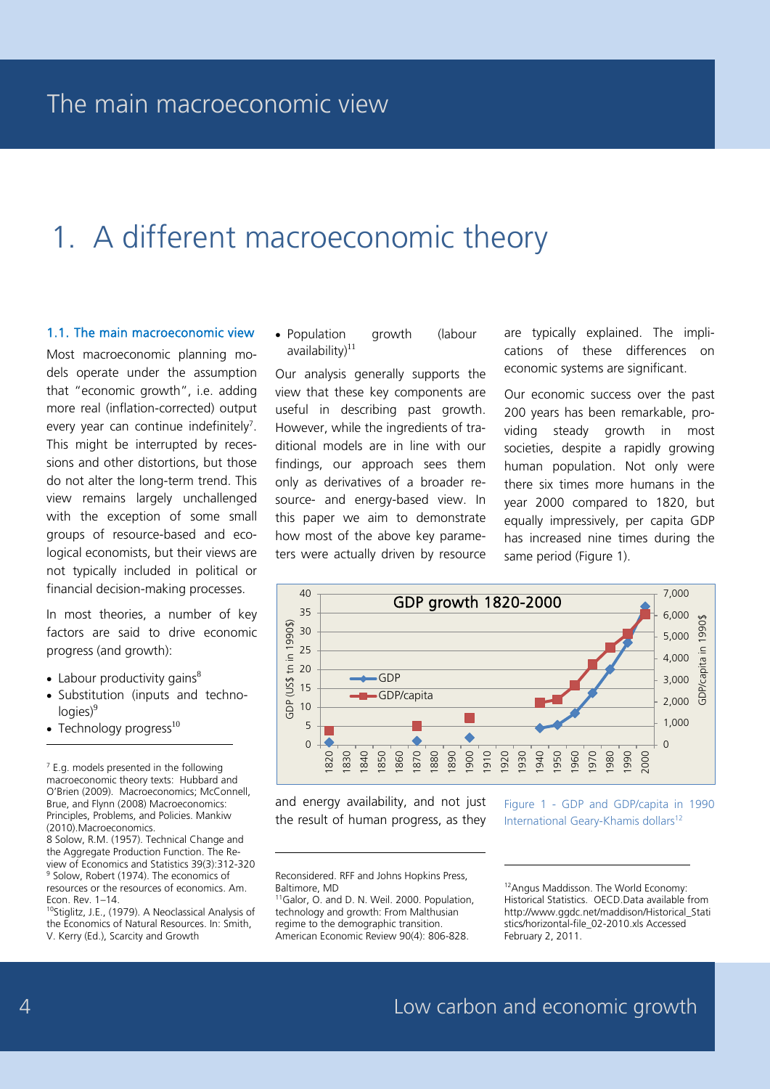# 1. A different macroeconomic theory

#### 1.1. The main macroeconomic view

Most macroeconomic planning models operate under the assumption that "economic growth", i.e. adding more real (inflation-corrected) output every year can continue indefinitely<sup>7</sup>. This might be interrupted by recessions and other distortions, but those do not alter the long-term trend. This view remains largely unchallenged with the exception of some small groups of resource-based and ecological economists, but their views are not typically included in political or financial decision-making processes.

In most theories, a number of key factors are said to drive economic progress (and growth):

- Labour productivity gains $^8$
- Substitution (inputs and techno- $\vert$ logies) $9$
- $\bullet$  Technology progress $^{10}$

-

 $7$  E.g. models presented in the following macroeconomic theory texts: Hubbard and O'Brien (2009). Macroeconomics; McConnell, Brue, and Flynn (2008) Macroeconomics: Principles, Problems, and Policies. Mankiw (2010).Macroeconomics.

8 Solow, R.M. (1957). Technical Change and the Aggregate Production Function. The Review of Economics and Statistics 39(3):312-320 <sup>9</sup> Solow, Robert (1974). The economics of resources or the resources of economics. Am. Econ. Rev. 1–14.

10Stiglitz, J.E., (1979). A Neoclassical Analysis of the Economics of Natural Resources. In: Smith, V. Kerry (Ed.), Scarcity and Growth

• Population growth (labour  $a$ vailability) $11$ 

Our analysis generally supports the view that these key components are useful in describing past growth. However, while the ingredients of traditional models are in line with our findings, our approach sees them only as derivatives of a broader resource- and energy-based view. In this paper we aim to demonstrate how most of the above key parameters were actually driven by resource

are typically explained. The implications of these differences on economic systems are significant.

Our economic success over the past 200 years has been remarkable, providing steady growth in most societies, despite a rapidly growing human population. Not only were there six times more humans in the year 2000 compared to 1820, but equally impressively, per capita GDP has increased nine times during the same period (Figure 1).



-

and energy availability, and not just the result of human progress, as they

Figure 1 - GDP and GDP/capita in 1990 International Geary-Khamis dollars<sup>12</sup>

Reconsidered. RFF and Johns Hopkins Press, Baltimore, MD

-

<sup>11</sup>Galor, O. and D. N. Weil. 2000. Population, technology and growth: From Malthusian regime to the demographic transition. American Economic Review 90(4): 806-828.

12Angus Maddisson. The World Economy: Historical Statistics. OECD.Data available from http://www.ggdc.net/maddison/Historical\_Stati stics/horizontal-file\_02-2010.xls Accessed February 2, 2011.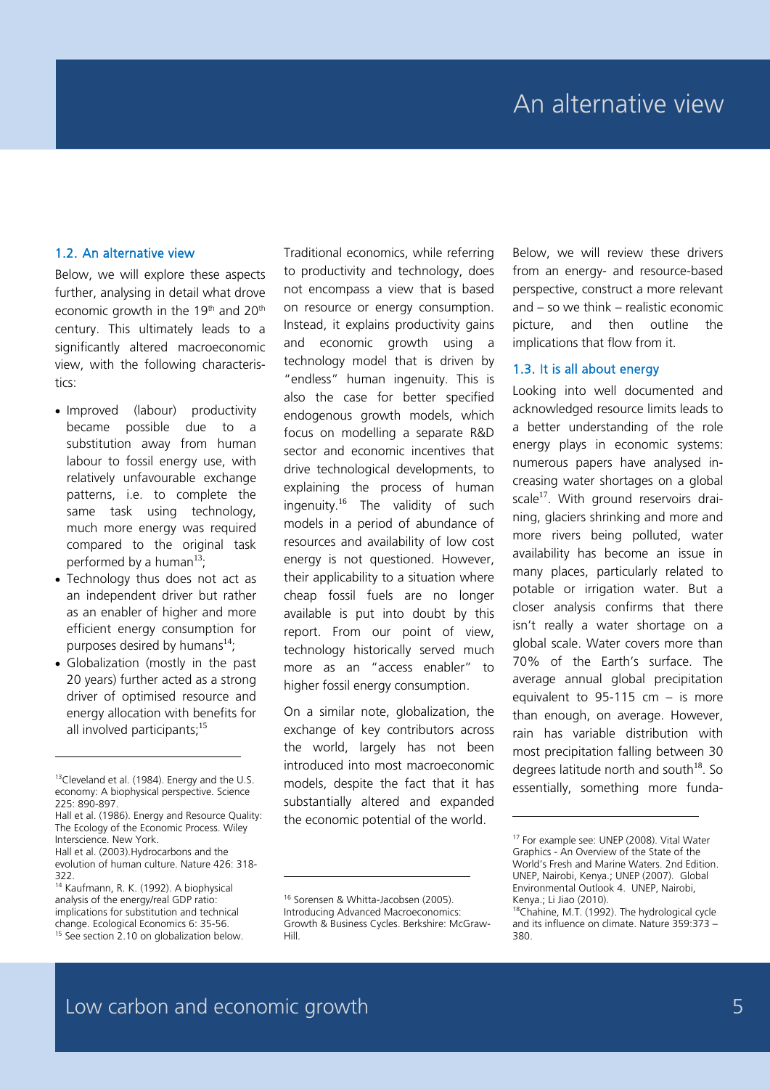#### 1.2. An alternative view

Below, we will explore these aspects further, analysing in detail what drove economic growth in the 19<sup>th</sup> and 20<sup>th</sup> century. This ultimately leads to a significantly altered macroeconomic view, with the following characteristics:

- Improved (labour) productivity became possible due to a substitution away from human labour to fossil energy use, with relatively unfavourable exchange patterns, i.e. to complete the same task using technology, much more energy was required compared to the original task performed by a human $^{13}$ ;
- Technology thus does not act as an independent driver but rather as an enabler of higher and more efficient energy consumption for purposes desired by humans $^{14}$ .
- Globalization (mostly in the past 20 years) further acted as a strong driver of optimised resource and energy allocation with benefits for all involved participants:<sup>15</sup>

-

Traditional economics, while referring to productivity and technology, does not encompass a view that is based on resource or energy consumption. Instead, it explains productivity gains and economic growth using a technology model that is driven by "endless" human ingenuity. This is also the case for better specified endogenous growth models, which focus on modelling a separate R&D sector and economic incentives that drive technological developments, to explaining the process of human ingenuity.<sup>16</sup> The validity of such models in a period of abundance of resources and availability of low cost energy is not questioned. However, their applicability to a situation where cheap fossil fuels are no longer available is put into doubt by this report. From our point of view, technology historically served much more as an "access enabler" to higher fossil energy consumption.

On a similar note, globalization, the exchange of key contributors across the world, largely has not been introduced into most macroeconomic models, despite the fact that it has substantially altered and expanded the economic potential of the world.

Below, we will review these drivers from an energy- and resource-based perspective, construct a more relevant and – so we think – realistic economic picture, and then outline the implications that flow from it.

#### 1.3. It is all about energy

Looking into well documented and acknowledged resource limits leads to a better understanding of the role energy plays in economic systems: numerous papers have analysed increasing water shortages on a global scale $^{17}$ . With ground reservoirs draining, glaciers shrinking and more and more rivers being polluted, water availability has become an issue in many places, particularly related to potable or irrigation water. But a closer analysis confirms that there isn't really a water shortage on a global scale. Water covers more than 70% of the Earth's surface. The average annual global precipitation equivalent to 95-115 cm – is more than enough, on average. However, rain has variable distribution with most precipitation falling between 30 degrees latitude north and south $^{18}$ . So essentially, something more funda-

-

<sup>13</sup>Cleveland et al. (1984). Energy and the U.S. economy: A biophysical perspective. Science 225: 890-897.

Hall et al. (1986). Energy and Resource Quality: The Ecology of the Economic Process. Wiley Interscience. New York.

Hall et al. (2003).Hydrocarbons and the evolution of human culture. Nature 426: 318- 322.

<sup>14</sup> Kaufmann, R. K. (1992). A biophysical analysis of the energy/real GDP ratio: implications for substitution and technical change. Ecological Economics 6: 35-56. <sup>15</sup> See section 2.10 on globalization below.

<sup>&</sup>lt;sup>16</sup> Sorensen & Whitta-Jacobsen (2005). Introducing Advanced Macroeconomics: Growth & Business Cycles. Berkshire: McGraw-Hill.

<sup>&</sup>lt;sup>17</sup> For example see: UNEP (2008). Vital Water Graphics - An Overview of the State of the World's Fresh and Marine Waters. 2nd Edition. UNEP, Nairobi, Kenya.; UNEP (2007). Global Environmental Outlook 4. UNEP, Nairobi, Kenya.; Li Jiao (2010).

<sup>18</sup>Chahine, M.T. (1992). The hydrological cycle and its influence on climate. Nature 359:373 – 380.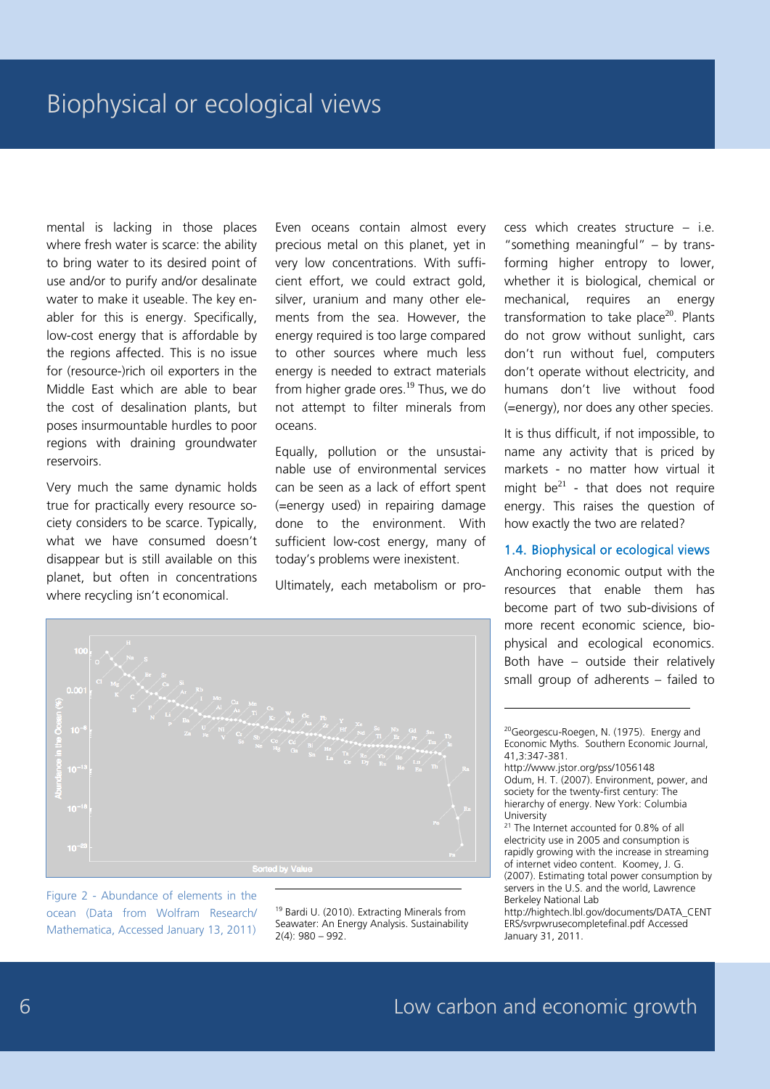mental is lacking in those places where fresh water is scarce: the ability to bring water to its desired point of use and/or to purify and/or desalinate water to make it useable. The key enabler for this is energy. Specifically, low-cost energy that is affordable by the regions affected. This is no issue for (resource-)rich oil exporters in the Middle East which are able to bear the cost of desalination plants, but poses insurmountable hurdles to poor regions with draining groundwater reservoirs.

Very much the same dynamic holds true for practically every resource society considers to be scarce. Typically, what we have consumed doesn't disappear but is still available on this planet, but often in concentrations where recycling isn't economical.

Even oceans contain almost every precious metal on this planet, yet in very low concentrations. With sufficient effort, we could extract gold, silver, uranium and many other elements from the sea. However, the energy required is too large compared to other sources where much less energy is needed to extract materials from higher grade ores.<sup>19</sup> Thus, we do not attempt to filter minerals from oceans.

Equally, pollution or the unsustainable use of environmental services can be seen as a lack of effort spent (=energy used) in repairing damage done to the environment. With sufficient low-cost energy, many of today's problems were inexistent.

Ultimately, each metabolism or pro-

cess which creates structure – i.e. "something meaningful" – by transforming higher entropy to lower, whether it is biological, chemical or mechanical, requires an energy transformation to take place $20$ . Plants do not grow without sunlight, cars don't run without fuel, computers don't operate without electricity, and humans don't live without food (=energy), nor does any other species.

It is thus difficult, if not impossible, to name any activity that is priced by markets - no matter how virtual it might  $be^{21}$  - that does not require energy. This raises the question of how exactly the two are related?

#### 1.4. Biophysical or ecological views

Anchoring economic output with the resources that enable them has become part of two sub-divisions of more recent economic science, biophysical and ecological economics. Both have – outside their relatively small group of adherents – failed to



Figure 2 - Abundance of elements in the ocean (Data from Wolfram Research/ Mathematica, Accessed January 13, 2011)

<sup>19</sup> Bardi U. (2010). Extracting Minerals from Seawater: An Energy Analysis. Sustainability 2(4): 980 – 992.

http://hightech.lbl.gov/documents/DATA\_CENT ERS/svrpwrusecompletefinal.pdf Accessed January 31, 2011.

<sup>&</sup>lt;sup>20</sup>Georgescu-Roegen, N. (1975). Energy and Economic Myths. Southern Economic Journal, 41,3:347-381.

http://www.jstor.org/pss/1056148 Odum, H. T. (2007). Environment, power, and society for the twenty-first century: The hierarchy of energy. New York: Columbia **University** 

<sup>&</sup>lt;sup>21</sup> The Internet accounted for 0.8% of all electricity use in 2005 and consumption is rapidly growing with the increase in streaming of internet video content. Koomey, J. G. (2007). Estimating total power consumption by servers in the U.S. and the world, Lawrence Berkeley National Lab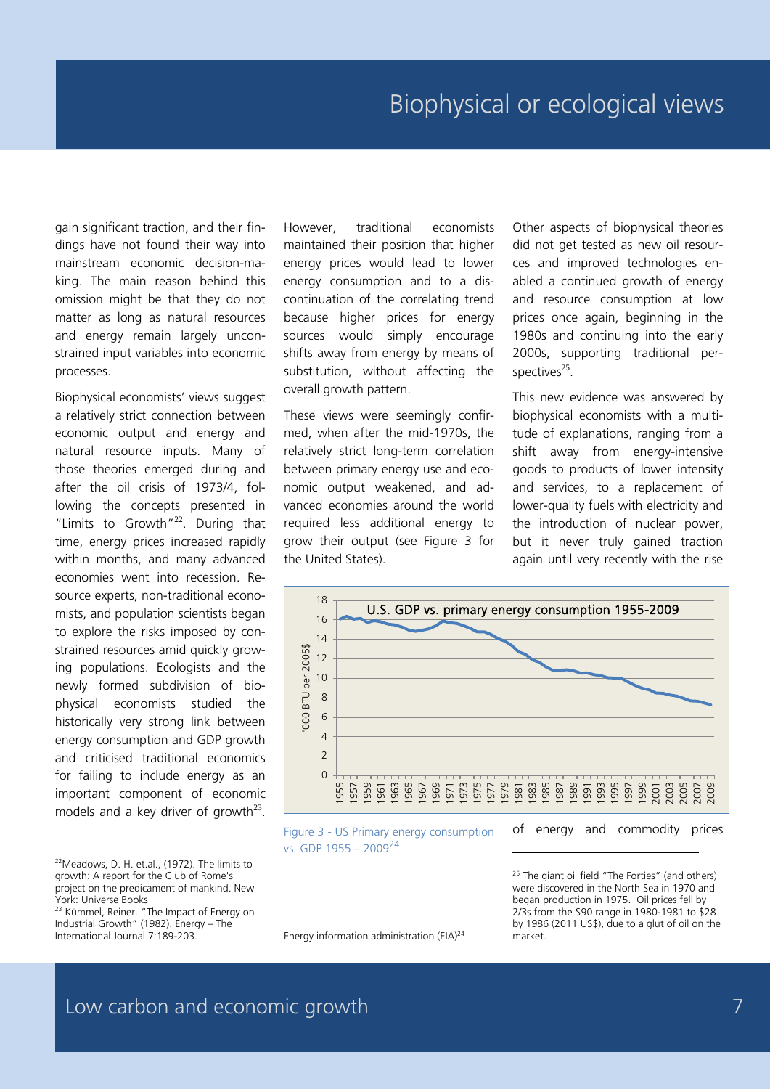gain significant traction, and their findings have not found their way into mainstream economic decision-making. The main reason behind this omission might be that they do not matter as long as natural resources and energy remain largely unconstrained input variables into economic processes.

Biophysical economists' views suggest a relatively strict connection between economic output and energy and natural resource inputs. Many of those theories emerged during and after the oil crisis of 1973/4, following the concepts presented in "Limits to Growth"<sup>22</sup>. During that time, energy prices increased rapidly within months, and many advanced economies went into recession. Resource experts, non-traditional economists, and population scientists began to explore the risks imposed by constrained resources amid quickly growing populations. Ecologists and the newly formed subdivision of biophysical economists studied the historically very strong link between energy consumption and GDP growth and criticised traditional economics for failing to include energy as an important component of economic models and a key driver of growth $^{23}$ .

j

However, traditional economists maintained their position that higher energy prices would lead to lower energy consumption and to a discontinuation of the correlating trend because higher prices for energy sources would simply encourage shifts away from energy by means of substitution, without affecting the overall growth pattern.

These views were seemingly confirmed, when after the mid-1970s, the relatively strict long-term correlation between primary energy use and economic output weakened, and advanced economies around the world required less additional energy to grow their output (see Figure 3 for the United States).

Other aspects of biophysical theories did not get tested as new oil resources and improved technologies enabled a continued growth of energy and resource consumption at low prices once again, beginning in the 1980s and continuing into the early 2000s, supporting traditional perspectives $^{25}$ .

This new evidence was answered by biophysical economists with a multitude of explanations, ranging from a shift away from energy-intensive goods to products of lower intensity and services, to a replacement of lower-quality fuels with electricity and the introduction of nuclear power, but it never truly gained traction again until very recently with the rise



-

Figure 3 - US Primary energy consumption vs. GDP 1955 – 2009<sup>24</sup>

<sup>22</sup>Meadows, D. H. et.al., (1972). The limits to growth: A report for the Club of Rome's project on the predicament of mankind. New York: Universe Books

<sup>&</sup>lt;sup>23</sup> Kümmel, Reiner. "The Impact of Energy on Industrial Growth" (1982). Energy – The International Journal 7:189-203.

Energy information administration (EIA)<sup>24</sup>

<sup>&</sup>lt;sup>25</sup> The giant oil field "The Forties" (and others) were discovered in the North Sea in 1970 and began production in 1975. Oil prices fell by 2/3s from the \$90 range in 1980-1981 to \$28 by 1986 (2011 US\$), due to a glut of oil on the market.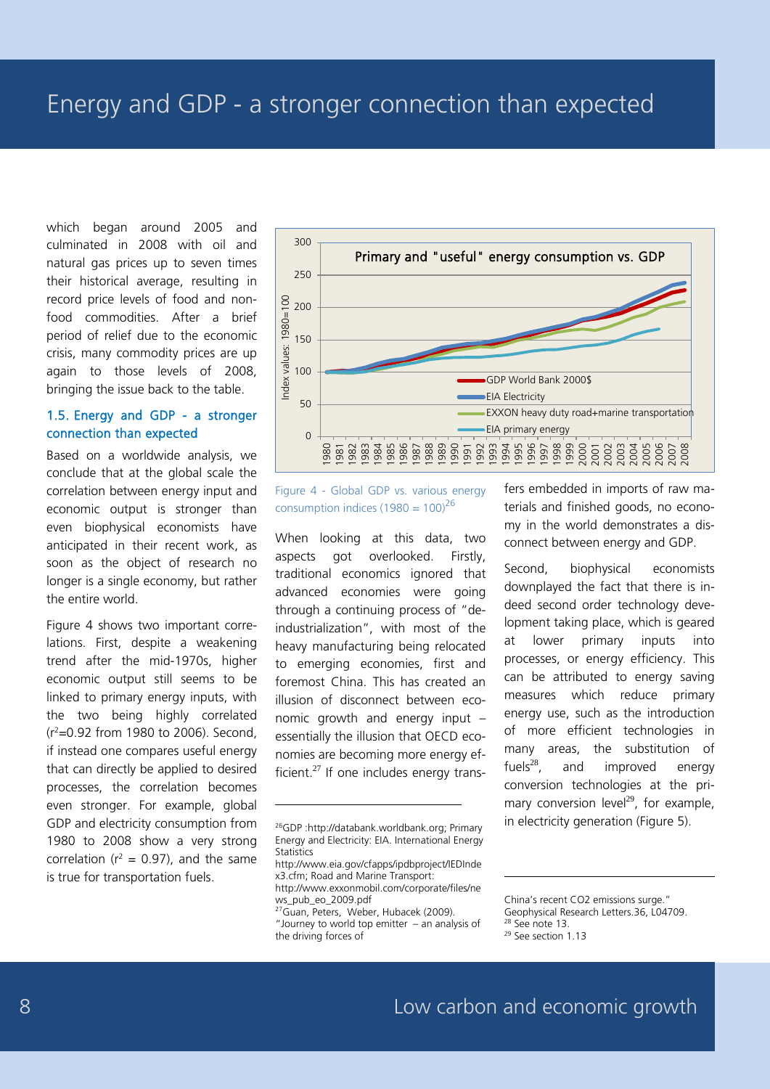which began around 2005 and culminated in 2008 with oil and natural gas prices up to seven times their historical average, resulting in record price levels of food and nonfood commodities. After a brief period of relief due to the economic crisis, many commodity prices are up again to those levels of 2008, bringing the issue back to the table.

#### 1.5. Energy and GDP - a stronger connection than expected

Based on a worldwide analysis, we conclude that at the global scale the correlation between energy input and economic output is stronger than even biophysical economists have anticipated in their recent work, as soon as the object of research no longer is a single economy, but rather the entire world.

Figure 4 shows two important correlations. First, despite a weakening trend after the mid-1970s, higher economic output still seems to be linked to primary energy inputs, with the two being highly correlated (r2 =0.92 from 1980 to 2006). Second, if instead one compares useful energy that can directly be applied to desired processes, the correlation becomes even stronger. For example, global GDP and electricity consumption from 1980 to 2008 show a very strong correlation ( $r^2$  = 0.97), and the same is true for transportation fuels.



Figure 4 - Global GDP vs. various energy consumption indices (1980 =  $100^{26}$ 

When looking at this data, two aspects got overlooked. Firstly, traditional economics ignored that advanced economies were going through a continuing process of "deindustrialization", with most of the heavy manufacturing being relocated to emerging economies, first and foremost China. This has created an illusion of disconnect between economic growth and energy input – essentially the illusion that OECD economies are becoming more energy efficient. $27$  If one includes energy trans-

-

fers embedded in imports of raw materials and finished goods, no economy in the world demonstrates a disconnect between energy and GDP.

Second, biophysical economists downplayed the fact that there is indeed second order technology development taking place, which is geared at lower primary inputs into processes, or energy efficiency. This can be attributed to energy saving measures which reduce primary energy use, such as the introduction of more efficient technologies in many areas, the substitution of fuels $^{28}$ , and improved energy conversion technologies at the primary conversion level<sup>29</sup>, for example, in electricity generation (Figure 5).

<sup>26</sup>GDP :http://databank.worldbank.org; Primary Energy and Electricity: EIA. International Energy **Statistics** 

http://www.eia.gov/cfapps/ipdbproject/IEDInde x3.cfm; Road and Marine Transport: http://www.exxonmobil.com/corporate/files/ne ws\_pub\_eo\_2009.pdf

 $27\overline{\text{G}}$ uan, Peters, Weber, Hubacek (2009). "Journey to world top emitter – an analysis of the driving forces of

China's recent CO2 emissions surge."

Geophysical Research Letters.36, L04709.

<sup>28</sup> See note 13. <sup>29</sup> See section 1.13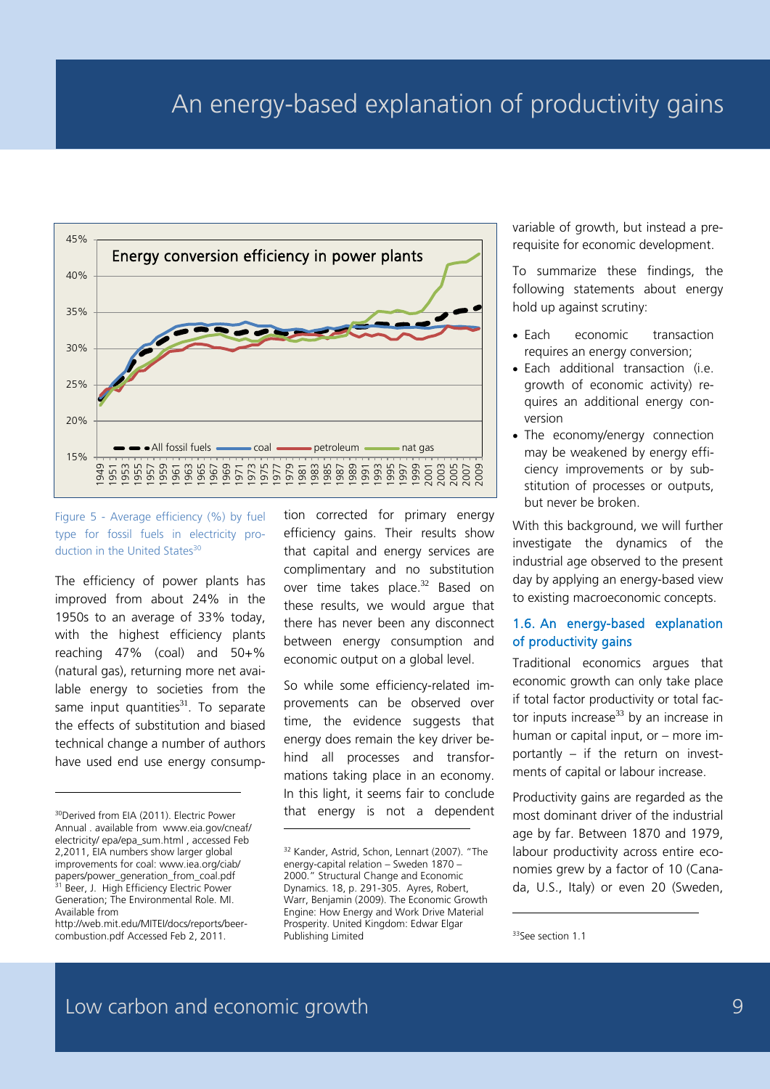### An energy-based explanation of productivity gains



Figure 5 - Average efficiency (%) by fuel type for fossil fuels in electricity production in the United States<sup>30</sup>

The efficiency of power plants has improved from about 24% in the 1950s to an average of 33% today, with the highest efficiency plants reaching 47% (coal) and 50+% (natural gas), returning more net available energy to societies from the same input quantities $31$ . To separate the effects of substitution and biased technical change a number of authors have used end use energy consump-

-

tion corrected for primary energy efficiency gains. Their results show that capital and energy services are complimentary and no substitution over time takes place.<sup>32</sup> Based on these results, we would argue that there has never been any disconnect between energy consumption and economic output on a global level.

So while some efficiency-related improvements can be observed over time, the evidence suggests that energy does remain the key driver behind all processes and transformations taking place in an economy. In this light, it seems fair to conclude that energy is not a dependent variable of growth, but instead a prerequisite for economic development.

To summarize these findings, the following statements about energy hold up against scrutiny:

- Each economic transaction requires an energy conversion;
- Each additional transaction (i.e. growth of economic activity) requires an additional energy conversion
- The economy/energy connection may be weakened by energy efficiency improvements or by substitution of processes or outputs, but never be broken.

With this background, we will further investigate the dynamics of the industrial age observed to the present day by applying an energy-based view to existing macroeconomic concepts.

#### 1.6. An energy-based explanation of productivity gains

Traditional economics argues that economic growth can only take place if total factor productivity or total factor inputs increase $33$  by an increase in human or capital input, or – more importantly – if the return on investments of capital or labour increase.

Productivity gains are regarded as the most dominant driver of the industrial age by far. Between 1870 and 1979, labour productivity across entire economies grew by a factor of 10 (Canada, U.S., Italy) or even 20 (Sweden,

-

<sup>&</sup>lt;sup>30</sup>Derived from EIA (2011). Electric Power Annual . available from www.eia.gov/cneaf/ electricity/ epa/epa\_sum.html , accessed Feb 2,2011, EIA numbers show larger global improvements for coal: www.iea.org/ciab/ papers/power\_generation\_from\_coal.pdf<br>31 Reer L. High Fff: Beer, J. High Efficiency Electric Power Generation; The Environmental Role. MI. Available from

http://web.mit.edu/MITEI/docs/reports/beercombustion.pdf Accessed Feb 2, 2011.

<sup>32</sup> Kander, Astrid, Schon, Lennart (2007). "The energy-capital relation – Sweden 1870 – 2000." Structural Change and Economic Dynamics. 18, p. 291-305. Ayres, Robert, Warr, Benjamin (2009). The Economic Growth Engine: How Energy and Work Drive Material Prosperity. United Kingdom: Edwar Elgar Publishing Limited

<sup>33</sup> See section 1.1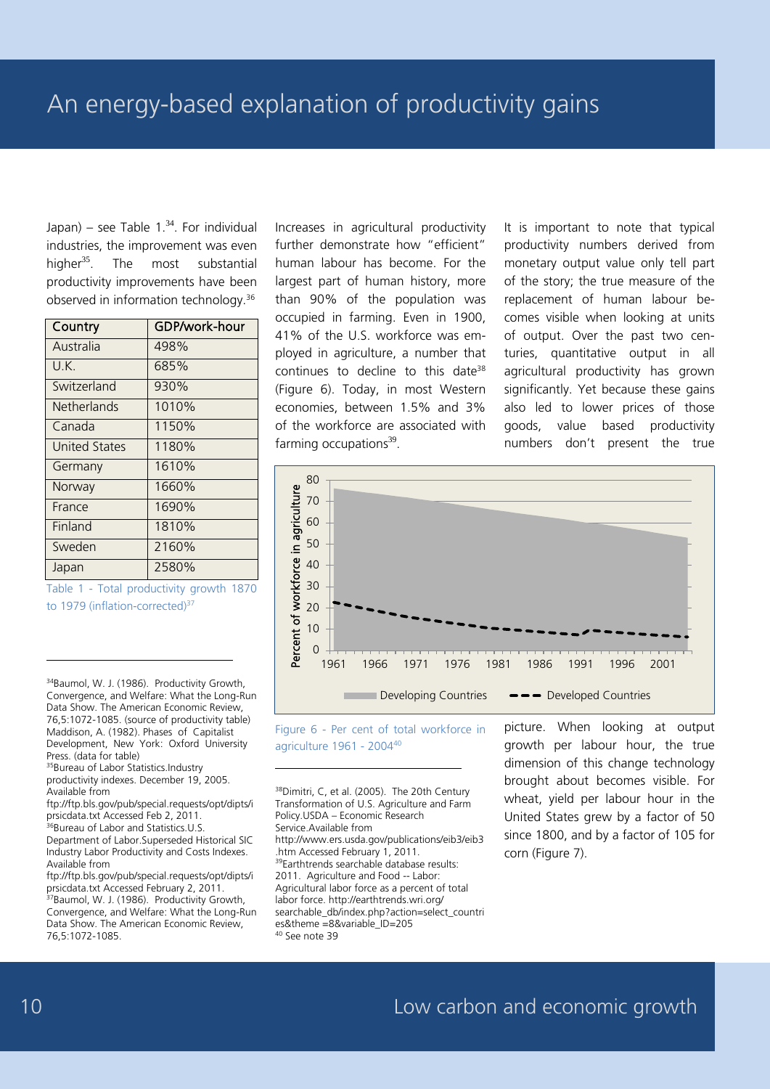Japan) – see Table  $1.^{34}$ . For individual industries, the improvement was even higher<sup>35</sup>. The most substantial productivity improvements have been observed in information technology.<sup>36</sup>

| Country            | GDP/work-hour |
|--------------------|---------------|
| Australia          | 498%          |
| U.K.               | 685%          |
| Switzerland        | 930%          |
| <b>Netherlands</b> | 1010%         |
| Canada             | 1150%         |
| United States      | 1180%         |
| Germany            | 1610%         |
| Norway             | 1660%         |
| France             | 1690%         |
| Finland            | 1810%         |
| Sweden             | 2160%         |
| Japan              | 2580%         |

Table 1 - Total productivity growth 1870 to 1979 (inflation-corrected)<sup>37</sup>

34Baumol, W. J. (1986). Productivity Growth, Convergence, and Welfare: What the Long-Run Data Show. The American Economic Review, 76,5:1072-1085. (source of productivity table) Maddison, A. (1982). Phases of Capitalist Development, New York: Oxford University Press. (data for table)

35Bureau of Labor Statistics.Industry productivity indexes. December 19, 2005. Available from

ftp://ftp.bls.gov/pub/special.requests/opt/dipts/i prsicdata.txt Accessed Feb 2, 2011.

36Bureau of Labor and Statistics.U.S. Department of Labor.Superseded Historical SIC Industry Labor Productivity and Costs Indexes. Available from

ftp://ftp.bls.gov/pub/special.requests/opt/dipts/i prsicdata.txt Accessed February 2, 2011. <sup>37</sup>Baumol, W. J. (1986). Productivity Growth, Convergence, and Welfare: What the Long-Run Data Show. The American Economic Review, 76,5:1072-1085.

Increases in agricultural productivity further demonstrate how "efficient" human labour has become. For the largest part of human history, more than 90% of the population was occupied in farming. Even in 1900, 41% of the U.S. workforce was employed in agriculture, a number that continues to decline to this date<sup>38</sup> (Figure 6). Today, in most Western economies, between 1.5% and 3% of the workforce are associated with farming occupations $39$ .

It is important to note that typical productivity numbers derived from monetary output value only tell part of the story; the true measure of the replacement of human labour becomes visible when looking at units of output. Over the past two centuries, quantitative output in all agricultural productivity has grown significantly. Yet because these gains also led to lower prices of those goods, value based productivity numbers don't present the true



Figure 6 - Per cent of total workforce in agriculture 1961 - 200440

-

38Dimitri, C, et al. (2005). The 20th Century Transformation of U.S. Agriculture and Farm Policy.USDA – Economic Research Service.Available from http://www.ers.usda.gov/publications/eib3/eib3 .htm Accessed February 1, 2011. 39Earthtrends searchable database results: 2011. Agriculture and Food -- Labor: Agricultural labor force as a percent of total labor force. http://earthtrends.wri.org/ searchable\_db/index.php?action=select\_countri es&theme =8&variable\_ID=205 <sup>40</sup> See note 39

picture. When looking at output growth per labour hour, the true dimension of this change technology brought about becomes visible. For wheat, yield per labour hour in the United States grew by a factor of 50 since 1800, and by a factor of 105 for corn (Figure 7).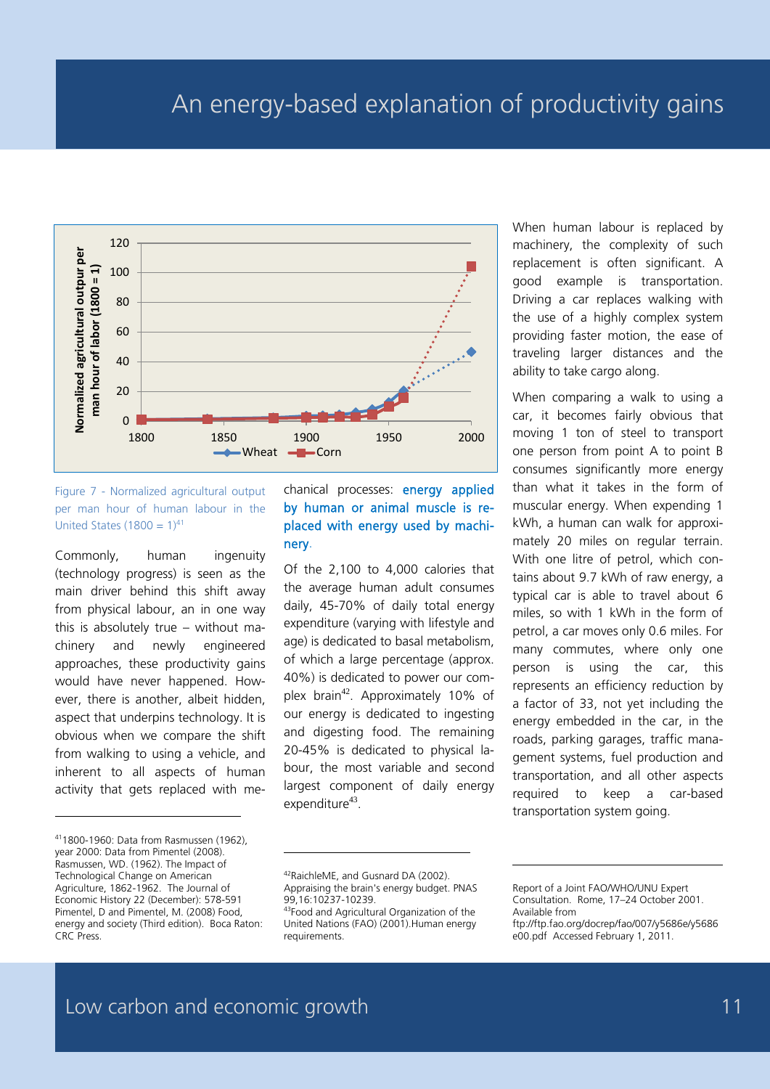

Figure 7 - Normalized agricultural output per man hour of human labour in the United States (1800 =  $1)^{41}$ 

Commonly, human ingenuity (technology progress) is seen as the main driver behind this shift away from physical labour, an in one way this is absolutely true – without machinery and newly engineered approaches, these productivity gains would have never happened. However, there is another, albeit hidden, aspect that underpins technology. It is obvious when we compare the shift from walking to using a vehicle, and inherent to all aspects of human activity that gets replaced with me-

411800-1960: Data from Rasmussen (1962), year 2000: Data from Pimentel (2008). Rasmussen, WD. (1962). The Impact of Technological Change on American Agriculture, 1862-1962. The Journal of Economic History 22 (December): 578-591 Pimentel, D and Pimentel, M. (2008) Food, energy and society (Third edition). Boca Raton: CRC Press.

-

chanical processes: energy applied by human or animal muscle is replaced with energy used by machinery.

Of the 2,100 to 4,000 calories that the average human adult consumes daily, 45-70% of daily total energy expenditure (varying with lifestyle and age) is dedicated to basal metabolism, of which a large percentage (approx. 40%) is dedicated to power our complex brain<sup>42</sup>. Approximately 10% of our energy is dedicated to ingesting and digesting food. The remaining 20-45% is dedicated to physical labour, the most variable and second largest component of daily energy expenditure $43$ .

When human labour is replaced by machinery, the complexity of such replacement is often significant. A good example is transportation. Driving a car replaces walking with the use of a highly complex system providing faster motion, the ease of traveling larger distances and the ability to take cargo along.

When comparing a walk to using a car, it becomes fairly obvious that moving 1 ton of steel to transport one person from point A to point B consumes significantly more energy than what it takes in the form of muscular energy. When expending 1 kWh, a human can walk for approximately 20 miles on regular terrain. With one litre of petrol, which contains about 9.7 kWh of raw energy, a typical car is able to travel about 6 miles, so with 1 kWh in the form of petrol, a car moves only 0.6 miles. For many commutes, where only one person is using the car, this represents an efficiency reduction by a factor of 33, not yet including the energy embedded in the car, in the roads, parking garages, traffic management systems, fuel production and transportation, and all other aspects required to keep a car-based transportation system going.

-

<sup>42</sup>RaichleME, and Gusnard DA (2002). Appraising the brain's energy budget. PNAS 99,16:10237-10239.

<sup>43</sup>Food and Agricultural Organization of the United Nations (FAO) (2001).Human energy requirements.

Report of a Joint FAO/WHO/UNU Expert Consultation. Rome, 17–24 October 2001. Available from

ftp://ftp.fao.org/docrep/fao/007/y5686e/y5686 e00.pdf Accessed February 1, 2011.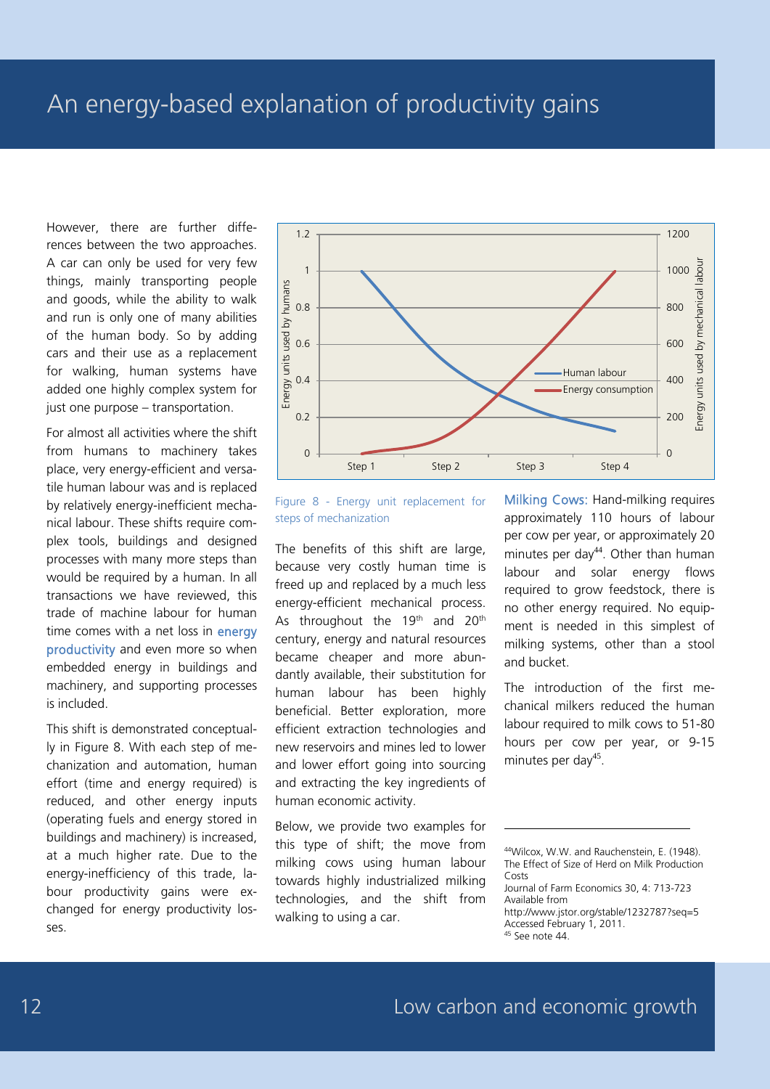However, there are further differences between the two approaches. A car can only be used for very few things, mainly transporting people and goods, while the ability to walk and run is only one of many abilities of the human body. So by adding cars and their use as a replacement for walking, human systems have added one highly complex system for just one purpose – transportation.

For almost all activities where the shift from humans to machinery takes place, very energy-efficient and versatile human labour was and is replaced by relatively energy-inefficient mechanical labour. These shifts require complex tools, buildings and designed processes with many more steps than would be required by a human. In all transactions we have reviewed, this trade of machine labour for human time comes with a net loss in energy productivity and even more so when embedded energy in buildings and machinery, and supporting processes is included.

This shift is demonstrated conceptually in Figure 8. With each step of mechanization and automation, human effort (time and energy required) is reduced, and other energy inputs (operating fuels and energy stored in buildings and machinery) is increased, at a much higher rate. Due to the energy-inefficiency of this trade, labour productivity gains were exchanged for energy productivity losses.



Figure 8 - Energy unit replacement for steps of mechanization

The benefits of this shift are large, because very costly human time is freed up and replaced by a much less energy-efficient mechanical process. As throughout the  $19<sup>th</sup>$  and  $20<sup>th</sup>$ century, energy and natural resources became cheaper and more abundantly available, their substitution for human labour has been highly beneficial. Better exploration, more efficient extraction technologies and new reservoirs and mines led to lower and lower effort going into sourcing and extracting the key ingredients of human economic activity.

Below, we provide two examples for this type of shift; the move from milking cows using human labour towards highly industrialized milking technologies, and the shift from walking to using a car.

Milking Cows: Hand-milking requires approximately 110 hours of labour per cow per year, or approximately 20 minutes per day $44$ . Other than human labour and solar energy flows required to grow feedstock, there is no other energy required. No equipment is needed in this simplest of milking systems, other than a stool and bucket.

The introduction of the first mechanical milkers reduced the human labour required to milk cows to 51-80 hours per cow per year, or 9-15 minutes per day<sup>45</sup>.

<sup>44</sup>Wilcox, W.W. and Rauchenstein, E. (1948). The Effect of Size of Herd on Milk Production Costs

Journal of Farm Economics 30, 4: 713-723 Available from http://www.jstor.org/stable/1232787?seq=5 Accessed February 1, 2011. <sup>45</sup> See note 44.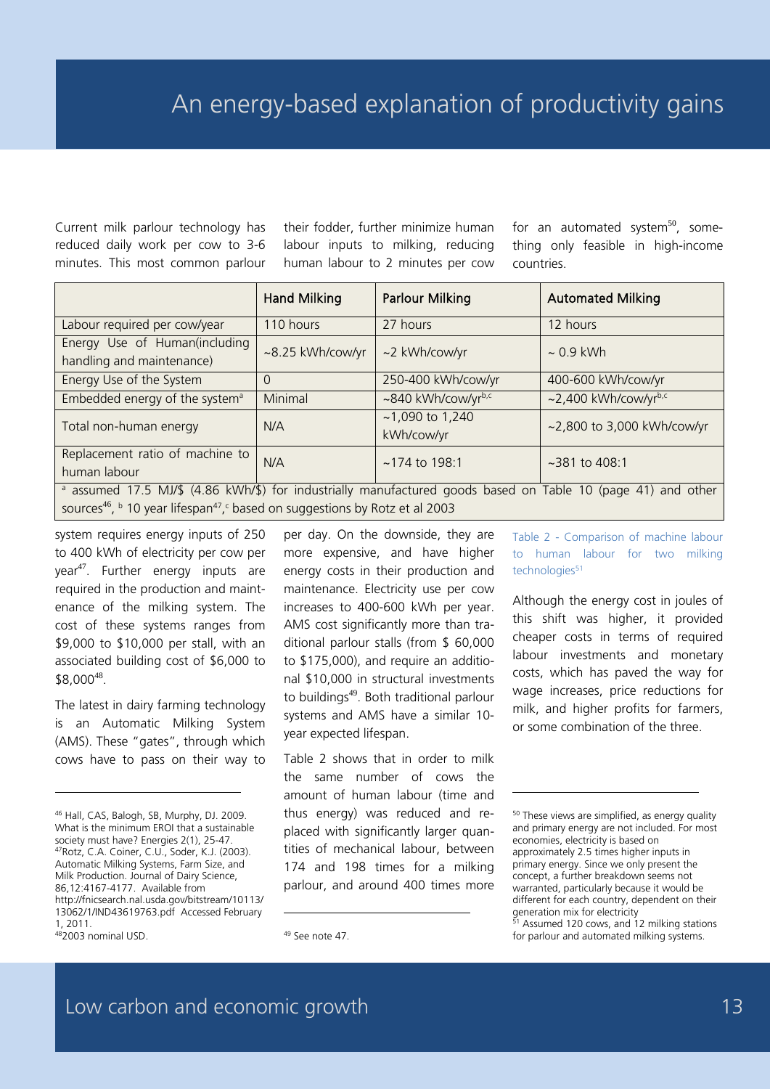Current milk parlour technology has reduced daily work per cow to 3-6 minutes. This most common parlour their fodder, further minimize human labour inputs to milking, reducing human labour to 2 minutes per cow for an automated system $^{50}$ , something only feasible in high-income countries.

|                                                                                                                                                                                                                                  | <b>Hand Milking</b> | <b>Parlour Milking</b>          | <b>Automated Milking</b>   |  |  |  |  |
|----------------------------------------------------------------------------------------------------------------------------------------------------------------------------------------------------------------------------------|---------------------|---------------------------------|----------------------------|--|--|--|--|
| Labour required per cow/year                                                                                                                                                                                                     | 110 hours           | 27 hours                        | 12 hours                   |  |  |  |  |
| Energy Use of Human(including<br>handling and maintenance)                                                                                                                                                                       | ~8.25 kWh/cow/yr    | ~2 kWh/cow/yr                   | $\sim 0.9$ kWh             |  |  |  |  |
| Energy Use of the System                                                                                                                                                                                                         | $\Omega$            | 250-400 kWh/cow/yr              | 400-600 kWh/cow/yr         |  |  |  |  |
| Embedded energy of the system <sup>a</sup>                                                                                                                                                                                       | Minimal             | ~840 kWh/cow/yrb,c              | $\sim$ 2,400 kWh/cow/yrb,c |  |  |  |  |
| Total non-human energy                                                                                                                                                                                                           | N/A                 | $~1,090$ to 1,240<br>kWh/cow/yr | ~2,800 to 3,000 kWh/cow/yr |  |  |  |  |
| Replacement ratio of machine to<br>human labour                                                                                                                                                                                  | N/A                 | $~174$ to 198:1                 | $~281$ to 408:1            |  |  |  |  |
| a assumed 17.5 MJ/\$ (4.86 kWh/\$) for industrially manufactured goods based on Table 10 (page 41) and other<br>sources <sup>46</sup> , $\frac{1}{2}$ 10 year lifespan <sup>47</sup> , c based on suggestions by Rotz et al 2003 |                     |                                 |                            |  |  |  |  |

system requires energy inputs of 250 to 400 kWh of electricity per cow per year<sup>47</sup>. Further energy inputs are required in the production and maintenance of the milking system. The cost of these systems ranges from \$9,000 to \$10,000 per stall, with an associated building cost of \$6,000 to \$8,000<sup>48</sup>.

The latest in dairy farming technology is an Automatic Milking System (AMS). These "gates", through which cows have to pass on their way to

-

per day. On the downside, they are more expensive, and have higher energy costs in their production and maintenance. Electricity use per cow increases to 400-600 kWh per year. AMS cost significantly more than traditional parlour stalls (from \$ 60,000 to \$175,000), and require an additional \$10,000 in structural investments to buildings<sup>49</sup>. Both traditional parlour systems and AMS have a similar 10 year expected lifespan.

Table 2 shows that in order to milk the same number of cows the amount of human labour (time and thus energy) was reduced and replaced with significantly larger quantities of mechanical labour, between 174 and 198 times for a milking parlour, and around 400 times more

-

Table 2 - Comparison of machine labour to human labour for two milking technologies<sup>51</sup>

Although the energy cost in joules of this shift was higher, it provided cheaper costs in terms of required labour investments and monetary costs, which has paved the way for wage increases, price reductions for milk, and higher profits for farmers, or some combination of the three.

<sup>50</sup> These views are simplified, as energy quality and primary energy are not included. For most economies, electricity is based on approximately 2.5 times higher inputs in primary energy. Since we only present the concept, a further breakdown seems not warranted, particularly because it would be different for each country, dependent on their generation mix for electricity

-

<sup>51</sup> Assumed 120 cows, and 12 milking stations for parlour and automated milking systems.

<sup>46</sup> Hall, CAS, Balogh, SB, Murphy, DJ. 2009. What is the minimum EROI that a sustainable society must have? Energies 2(1), 25-47. 47Rotz, C.A. Coiner, C.U., Soder, K.J. (2003). Automatic Milking Systems, Farm Size, and Milk Production. Journal of Dairy Science, 86,12:4167-4177. Available from http://fnicsearch.nal.usda.gov/bitstream/10113/ 13062/1/IND43619763.pdf Accessed February 1, 2011.

<sup>482003</sup> nominal USD.

<sup>&</sup>lt;sup>49</sup> See note 47.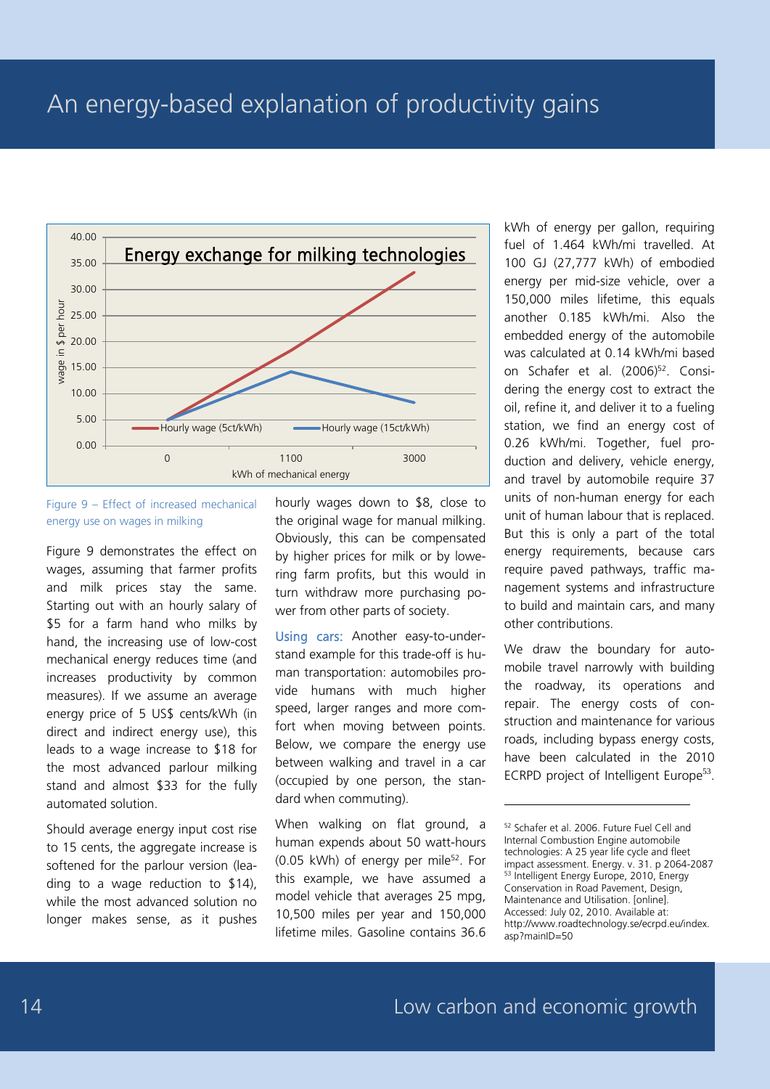

#### Figure 9 – Effect of increased mechanical energy use on wages in milking

Figure 9 demonstrates the effect on wages, assuming that farmer profits and milk prices stay the same. Starting out with an hourly salary of \$5 for a farm hand who milks by hand, the increasing use of low-cost mechanical energy reduces time (and increases productivity by common measures). If we assume an average energy price of 5 US\$ cents/kWh (in direct and indirect energy use), this leads to a wage increase to \$18 for the most advanced parlour milking stand and almost \$33 for the fully automated solution.

Should average energy input cost rise to 15 cents, the aggregate increase is softened for the parlour version (leading to a wage reduction to \$14), while the most advanced solution no longer makes sense, as it pushes hourly wages down to \$8, close to the original wage for manual milking. Obviously, this can be compensated by higher prices for milk or by lowering farm profits, but this would in turn withdraw more purchasing power from other parts of society.

Using cars: Another easy-to-understand example for this trade-off is human transportation: automobiles provide humans with much higher speed, larger ranges and more comfort when moving between points. Below, we compare the energy use between walking and travel in a car (occupied by one person, the standard when commuting).

When walking on flat ground, a human expends about 50 watt-hours  $(0.05 \text{ kWh})$  of energy per mile<sup>52</sup>. For this example, we have assumed a model vehicle that averages 25 mpg, 10,500 miles per year and 150,000 lifetime miles. Gasoline contains 36.6 kWh of energy per gallon, requiring fuel of 1.464 kWh/mi travelled. At 100 GJ (27,777 kWh) of embodied energy per mid-size vehicle, over a 150,000 miles lifetime, this equals another 0.185 kWh/mi. Also the embedded energy of the automobile was calculated at 0.14 kWh/mi based on Schafer et al. (2006)<sup>52</sup>. Considering the energy cost to extract the oil, refine it, and deliver it to a fueling station, we find an energy cost of 0.26 kWh/mi. Together, fuel production and delivery, vehicle energy, and travel by automobile require 37 units of non-human energy for each unit of human labour that is replaced. But this is only a part of the total energy requirements, because cars require paved pathways, traffic management systems and infrastructure to build and maintain cars, and many other contributions.

We draw the boundary for automobile travel narrowly with building the roadway, its operations and repair. The energy costs of construction and maintenance for various roads, including bypass energy costs, have been calculated in the 2010 ECRPD project of Intelligent Europe<sup>53</sup>.

<sup>52</sup> Schafer et al. 2006. Future Fuel Cell and Internal Combustion Engine automobile technologies: A 25 year life cycle and fleet impact assessment. Energy. v. 31. p 2064-2087 53 Intelligent Energy Europe, 2010, Energy Conservation in Road Pavement, Design, Maintenance and Utilisation. [online]. Accessed: July 02, 2010. Available at: http://www.roadtechnology.se/ecrpd.eu/index. asp?mainID=50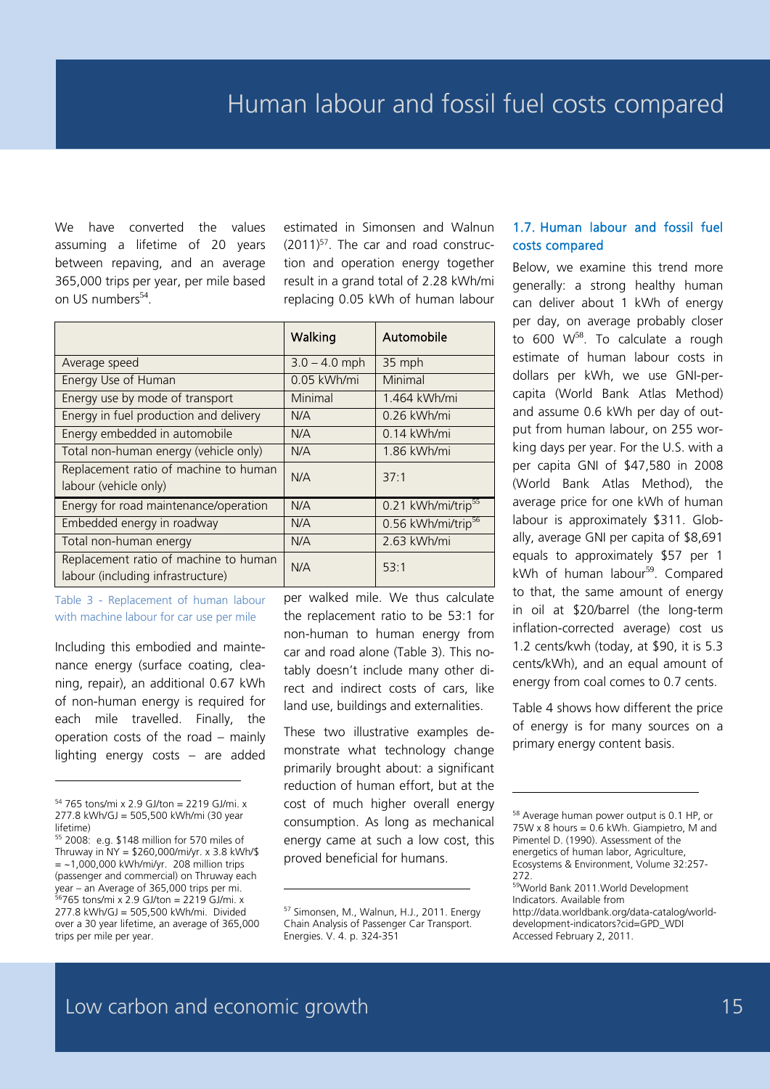We have converted the values assuming a lifetime of 20 years between repaving, and an average 365,000 trips per year, per mile based on US numbers<sup>54</sup>.

estimated in Simonsen and Walnun  $(2011)^{57}$ . The car and road construction and operation energy together result in a grand total of 2.28 kWh/mi replacing 0.05 kWh of human labour

|                                        | Walking         | Automobile                     |
|----------------------------------------|-----------------|--------------------------------|
| Average speed                          | $3.0 - 4.0$ mph | 35 mph                         |
| Energy Use of Human                    | 0.05 kWh/mi     | Minimal                        |
| Energy use by mode of transport        | Minimal         | 1.464 kWh/mi                   |
| Energy in fuel production and delivery | N/A             | 0.26 kWh/mi                    |
| Energy embedded in automobile          | N/A             | $0.14$ kWh/mi                  |
| Total non-human energy (vehicle only)  | N/A             | 1.86 kWh/mi                    |
| Replacement ratio of machine to human  | N/A             | 37:1                           |
| labour (vehicle only)                  |                 |                                |
| Energy for road maintenance/operation  | N/A             | 0.21 kWh/mi/trip <sup>55</sup> |
| Embedded energy in roadway             | N/A             | 0.56 kWh/mi/trip <sup>56</sup> |
| Total non-human energy                 | N/A             | 2.63 kWh/mi                    |
| Replacement ratio of machine to human  | N/A             | 53:1                           |
| labour (including infrastructure)      |                 |                                |

Table 3 - Replacement of human labour with machine labour for car use per mile

Including this embodied and maintenance energy (surface coating, cleaning, repair), an additional 0.67 kWh of non-human energy is required for each mile travelled. Finally, the operation costs of the road – mainly lighting energy costs – are added

-

per walked mile. We thus calculate the replacement ratio to be 53:1 for non-human to human energy from car and road alone (Table 3). This notably doesn't include many other direct and indirect costs of cars, like land use, buildings and externalities.

These two illustrative examples demonstrate what technology change primarily brought about: a significant reduction of human effort, but at the cost of much higher overall energy consumption. As long as mechanical energy came at such a low cost, this proved beneficial for humans.

#### 1.7. Human labour and fossil fuel costs compared

Below, we examine this trend more generally: a strong healthy human can deliver about 1 kWh of energy per day, on average probably closer to  $600 \, \text{W}^{58}$ . To calculate a rough estimate of human labour costs in dollars per kWh, we use GNI-percapita (World Bank Atlas Method) and assume 0.6 kWh per day of output from human labour, on 255 working days per year. For the U.S. with a per capita GNI of \$47,580 in 2008 (World Bank Atlas Method), the average price for one kWh of human labour is approximately \$311. Globally, average GNI per capita of \$8,691 equals to approximately \$57 per 1 kWh of human labour $59$ . Compared to that, the same amount of energy in oil at \$20/barrel (the long-term inflation-corrected average) cost us 1.2 cents/kwh (today, at \$90, it is 5.3 cents/kWh), and an equal amount of energy from coal comes to 0.7 cents.

Table 4 shows how different the price of energy is for many sources on a primary energy content basis.

-

<sup>54</sup> 765 tons/mi x 2.9 GJ/ton = 2219 GJ/mi. x 277.8 kWh/GJ = 505,500 kWh/mi (30 year lifetime)

<sup>55</sup> 2008: e.g. \$148 million for 570 miles of Thruway in NY = \$260,000/mi/yr. x 3.8 kWh/\$  $=$  ~1,000,000 kWh/mi/yr. 208 million trips (passenger and commercial) on Thruway each year – an Average of 365,000 trips per mi. 56765 tons/mi x 2.9 GJ/ton = 2219 GJ/mi. x 277.8 kWh/GJ = 505,500 kWh/mi. Divided over a 30 year lifetime, an average of 365,000 trips per mile per year.

<sup>57</sup> Simonsen, M., Walnun, H.J., 2011. Energy Chain Analysis of Passenger Car Transport. Energies. V. 4. p. 324-351

<sup>58</sup> Average human power output is 0.1 HP, or 75W x 8 hours = 0.6 kWh. Giampietro, M and Pimentel D. (1990). Assessment of the energetics of human labor, Agriculture, Ecosystems & Environment, Volume 32:257- 272.

<sup>59</sup>World Bank 2011. World Development Indicators. Available from http://data.worldbank.org/data-catalog/worlddevelopment-indicators?cid=GPD\_WDI Accessed February 2, 2011.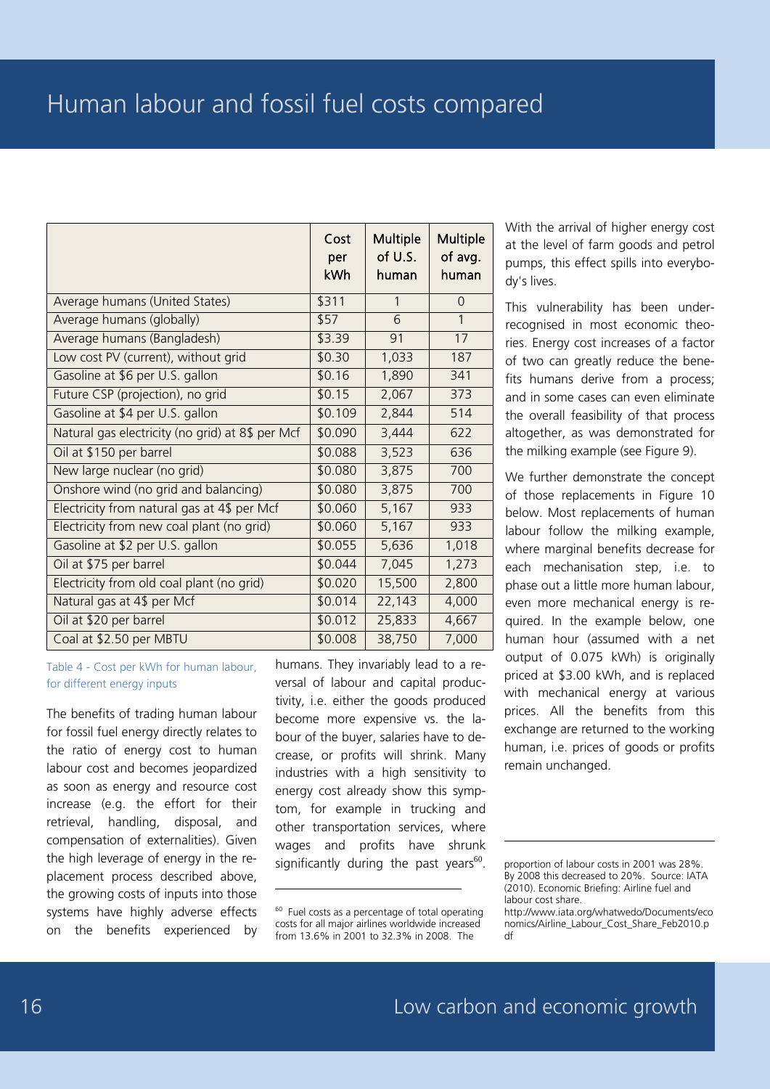|                                                  | Cost<br>per<br>kWh | Multiple<br>of U.S.<br>human | Multiple<br>of avg.<br>human |
|--------------------------------------------------|--------------------|------------------------------|------------------------------|
| Average humans (United States)                   | \$311              | $\mathbf{1}$                 | $\Omega$                     |
| Average humans (globally)                        | \$57               | 6                            | 1                            |
| Average humans (Bangladesh)                      | \$3.39             | 91                           | 17                           |
| Low cost PV (current), without grid              | \$0.30             | 1,033                        | 187                          |
| Gasoline at \$6 per U.S. gallon                  | \$0.16             | 1,890                        | 341                          |
| Future CSP (projection), no grid                 | \$0.15             | 2,067                        | 373                          |
| Gasoline at \$4 per U.S. gallon                  | \$0.109            | 2,844                        | 514                          |
| Natural gas electricity (no grid) at 8\$ per Mcf | \$0.090            | 3,444                        | 622                          |
| Oil at \$150 per barrel                          | \$0.088            | 3,523                        | 636                          |
| New large nuclear (no grid)                      | \$0.080            | 3,875                        | 700                          |
| Onshore wind (no grid and balancing)             | \$0.080            | 3,875                        | 700                          |
| Electricity from natural gas at 4\$ per Mcf      | \$0.060            | 5,167                        | 933                          |
| Electricity from new coal plant (no grid)        | \$0.060            | 5,167                        | 933                          |
| Gasoline at \$2 per U.S. gallon                  | \$0.055            | 5,636                        | 1,018                        |
| Oil at \$75 per barrel                           | \$0.044            | 7,045                        | 1,273                        |
| Electricity from old coal plant (no grid)        | \$0.020            | 15,500                       | 2,800                        |
| Natural gas at 4\$ per Mcf                       | \$0.014            | 22,143                       | 4,000                        |
| Oil at \$20 per barrel                           | \$0.012            | 25,833                       | 4,667                        |
| Coal at \$2.50 per MBTU                          | \$0.008            | 38,750                       | 7,000                        |

-

Table 4 - Cost per kWh for human labour, for different energy inputs

The benefits of trading human labour for fossil fuel energy directly relates to the ratio of energy cost to human labour cost and becomes jeopardized as soon as energy and resource cost increase (e.g. the effort for their retrieval, handling, disposal, and compensation of externalities). Given the high leverage of energy in the replacement process described above, the growing costs of inputs into those systems have highly adverse effects on the benefits experienced by humans. They invariably lead to a reversal of labour and capital productivity, i.e. either the goods produced become more expensive vs. the labour of the buyer, salaries have to decrease, or profits will shrink. Many industries with a high sensitivity to energy cost already show this symptom, for example in trucking and other transportation services, where wages and profits have shrunk significantly during the past years $^{60}$ .

With the arrival of higher energy cost at the level of farm goods and petrol pumps, this effect spills into everybody's lives.

This vulnerability has been underrecognised in most economic theories. Energy cost increases of a factor of two can greatly reduce the benefits humans derive from a process; and in some cases can even eliminate the overall feasibility of that process altogether, as was demonstrated for the milking example (see Figure 9).

We further demonstrate the concept of those replacements in Figure 10 below. Most replacements of human labour follow the milking example, where marginal benefits decrease for each mechanisation step, i.e. to phase out a little more human labour, even more mechanical energy is required. In the example below, one human hour (assumed with a net output of 0.075 kWh) is originally priced at \$3.00 kWh, and is replaced with mechanical energy at various prices. All the benefits from this exchange are returned to the working human, i.e. prices of goods or profits remain unchanged.

 $60$  Fuel costs as a percentage of total operating costs for all major airlines worldwide increased from 13.6% in 2001 to 32.3% in 2008. The

proportion of labour costs in 2001 was 28%. By 2008 this decreased to 20%. Source: IATA (2010). Economic Briefing: Airline fuel and labour cost share.

http://www.iata.org/whatwedo/Documents/eco nomics/Airline\_Labour\_Cost\_Share\_Feb2010.p df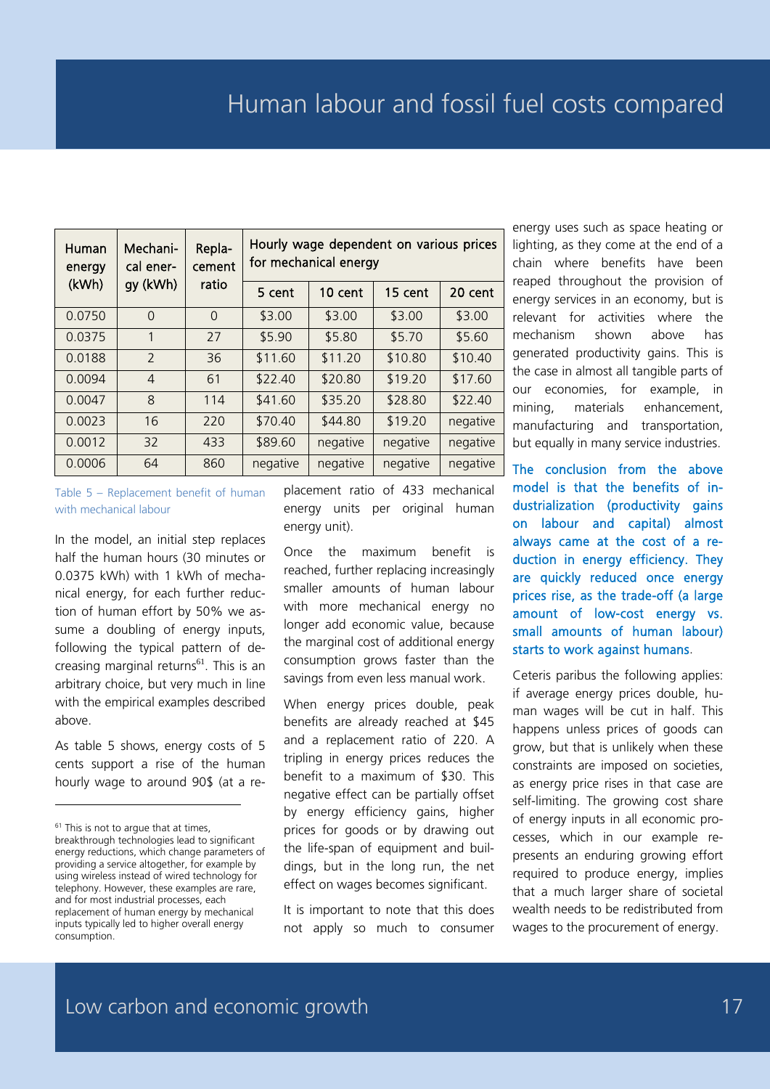| Human<br>energy | Mechani-<br>cal ener- | Repla-<br>cement | Hourly wage dependent on various prices<br>for mechanical energy |          |          |          |  |  |  |
|-----------------|-----------------------|------------------|------------------------------------------------------------------|----------|----------|----------|--|--|--|
| (kWh)           | gy (kWh)              | ratio            | 5 cent                                                           | 10 cent  | 15 cent  | 20 cent  |  |  |  |
| 0.0750          | $\Omega$              | $\Omega$         | \$3.00                                                           | \$3.00   | \$3.00   | \$3.00   |  |  |  |
| 0.0375          | 1                     | 27               | \$5.90                                                           | \$5.80   | \$5.70   | \$5.60   |  |  |  |
| 0.0188          | $\mathcal{P}$         | 36               | \$11.60                                                          | \$11.20  | \$10.80  | \$10.40  |  |  |  |
| 0.0094          | $\overline{4}$        | 61               | \$22.40                                                          | \$20.80  | \$19.20  | \$17.60  |  |  |  |
| 0.0047          | 8                     | 114              | \$41.60                                                          | \$35.20  | \$28.80  | \$22.40  |  |  |  |
| 0.0023          | 16                    | 220              | \$70.40                                                          | \$44.80  | \$19.20  | negative |  |  |  |
| 0.0012          | 32                    | 433              | \$89.60                                                          | negative | negative | negative |  |  |  |
| 0.0006          | 64                    | 860              | negative                                                         | negative | negative | negative |  |  |  |

Table 5 – Replacement benefit of human with mechanical labour

In the model, an initial step replaces half the human hours (30 minutes or 0.0375 kWh) with 1 kWh of mechanical energy, for each further reduction of human effort by 50% we assume a doubling of energy inputs, following the typical pattern of decreasing marginal returns $^{61}$ . This is an arbitrary choice, but very much in line with the empirical examples described above.

As table 5 shows, energy costs of 5 cents support a rise of the human hourly wage to around 90\$ (at a re-

-

placement ratio of 433 mechanical energy units per original human energy unit).

Once the maximum benefit is reached, further replacing increasingly smaller amounts of human labour with more mechanical energy no longer add economic value, because the marginal cost of additional energy consumption grows faster than the savings from even less manual work.

When energy prices double, peak benefits are already reached at \$45 and a replacement ratio of 220. A tripling in energy prices reduces the benefit to a maximum of \$30. This negative effect can be partially offset by energy efficiency gains, higher prices for goods or by drawing out the life-span of equipment and buildings, but in the long run, the net effect on wages becomes significant.

It is important to note that this does not apply so much to consumer

energy uses such as space heating or lighting, as they come at the end of a chain where benefits have been reaped throughout the provision of energy services in an economy, but is relevant for activities where the mechanism shown above has generated productivity gains. This is the case in almost all tangible parts of our economies, for example, in mining, materials enhancement, manufacturing and transportation, but equally in many service industries.

The conclusion from the above model is that the benefits of industrialization (productivity gains on labour and capital) almost always came at the cost of a reduction in energy efficiency. They are quickly reduced once energy prices rise, as the trade-off (a large amount of low-cost energy vs. small amounts of human labour) starts to work against humans.

Ceteris paribus the following applies: if average energy prices double, human wages will be cut in half. This happens unless prices of goods can grow, but that is unlikely when these constraints are imposed on societies, as energy price rises in that case are self-limiting. The growing cost share of energy inputs in all economic processes, which in our example represents an enduring growing effort required to produce energy, implies that a much larger share of societal wealth needs to be redistributed from wages to the procurement of energy.

 $61$  This is not to argue that at times, breakthrough technologies lead to significant energy reductions, which change parameters of providing a service altogether, for example by using wireless instead of wired technology for telephony. However, these examples are rare, and for most industrial processes, each replacement of human energy by mechanical inputs typically led to higher overall energy consumption.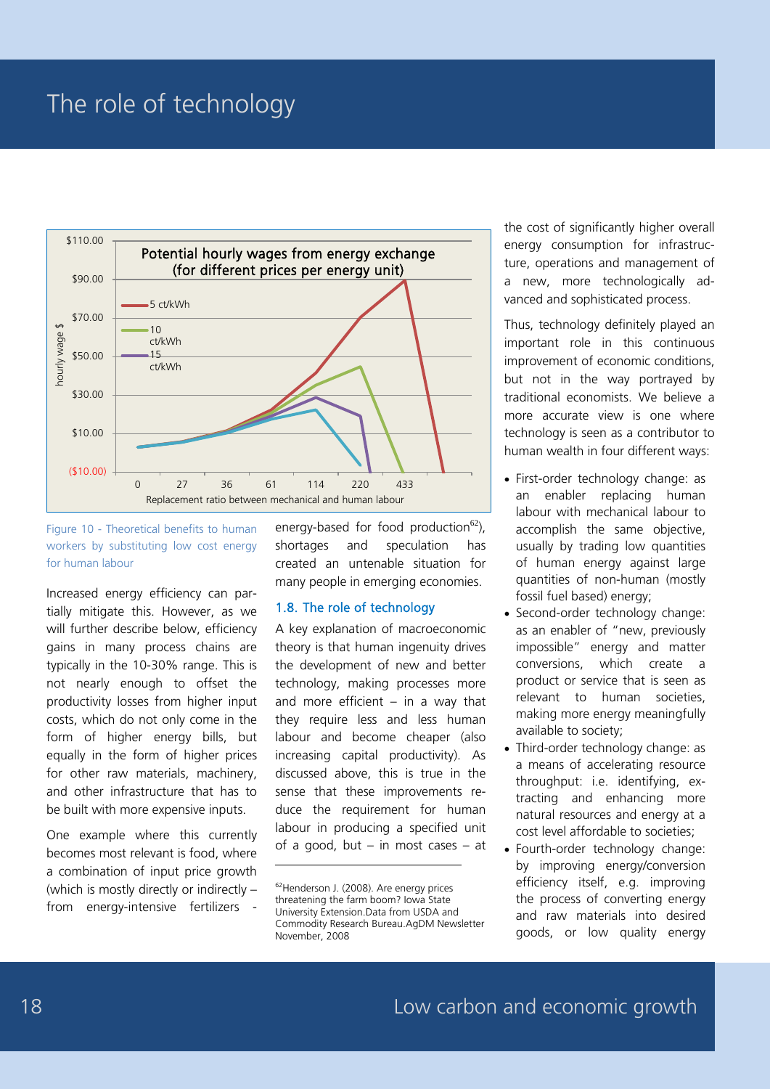### The role of technology



#### Figure 10 - Theoretical benefits to human workers by substituting low cost energy for human labour

Increased energy efficiency can partially mitigate this. However, as we will further describe below, efficiency gains in many process chains are typically in the 10-30% range. This is not nearly enough to offset the productivity losses from higher input costs, which do not only come in the form of higher energy bills, but equally in the form of higher prices for other raw materials, machinery, and other infrastructure that has to be built with more expensive inputs.

One example where this currently becomes most relevant is food, where a combination of input price growth (which is mostly directly or indirectly – from energy-intensive fertilizers

energy-based for food production<sup>62</sup>), shortages and speculation has created an untenable situation for many people in emerging economies.

#### 1.8. The role of technology

A key explanation of macroeconomic theory is that human ingenuity drives the development of new and better technology, making processes more and more efficient  $-$  in a way that they require less and less human labour and become cheaper (also increasing capital productivity). As discussed above, this is true in the sense that these improvements reduce the requirement for human labour in producing a specified unit of a good, but – in most cases – at

-

the cost of significantly higher overall energy consumption for infrastructure, operations and management of a new, more technologically advanced and sophisticated process.

Thus, technology definitely played an important role in this continuous improvement of economic conditions, but not in the way portrayed by traditional economists. We believe a more accurate view is one where technology is seen as a contributor to human wealth in four different ways:

- First-order technology change: as an enabler replacing human labour with mechanical labour to accomplish the same objective, usually by trading low quantities of human energy against large quantities of non-human (mostly fossil fuel based) energy;
- Second-order technology change: as an enabler of "new, previously impossible" energy and matter conversions, which create a product or service that is seen as relevant to human societies, making more energy meaningfully available to society;
- Third-order technology change: as a means of accelerating resource throughput: i.e. identifying, extracting and enhancing more natural resources and energy at a cost level affordable to societies;
- Fourth-order technology change: by improving energy/conversion efficiency itself, e.g. improving the process of converting energy and raw materials into desired goods, or low quality energy

<sup>62</sup>Henderson J. (2008). Are energy prices threatening the farm boom? Iowa State University Extension.Data from USDA and Commodity Research Bureau.AgDM Newsletter November, 2008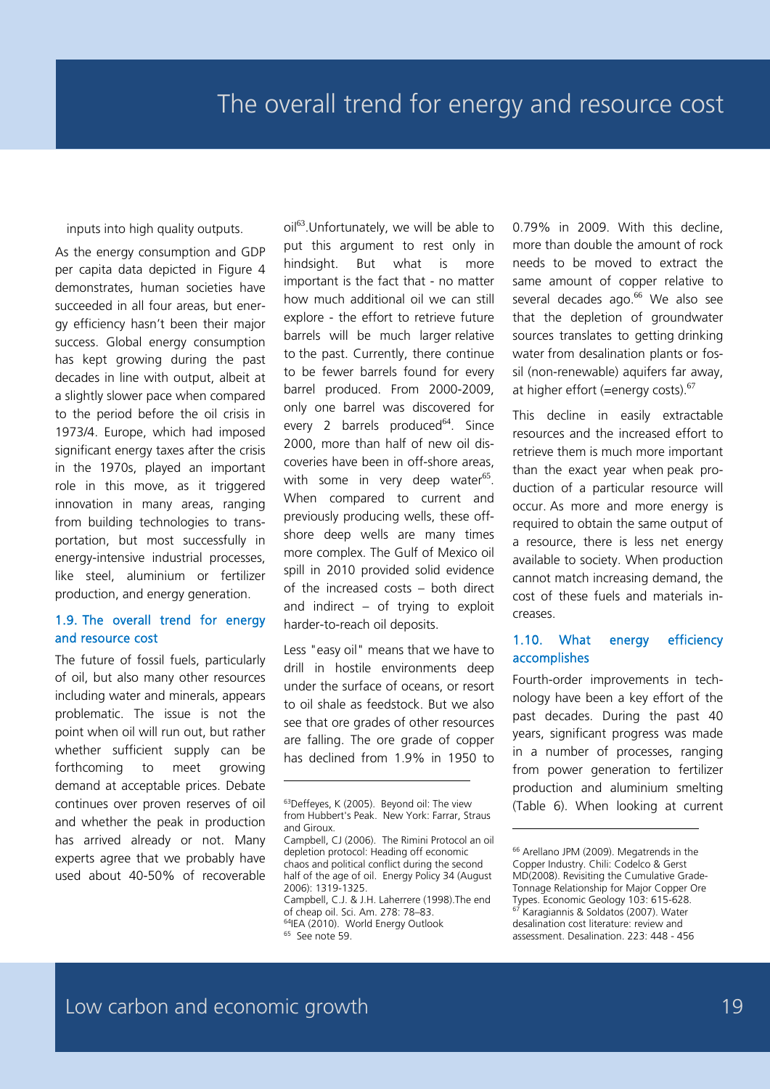inputs into high quality outputs.

As the energy consumption and GDP per capita data depicted in Figure 4 demonstrates, human societies have succeeded in all four areas, but energy efficiency hasn't been their major success. Global energy consumption has kept growing during the past decades in line with output, albeit at a slightly slower pace when compared to the period before the oil crisis in 1973/4. Europe, which had imposed significant energy taxes after the crisis in the 1970s, played an important role in this move, as it triggered innovation in many areas, ranging from building technologies to transportation, but most successfully in energy-intensive industrial processes, like steel, aluminium or fertilizer production, and energy generation.

#### 1.9. The overall trend for energy and resource cost

The future of fossil fuels, particularly of oil, but also many other resources including water and minerals, appears problematic. The issue is not the point when oil will run out, but rather whether sufficient supply can be forthcoming to meet growing demand at acceptable prices. Debate continues over proven reserves of oil and whether the peak in production has arrived already or not. Many experts agree that we probably have used about 40-50% of recoverable oil<sup>63</sup>.Unfortunately, we will be able to put this argument to rest only in hindsight. But what is more important is the fact that - no matter how much additional oil we can still explore - the effort to retrieve future barrels will be much larger relative to the past. Currently, there continue to be fewer barrels found for every barrel produced. From 2000-2009, only one barrel was discovered for every 2 barrels produced $^{64}$ . Since 2000, more than half of new oil discoveries have been in off-shore areas, with some in very deep water $^{65}$ . When compared to current and previously producing wells, these offshore deep wells are many times more complex. The Gulf of Mexico oil spill in 2010 provided solid evidence of the increased costs – both direct and indirect – of trying to exploit harder-to-reach oil deposits.

Less "easy oil" means that we have to drill in hostile environments deep under the surface of oceans, or resort to oil shale as feedstock. But we also see that ore grades of other resources are falling. The ore grade of copper has declined from 1.9% in 1950 to

-

of cheap oil. Sci. Am. 278: 78–83. <sup>64</sup>IEA (2010). World Energy Outlook <sup>65</sup> See note 59.

0.79% in 2009. With this decline, more than double the amount of rock needs to be moved to extract the same amount of copper relative to several decades ago.<sup>66</sup> We also see that the depletion of groundwater sources translates to getting drinking water from desalination plants or fossil (non-renewable) aquifers far away, at higher effort (=energy costs).<sup>67</sup>

This decline in easily extractable resources and the increased effort to retrieve them is much more important than the exact year when peak production of a particular resource will occur. As more and more energy is required to obtain the same output of a resource, there is less net energy available to society. When production cannot match increasing demand, the cost of these fuels and materials increases.

#### 1.10. What energy efficiency accomplishes

Fourth-order improvements in technology have been a key effort of the past decades. During the past 40 years, significant progress was made in a number of processes, ranging from power generation to fertilizer production and aluminium smelting (Table 6). When looking at current

<sup>&</sup>lt;sup>63</sup>Deffeyes, K (2005). Beyond oil: The view from Hubbert's Peak. New York: Farrar, Straus and Giroux.

Campbell, CJ (2006). The Rimini Protocol an oil depletion protocol: Heading off economic chaos and political conflict during the second half of the age of oil. Energy Policy 34 (August 2006): 1319-1325. Campbell, C.J. & J.H. Laherrere (1998).The end

<sup>&</sup>lt;sup>66</sup> Arellano JPM (2009). Megatrends in the Copper Industry. Chili: Codelco & Gerst MD(2008). Revisiting the Cumulative Grade-Tonnage Relationship for Major Copper Ore Types. Economic Geology 103: 615-628. .<br>Karagiannis & Soldatos (2007). Water desalination cost literature: review and assessment. Desalination. 223: 448 - 456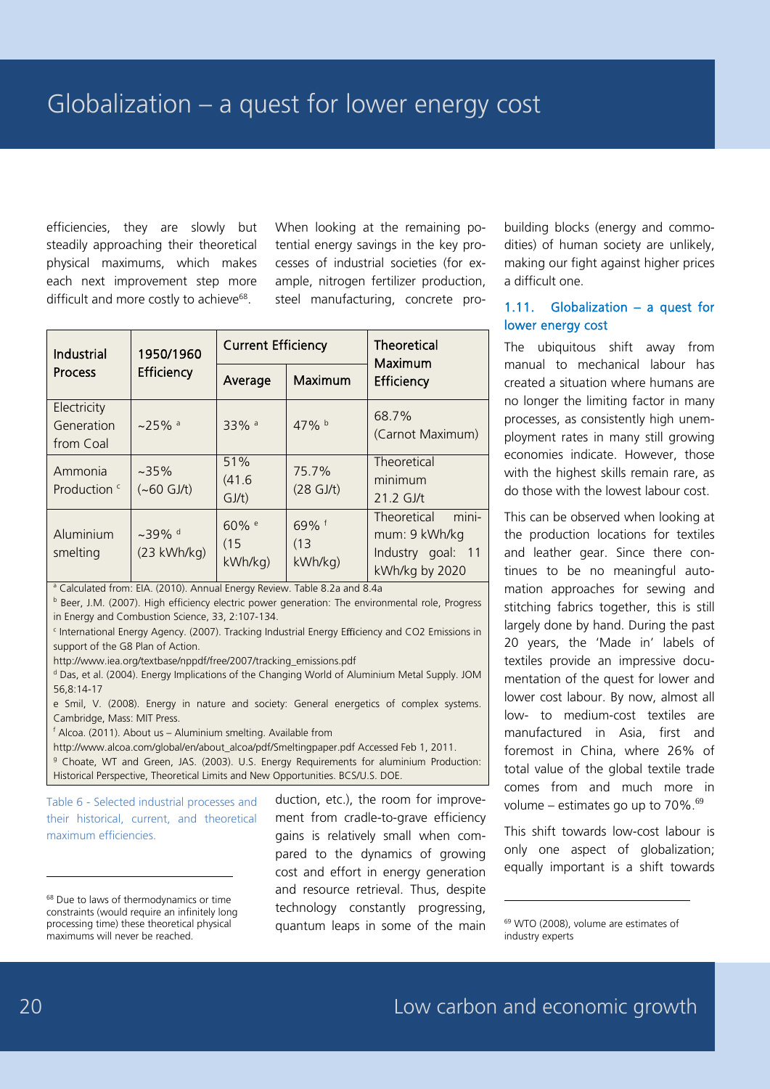efficiencies, they are slowly but steadily approaching their theoretical physical maximums, which makes each next improvement step more difficult and more costly to achieve<sup>68</sup>.

When looking at the remaining potential energy savings in the key processes of industrial societies (for example, nitrogen fertilizer production, steel manufacturing, concrete pro-

| <b>Industrial</b>                      | 1950/1960                                      | <b>Current Efficiency</b> |                         | <b>Theoretical</b><br>Maximum<br>Efficiency                                  |  |  |  |
|----------------------------------------|------------------------------------------------|---------------------------|-------------------------|------------------------------------------------------------------------------|--|--|--|
| <b>Process</b>                         | Efficiency                                     | Average                   | Maximum                 |                                                                              |  |  |  |
| Electricity<br>Generation<br>from Coal | $~25\%$ <sup>a</sup>                           | 33% <sup>a</sup>          | 47% b                   | 68.7%<br>(Carnot Maximum)                                                    |  |  |  |
| Ammonia<br>Production <sup>c</sup>     | $~235\%$<br>$(-60 GJ/t)$                       | 51%<br>(41.6)<br>GJ/t)    | 75.7%<br>$(28$ GJ/t)    | Theoretical<br>minimum<br>$21.2$ GJ/t                                        |  |  |  |
| Aluminium<br>smelting                  | $~239\%$ <sup>d</sup><br>$(23 \text{ kWh/kg})$ | 60% e<br>(15)<br>kWh/kg)  | 69% f<br>(13)<br>kWh/kg | mini-<br>Theoretical<br>mum: 9 kWh/kg<br>Industry goal: 11<br>kWh/kg by 2020 |  |  |  |

<sup>a</sup> Calculated from: EIA. (2010). Annual Energy Review. Table 8.2a and 8.4a

b Beer, J.M. (2007). High efficiency electric power generation: The environmental role, Progress in Energy and Combustion Science, 33, 2:107-134.

<sup>c</sup> International Energy Agency. (2007). Tracking Industrial Energy Efficiency and CO2 Emissions in support of the G8 Plan of Action.

http://www.iea.org/textbase/nppdf/free/2007/tracking\_emissions.pdf

<sup>d</sup> Das, et al. (2004). Energy Implications of the Changing World of Aluminium Metal Supply. JOM 56,8:14-17

e Smil, V. (2008). Energy in nature and society: General energetics of complex systems. Cambridge, Mass: MIT Press.

 $f$  Alcoa. (2011). About us – Aluminium smelting. Available from

http://www.alcoa.com/global/en/about\_alcoa/pdf/Smeltingpaper.pdf Accessed Feb 1, 2011. <sup>9</sup> Choate, WT and Green, JAS. (2003). U.S. Energy Requirements for aluminium Production: Historical Perspective, Theoretical Limits and New Opportunities. BCS/U.S. DOE.

Table 6 - Selected industrial processes and their historical, current, and theoretical maximum efficiencies.

<sup>68</sup> Due to laws of thermodynamics or time constraints (would require an infinitely long processing time) these theoretical physical maximums will never be reached.

duction, etc.), the room for improvement from cradle-to-grave efficiency gains is relatively small when compared to the dynamics of growing cost and effort in energy generation and resource retrieval. Thus, despite technology constantly progressing, quantum leaps in some of the main

building blocks (energy and commodities) of human society are unlikely, making our fight against higher prices a difficult one.

#### 1.11. Globalization – a quest for lower energy cost

The ubiquitous shift away from manual to mechanical labour has created a situation where humans are no longer the limiting factor in many processes, as consistently high unemployment rates in many still growing economies indicate. However, those with the highest skills remain rare, as do those with the lowest labour cost.

This can be observed when looking at the production locations for textiles and leather gear. Since there continues to be no meaningful automation approaches for sewing and stitching fabrics together, this is still largely done by hand. During the past 20 years, the 'Made in' labels of textiles provide an impressive documentation of the quest for lower and lower cost labour. By now, almost all low- to medium-cost textiles are manufactured in Asia, first and foremost in China, where 26% of total value of the global textile trade comes from and much more in volume – estimates go up to  $70\%$ .<sup>69</sup>

This shift towards low-cost labour is only one aspect of globalization; equally important is a shift towards

-

<sup>69</sup> WTO (2008), volume are estimates of industry experts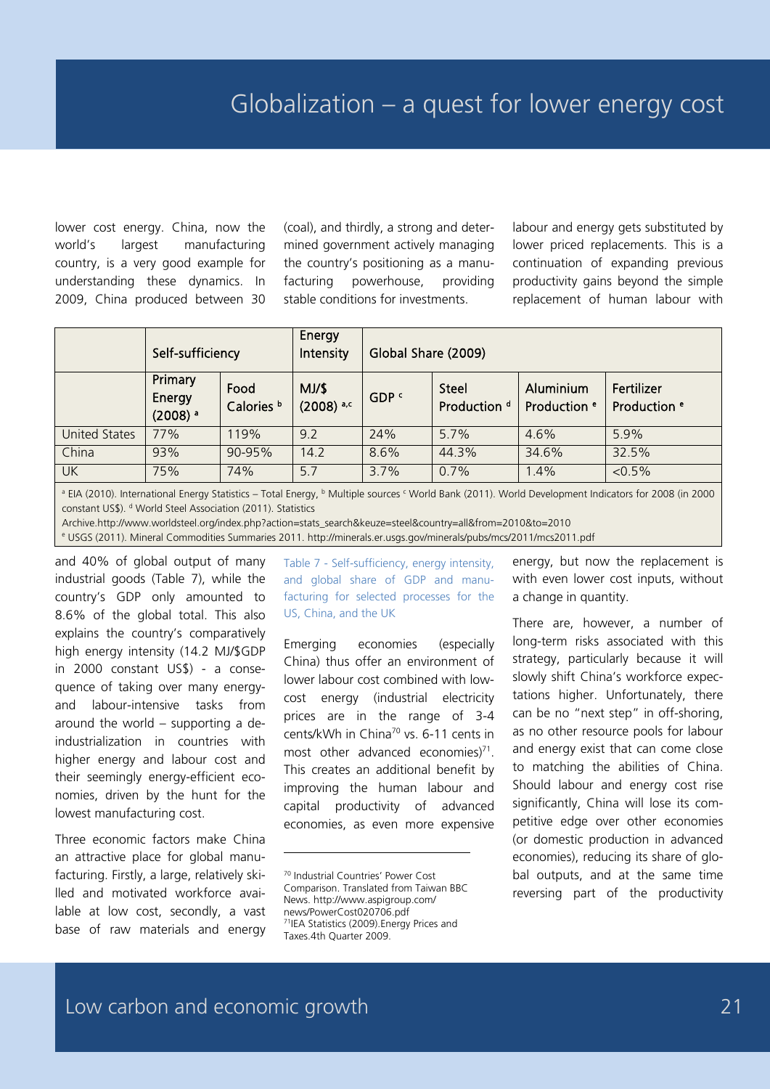lower cost energy. China, now the world's largest manufacturing country, is a very good example for understanding these dynamics. In 2009, China produced between 30

(coal), and thirdly, a strong and determined government actively managing the country's positioning as a manufacturing powerhouse, providing stable conditions for investments.

labour and energy gets substituted by lower priced replacements. This is a continuation of expanding previous productivity gains beyond the simple replacement of human labour with

|                      | Self-sufficiency                           |                               | Energy<br>Intensity                |                  | Global Share (2009)                                                             |       |                                       |  |  |
|----------------------|--------------------------------------------|-------------------------------|------------------------------------|------------------|---------------------------------------------------------------------------------|-------|---------------------------------------|--|--|
|                      | Primary<br>Energy<br>$(2008)$ <sup>a</sup> | Food<br>Calories <sup>b</sup> | $MJ/\$$<br>$(2008)$ <sup>a,c</sup> | GDP <sup>c</sup> | <b>Steel</b><br>Aluminium<br>Production <sup>d</sup><br>Production <sup>e</sup> |       | Fertilizer<br>Production <sup>e</sup> |  |  |
| <b>United States</b> | 77%                                        | 119%                          | 9.2                                | 24%              | 5.7%                                                                            | 4.6%  | 5.9%                                  |  |  |
| China                | 93%                                        | 90-95%                        | 14.2                               | 8.6%             | 44.3%                                                                           | 34.6% | 32.5%                                 |  |  |
| <b>UK</b>            | 75%                                        | 74%                           | 5.7                                | 3.7%             | 0.7%                                                                            | 1.4%  | $< 0.5\%$                             |  |  |

<sup>a</sup> EIA (2010). International Energy Statistics – Total Energy, <sup>b</sup> Multiple sources <sup>c</sup> World Bank (2011). World Development Indicators for 2008 (in 2000 constant US\$). d World Steel Association (2011). Statistics

Archive.http://www.worldsteel.org/index.php?action=stats\_search&keuze=steel&country=all&from=2010&to=2010

<sup>e</sup> USGS (2011). Mineral Commodities Summaries 2011. http://minerals.er.usgs.gov/minerals/pubs/mcs/2011/mcs2011.pdf

and 40% of global output of many industrial goods (Table 7), while the country's GDP only amounted to 8.6% of the global total. This also explains the country's comparatively high energy intensity (14.2 MJ/\$GDP in 2000 constant US\$) - a consequence of taking over many energyand labour-intensive tasks from around the world – supporting a deindustrialization in countries with higher energy and labour cost and their seemingly energy-efficient economies, driven by the hunt for the lowest manufacturing cost.

Three economic factors make China an attractive place for global manufacturing. Firstly, a large, relatively skilled and motivated workforce available at low cost, secondly, a vast base of raw materials and energy

Table 7 - Self-sufficiency, energy intensity, and global share of GDP and manufacturing for selected processes for the US, China, and the UK

Emerging economies (especially China) thus offer an environment of lower labour cost combined with lowcost energy (industrial electricity prices are in the range of 3-4 cents/kWh in China<sup>70</sup> vs. 6-11 cents in most other advanced economies) $71$ . This creates an additional benefit by improving the human labour and capital productivity of advanced economies, as even more expensive

<sup>70</sup> Industrial Countries' Power Cost Comparison. Translated from Taiwan BBC News. http://www.aspigroup.com/ news/PowerCost020706.pdf 71IEA Statistics (2009).Energy Prices and Taxes.4th Quarter 2009.

energy, but now the replacement is with even lower cost inputs, without a change in quantity.

There are, however, a number of long-term risks associated with this strategy, particularly because it will slowly shift China's workforce expectations higher. Unfortunately, there can be no "next step" in off-shoring, as no other resource pools for labour and energy exist that can come close to matching the abilities of China. Should labour and energy cost rise significantly, China will lose its competitive edge over other economies (or domestic production in advanced economies), reducing its share of global outputs, and at the same time reversing part of the productivity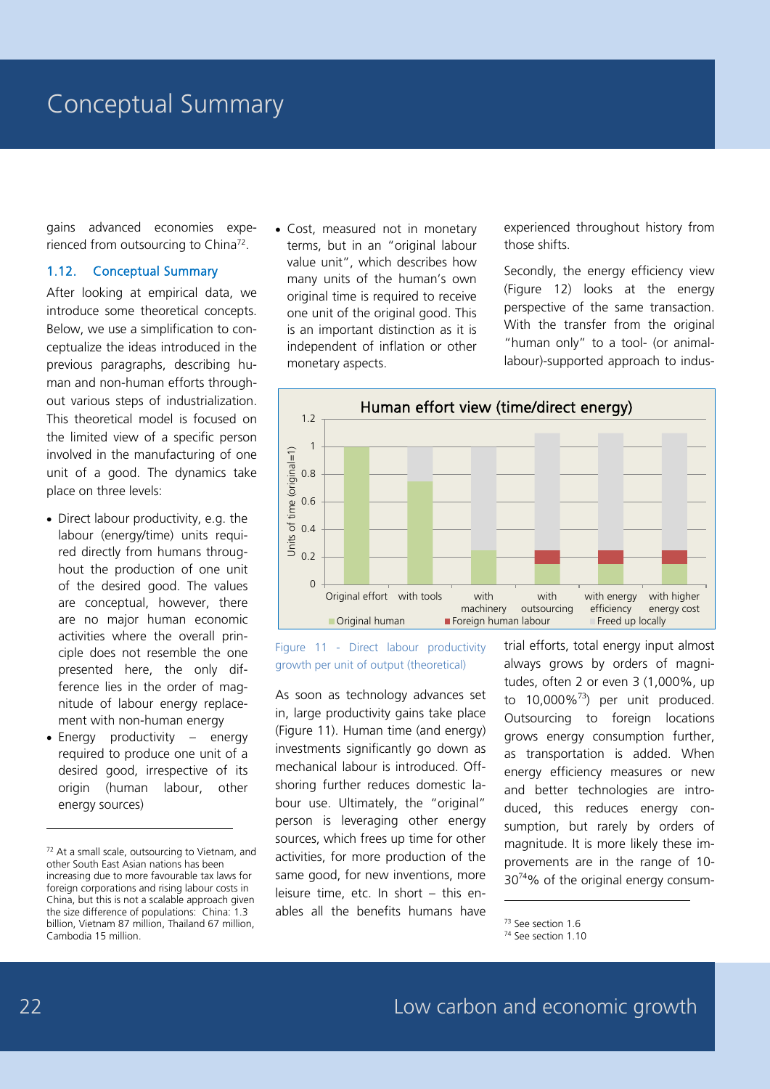gains advanced economies experienced from outsourcing to China<sup>72</sup>.

#### 1.12. Conceptual Summary

After looking at empirical data, we introduce some theoretical concepts. Below, we use a simplification to conceptualize the ideas introduced in the previous paragraphs, describing human and non-human efforts throughout various steps of industrialization. This theoretical model is focused on the limited view of a specific person involved in the manufacturing of one unit of a good. The dynamics take place on three levels:

- Direct labour productivity, e.g. the labour (energy/time) units required directly from humans throughout the production of one unit of the desired good. The values are conceptual, however, there are no major human economic activities where the overall principle does not resemble the one presented here, the only difference lies in the order of magnitude of labour energy replacement with non-human energy
- Energy productivity energy required to produce one unit of a desired good, irrespective of its origin (human labour, other energy sources)

• Cost, measured not in monetary terms, but in an "original labour value unit", which describes how many units of the human's own original time is required to receive one unit of the original good. This is an important distinction as it is independent of inflation or other monetary aspects.

experienced throughout history from those shifts.

Secondly, the energy efficiency view (Figure 12) looks at the energy perspective of the same transaction. With the transfer from the original "human only" to a tool- (or animallabour)-supported approach to indus-



Figure 11 - Direct labour productivity growth per unit of output (theoretical)

As soon as technology advances set in, large productivity gains take place (Figure 11). Human time (and energy) investments significantly go down as mechanical labour is introduced. Offshoring further reduces domestic labour use. Ultimately, the "original" person is leveraging other energy sources, which frees up time for other activities, for more production of the same good, for new inventions, more leisure time, etc. In short – this enables all the benefits humans have

trial efforts, total energy input almost always grows by orders of magnitudes, often 2 or even 3 (1,000%, up to  $10,000\%$ <sup>73</sup>) per unit produced. Outsourcing to foreign locations grows energy consumption further, as transportation is added. When energy efficiency measures or new and better technologies are introduced, this reduces energy consumption, but rarely by orders of magnitude. It is more likely these improvements are in the range of 10-  $30^{74}$ % of the original energy consum-

<sup>73</sup> See section 1.6

-

 $72$  At a small scale, outsourcing to Vietnam, and other South East Asian nations has been increasing due to more favourable tax laws for foreign corporations and rising labour costs in China, but this is not a scalable approach given the size difference of populations: China: 1.3 billion, Vietnam 87 million, Thailand 67 million, Cambodia 15 million.

<sup>74</sup> See section 1.10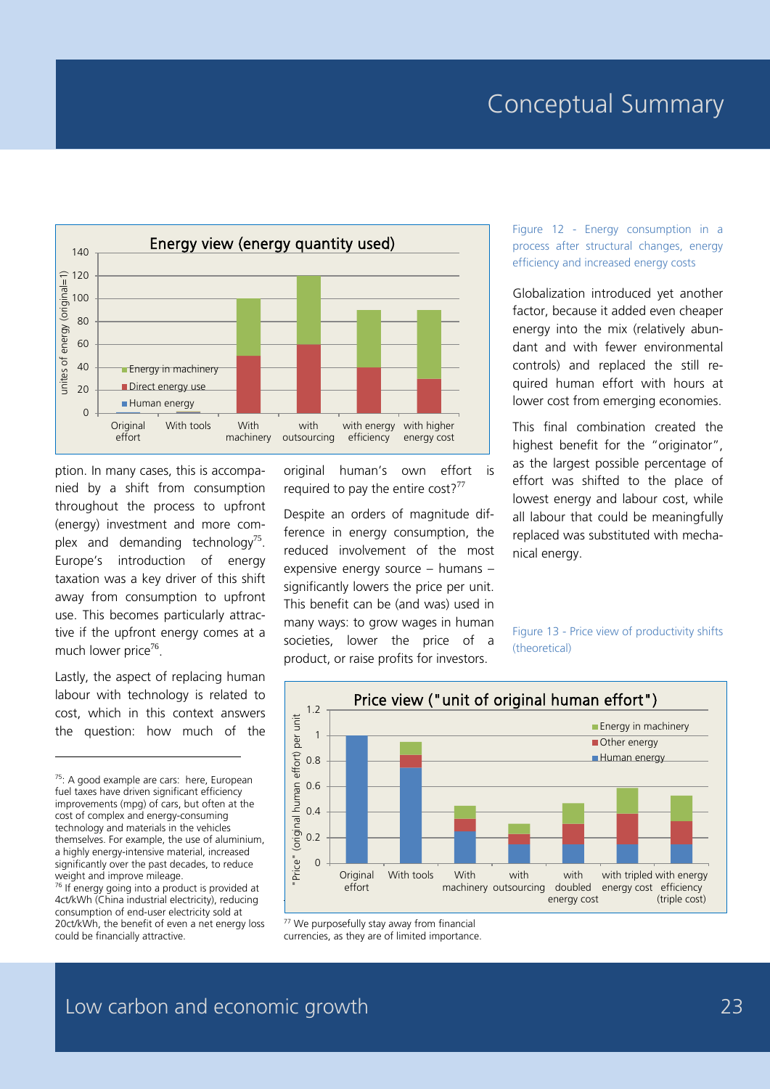### Conceptual Summary



ption. In many cases, this is accompanied by a shift from consumption throughout the process to upfront (energy) investment and more complex and demanding technology<sup>75</sup>. Europe's introduction of energy taxation was a key driver of this shift away from consumption to upfront use. This becomes particularly attractive if the upfront energy comes at a much lower price<sup>76</sup>.

Lastly, the aspect of replacing human labour with technology is related to cost, which in this context answers the question: how much of the

-

 $76$  If energy going into a product is provided at 4ct/kWh (China industrial electricity), reducing consumption of end-user electricity sold at 20ct/kWh, the benefit of even a net energy loss could be financially attractive.

original human's own effort is required to pay the entire cost?<sup>77</sup>

Despite an orders of magnitude difference in energy consumption, the reduced involvement of the most expensive energy source – humans – significantly lowers the price per unit. This benefit can be (and was) used in many ways: to grow wages in human societies, lower the price of a product, or raise profits for investors.

Figure 12 - Energy consumption in a process after structural changes, energy efficiency and increased energy costs

Globalization introduced yet another factor, because it added even cheaper energy into the mix (relatively abundant and with fewer environmental controls) and replaced the still required human effort with hours at lower cost from emerging economies.

This final combination created the highest benefit for the "originator", as the largest possible percentage of effort was shifted to the place of lowest energy and labour cost, while all labour that could be meaningfully replaced was substituted with mechanical energy.

Figure 13 - Price view of productivity shifts (theoretical)



<sup>77</sup> We purposefully stay away from financial currencies, as they are of limited importance.

<sup>&</sup>lt;sup>75</sup>: A good example are cars: here, European fuel taxes have driven significant efficiency improvements (mpg) of cars, but often at the cost of complex and energy-consuming technology and materials in the vehicles themselves. For example, the use of aluminium, a highly energy-intensive material, increased significantly over the past decades, to reduce weight and improve mileage.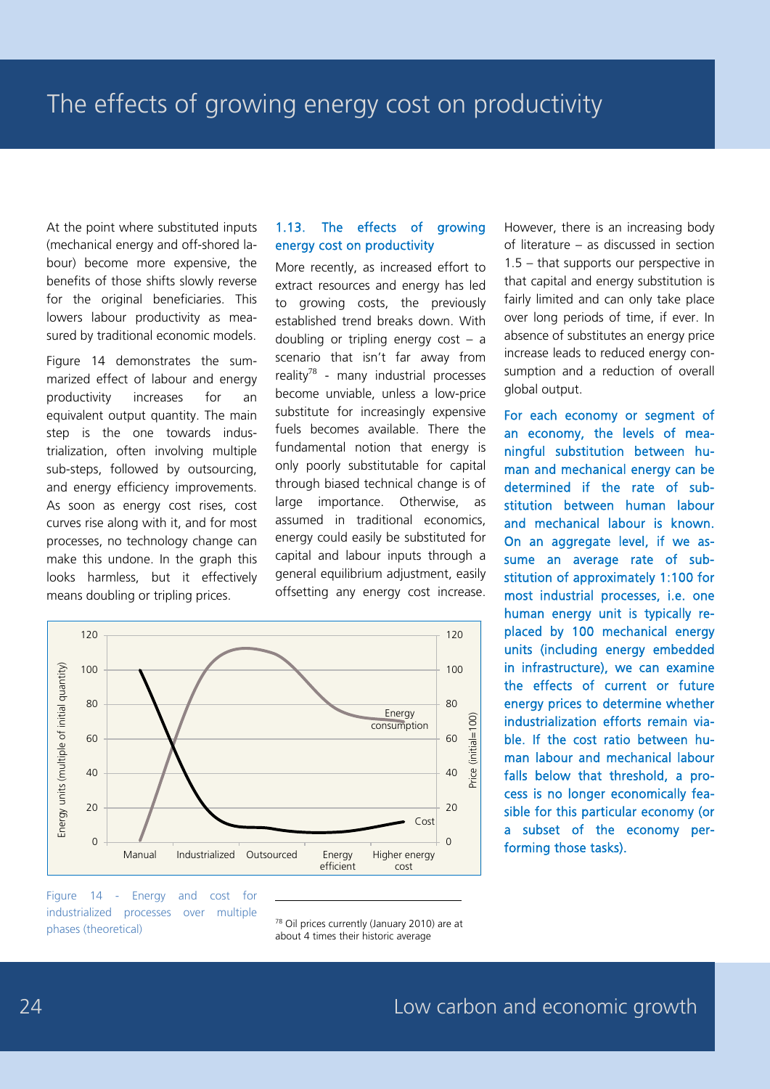At the point where substituted inputs (mechanical energy and off-shored labour) become more expensive, the benefits of those shifts slowly reverse for the original beneficiaries. This lowers labour productivity as measured by traditional economic models.

Figure 14 demonstrates the summarized effect of labour and energy productivity increases for an equivalent output quantity. The main step is the one towards industrialization, often involving multiple sub-steps, followed by outsourcing, and energy efficiency improvements. As soon as energy cost rises, cost curves rise along with it, and for most processes, no technology change can make this undone. In the graph this looks harmless, but it effectively means doubling or tripling prices.

#### 1.13. The effects of growing energy cost on productivity

More recently, as increased effort to extract resources and energy has led to growing costs, the previously established trend breaks down. With doubling or tripling energy cost – a scenario that isn't far away from reality<sup>78</sup> - many industrial processes become unviable, unless a low-price substitute for increasingly expensive fuels becomes available. There the fundamental notion that energy is only poorly substitutable for capital through biased technical change is of large importance. Otherwise, as assumed in traditional economics, energy could easily be substituted for capital and labour inputs through a general equilibrium adjustment, easily offsetting any energy cost increase.



-

Figure 14 - Energy and cost for industrialized processes over multiple phases (theoretical)

<sup>78</sup> Oil prices currently (January 2010) are at about 4 times their historic average

However, there is an increasing body of literature – as discussed in section 1.5 – that supports our perspective in that capital and energy substitution is fairly limited and can only take place over long periods of time, if ever. In absence of substitutes an energy price increase leads to reduced energy consumption and a reduction of overall global output.

For each economy or segment of an economy, the levels of meaningful substitution between human and mechanical energy can be determined if the rate of substitution between human labour and mechanical labour is known. On an aggregate level, if we assume an average rate of substitution of approximately 1:100 for most industrial processes, i.e. one human energy unit is typically replaced by 100 mechanical energy units (including energy embedded in infrastructure), we can examine the effects of current or future energy prices to determine whether industrialization efforts remain viable. If the cost ratio between human labour and mechanical labour falls below that threshold, a process is no longer economically feasible for this particular economy (or a subset of the economy performing those tasks).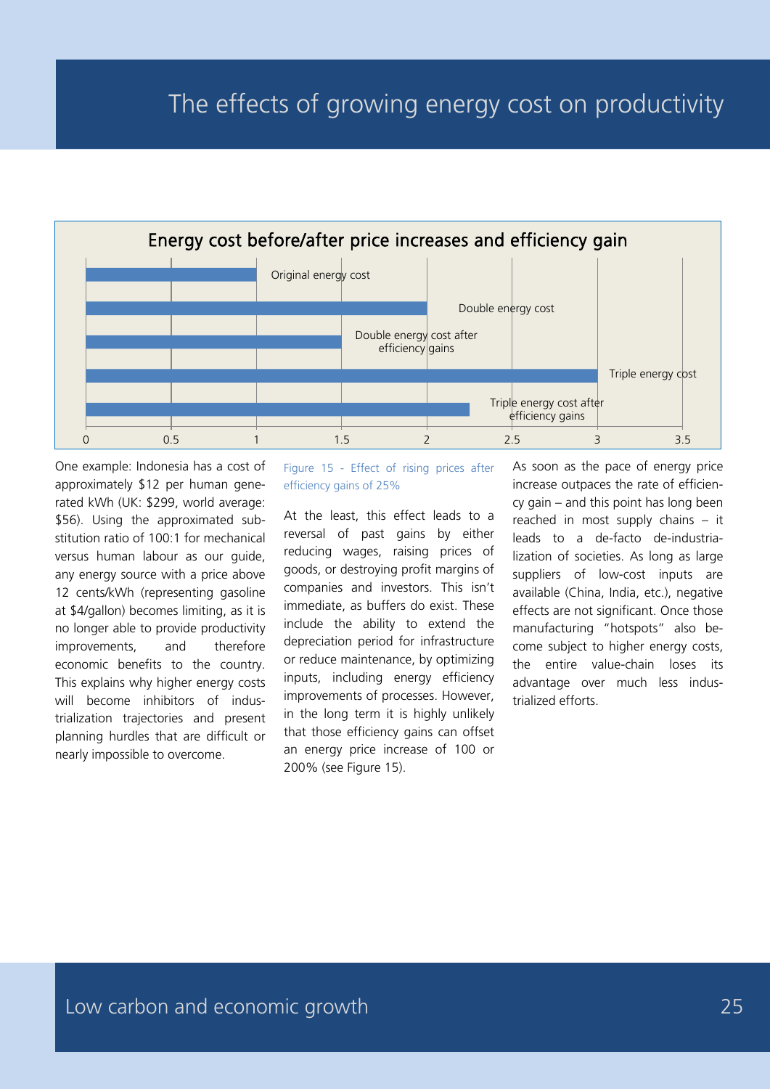

One example: Indonesia has a cost of approximately \$12 per human generated kWh (UK: \$299, world average: \$56). Using the approximated substitution ratio of 100:1 for mechanical versus human labour as our guide, any energy source with a price above 12 cents/kWh (representing gasoline at \$4/gallon) becomes limiting, as it is no longer able to provide productivity improvements, and therefore economic benefits to the country. This explains why higher energy costs will become inhibitors of industrialization trajectories and present planning hurdles that are difficult or nearly impossible to overcome.

Figure 15 - Effect of rising prices after efficiency gains of 25%

At the least, this effect leads to a reversal of past gains by either reducing wages, raising prices of goods, or destroying profit margins of companies and investors. This isn't immediate, as buffers do exist. These include the ability to extend the depreciation period for infrastructure or reduce maintenance, by optimizing inputs, including energy efficiency improvements of processes. However, in the long term it is highly unlikely that those efficiency gains can offset an energy price increase of 100 or 200% (see Figure 15).

As soon as the pace of energy price increase outpaces the rate of efficiency gain – and this point has long been reached in most supply chains – it leads to a de-facto de-industrialization of societies. As long as large suppliers of low-cost inputs are available (China, India, etc.), negative effects are not significant. Once those manufacturing "hotspots" also become subject to higher energy costs, the entire value-chain loses its advantage over much less industrialized efforts.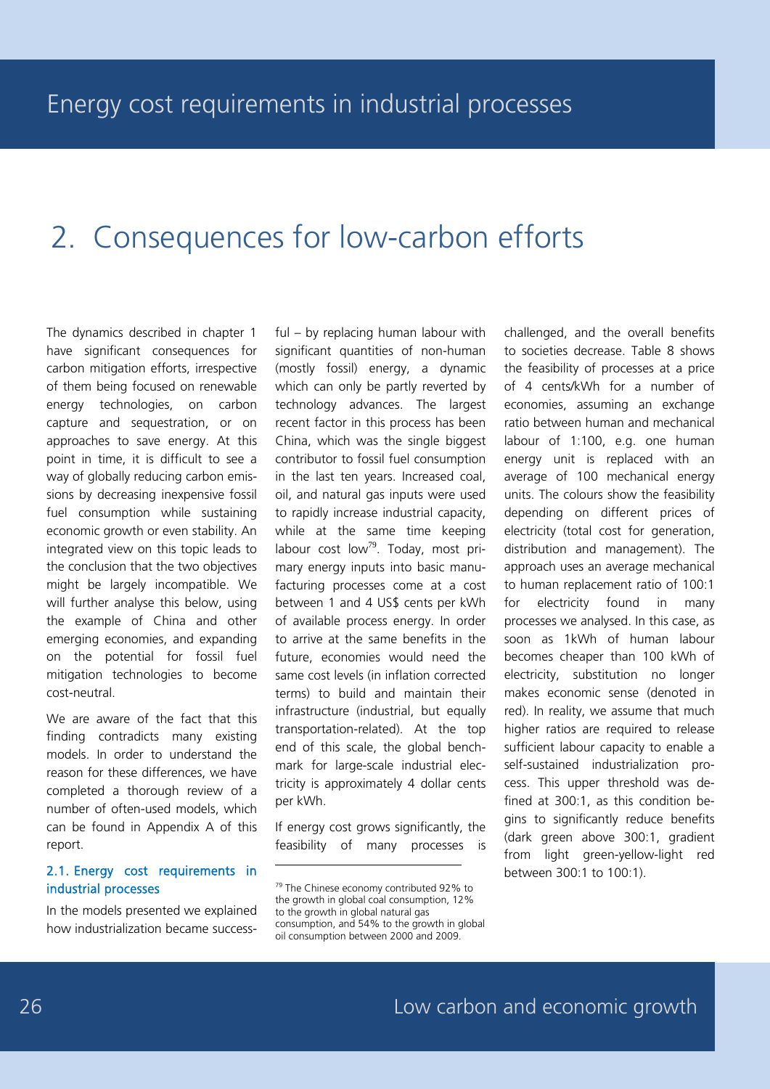# 2. Consequences for low-carbon efforts

The dynamics described in chapter 1 have significant consequences for carbon mitigation efforts, irrespective of them being focused on renewable energy technologies, on carbon capture and sequestration, or on approaches to save energy. At this point in time, it is difficult to see a way of globally reducing carbon emissions by decreasing inexpensive fossil fuel consumption while sustaining economic growth or even stability. An integrated view on this topic leads to the conclusion that the two objectives might be largely incompatible. We will further analyse this below, using the example of China and other emerging economies, and expanding on the potential for fossil fuel mitigation technologies to become cost-neutral.

We are aware of the fact that this finding contradicts many existing models. In order to understand the reason for these differences, we have completed a thorough review of a number of often-used models, which can be found in Appendix A of this report.

#### 2.1. Energy cost requirements in industrial processes

In the models presented we explained how industrialization became successful – by replacing human labour with significant quantities of non-human (mostly fossil) energy, a dynamic which can only be partly reverted by technology advances. The largest recent factor in this process has been China, which was the single biggest contributor to fossil fuel consumption in the last ten years. Increased coal, oil, and natural gas inputs were used to rapidly increase industrial capacity, while at the same time keeping labour cost low<sup>79</sup>. Today, most primary energy inputs into basic manufacturing processes come at a cost between 1 and 4 US\$ cents per kWh of available process energy. In order to arrive at the same benefits in the future, economies would need the same cost levels (in inflation corrected terms) to build and maintain their infrastructure (industrial, but equally transportation-related). At the top end of this scale, the global benchmark for large-scale industrial electricity is approximately 4 dollar cents per kWh.

If energy cost grows significantly, the feasibility of many processes is

-

challenged, and the overall benefits to societies decrease. Table 8 shows the feasibility of processes at a price of 4 cents/kWh for a number of economies, assuming an exchange ratio between human and mechanical labour of 1:100, e.g. one human energy unit is replaced with an average of 100 mechanical energy units. The colours show the feasibility depending on different prices of electricity (total cost for generation, distribution and management). The approach uses an average mechanical to human replacement ratio of 100:1 for electricity found in many processes we analysed. In this case, as soon as 1kWh of human labour becomes cheaper than 100 kWh of electricity, substitution no longer makes economic sense (denoted in red). In reality, we assume that much higher ratios are required to release sufficient labour capacity to enable a self-sustained industrialization process. This upper threshold was defined at 300:1, as this condition begins to significantly reduce benefits (dark green above 300:1, gradient from light green-yellow-light red between 300:1 to 100:1).

<sup>79</sup> The Chinese economy contributed 92% to the growth in global coal consumption, 12% to the growth in global natural gas consumption, and 54% to the growth in global oil consumption between 2000 and 2009.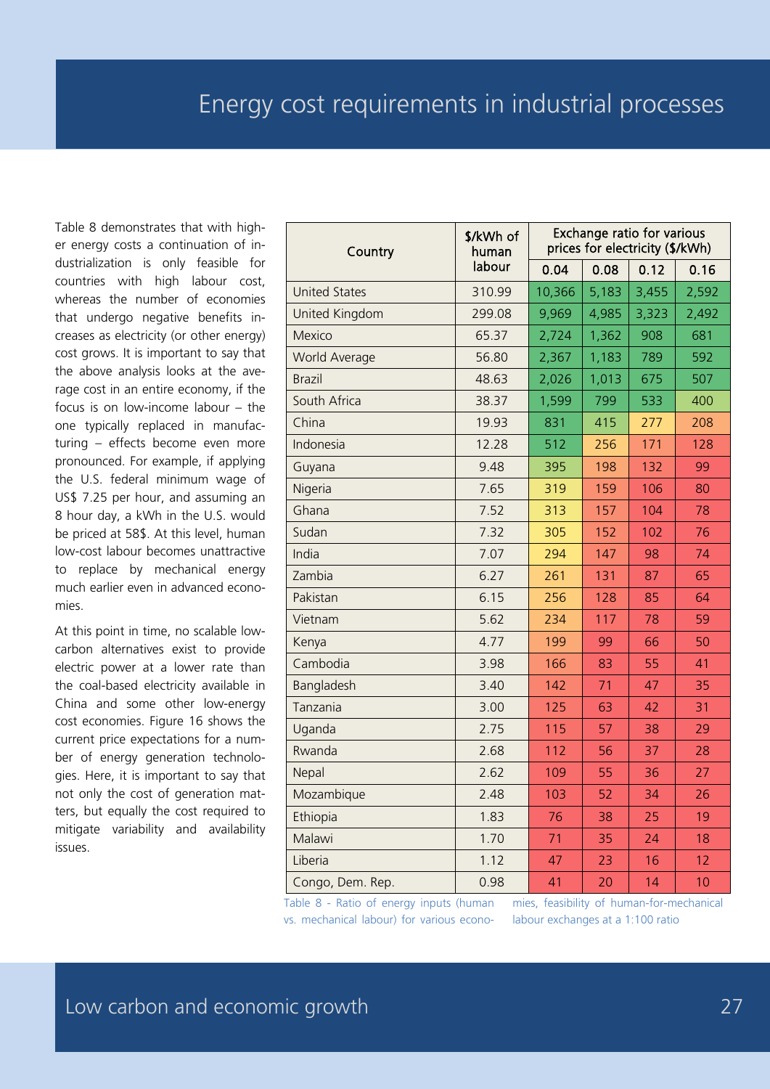Table 8 demonstrates that with higher energy costs a continuation of industrialization is only feasible for countries with high labour cost, whereas the number of economies that undergo negative benefits increases as electricity (or other energy) cost grows. It is important to say that the above analysis looks at the average cost in an entire economy, if the focus is on low-income labour – the one typically replaced in manufacturing – effects become even more pronounced. For example, if applying the U.S. federal minimum wage of US\$ 7.25 per hour, and assuming an 8 hour day, a kWh in the U.S. would be priced at 58\$. At this level, human low-cost labour becomes unattractive to replace by mechanical energy much earlier even in advanced economies.

At this point in time, no scalable lowcarbon alternatives exist to provide electric power at a lower rate than the coal-based electricity available in China and some other low-energy cost economies. Figure 16 shows the current price expectations for a number of energy generation technologies. Here, it is important to say that not only the cost of generation matters, but equally the cost required to mitigate variability and availability issues.

| Country              | \$/kWh of<br>human | <b>Exchange ratio for various</b><br>prices for electricity (\$/kWh) |       |       |       |  |  |
|----------------------|--------------------|----------------------------------------------------------------------|-------|-------|-------|--|--|
| labour               |                    | 0.04                                                                 | 0.08  | 0.12  | 0.16  |  |  |
| <b>United States</b> | 310.99             | 10,366                                                               | 5,183 | 3,455 | 2,592 |  |  |
| United Kingdom       | 299.08             | 9,969                                                                | 4,985 | 3,323 | 2,492 |  |  |
| Mexico               | 65.37              | 2,724                                                                | 1,362 | 908   | 681   |  |  |
| <b>World Average</b> | 56.80              | 2,367                                                                | 1,183 | 789   | 592   |  |  |
| Brazil               | 48.63              | 2,026                                                                | 1,013 | 675   | 507   |  |  |
| South Africa         | 38.37              | 1,599                                                                | 799   | 533   | 400   |  |  |
| China                | 19.93              | 831                                                                  | 415   | 277   | 208   |  |  |
| Indonesia            | 12.28              | 512                                                                  | 256   | 171   | 128   |  |  |
| Guyana               | 9.48               | 395                                                                  | 198   | 132   | 99    |  |  |
| Nigeria              | 7.65               | 319                                                                  | 159   | 106   | 80    |  |  |
| Ghana                | 7.52               | 313                                                                  | 157   | 104   | 78    |  |  |
| Sudan                | 7.32               | 305                                                                  | 152   | 102   | 76    |  |  |
| India                | 7.07               | 294                                                                  | 147   | 98    | 74    |  |  |
| Zambia               | 6.27               | 261                                                                  | 131   | 87    | 65    |  |  |
| Pakistan             | 6.15               | 256                                                                  | 128   | 85    | 64    |  |  |
| Vietnam              | 5.62               | 234                                                                  | 117   | 78    | 59    |  |  |
| Kenya                | 4.77               | 199                                                                  | 99    | 66    | 50    |  |  |
| Cambodia             | 3.98               | 166                                                                  | 83    | 55    | 41    |  |  |
| Bangladesh           | 3.40               | 142                                                                  | 71    | 47    | 35    |  |  |
| Tanzania             | 3.00               | 125                                                                  | 63    | 42    | 31    |  |  |
| Uganda               | 2.75               | 115                                                                  | 57    | 38    | 29    |  |  |
| Rwanda               | 2.68               | 112                                                                  | 56    | 37    | 28    |  |  |
| Nepal                | 2.62               | 109                                                                  | 55    | 36    | 27    |  |  |
| Mozambique           | 2.48               | 103                                                                  | 52    | 34    | 26    |  |  |
| Ethiopia             | 1.83               | 76                                                                   | 38    | 25    | 19    |  |  |
| Malawi               | 1.70               | 71                                                                   | 35    | 24    | 18    |  |  |
| Liberia              | 1.12               | 47                                                                   | 23    | 16    | 12    |  |  |
| Congo, Dem. Rep.     | 0.98               | 41                                                                   | 20    | 14    | 10    |  |  |

Table 8 - Ratio of energy inputs (human vs. mechanical labour) for various econo-

mies, feasibility of human-for-mechanical labour exchanges at a 1:100 ratio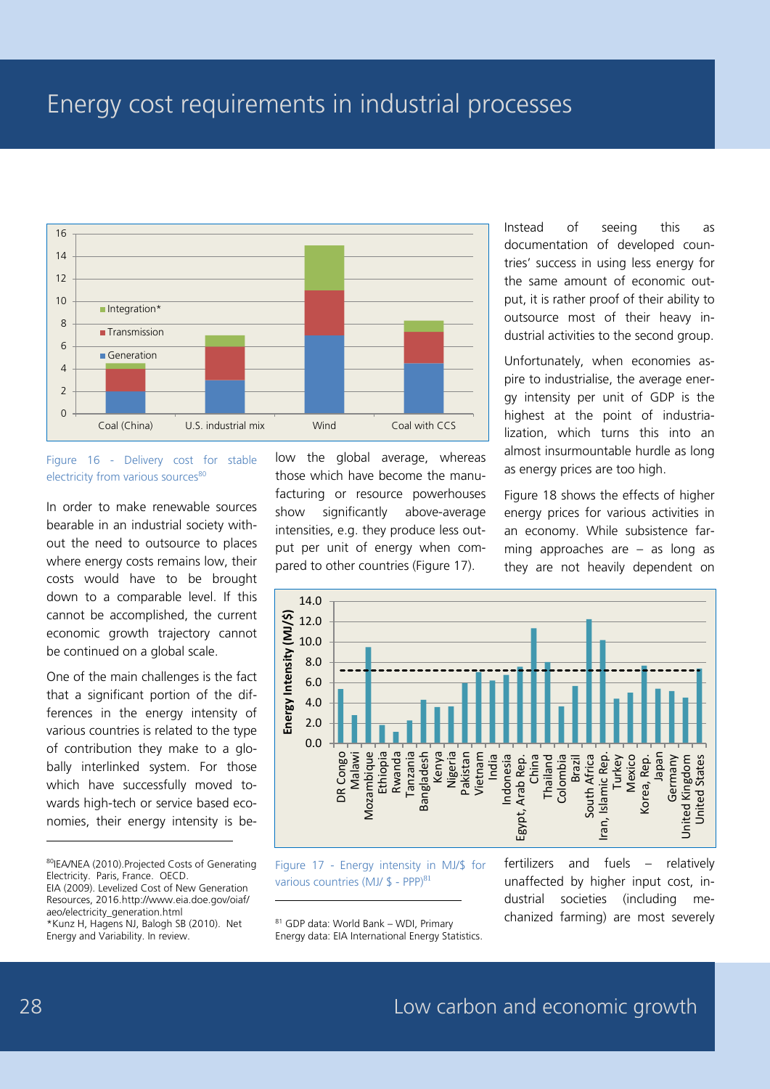### Energy cost requirements in industrial processes



#### Figure 16 - Delivery cost for stable electricity from various sources<sup>80</sup>

In order to make renewable sources bearable in an industrial society without the need to outsource to places where energy costs remains low, their costs would have to be brought down to a comparable level. If this cannot be accomplished, the current economic growth trajectory cannot be continued on a global scale.

One of the main challenges is the fact that a significant portion of the differences in the energy intensity of various countries is related to the type of contribution they make to a globally interlinked system. For those which have successfully moved towards high-tech or service based economies, their energy intensity is be-

80IEA/NEA (2010).Projected Costs of Generating Electricity. Paris, France. OECD. EIA (2009). Levelized Cost of New Generation Resources, 2016.http://www.eia.doe.gov/oiaf/ aeo/electricity\_generation.html \*Kunz H, Hagens NJ, Balogh SB (2010). Net Energy and Variability. In review.

low the global average, whereas those which have become the manufacturing or resource powerhouses show significantly above-average intensities, e.g. they produce less output per unit of energy when compared to other countries (Figure 17).

Instead of seeing this as documentation of developed countries' success in using less energy for the same amount of economic output, it is rather proof of their ability to outsource most of their heavy industrial activities to the second group.

Unfortunately, when economies aspire to industrialise, the average energy intensity per unit of GDP is the highest at the point of industrialization, which turns this into an almost insurmountable hurdle as long as energy prices are too high.

Figure 18 shows the effects of higher energy prices for various activities in an economy. While subsistence farming approaches are – as long as they are not heavily dependent on



Figure 17 - Energy intensity in MJ/\$ for various countries (MJ/  $$$  - PPP)<sup>81</sup>

<sup>81</sup> GDP data: World Bank – WDI, Primary Energy data: EIA International Energy Statistics.

-

fertilizers and fuels – relatively unaffected by higher input cost, industrial societies (including mechanized farming) are most severely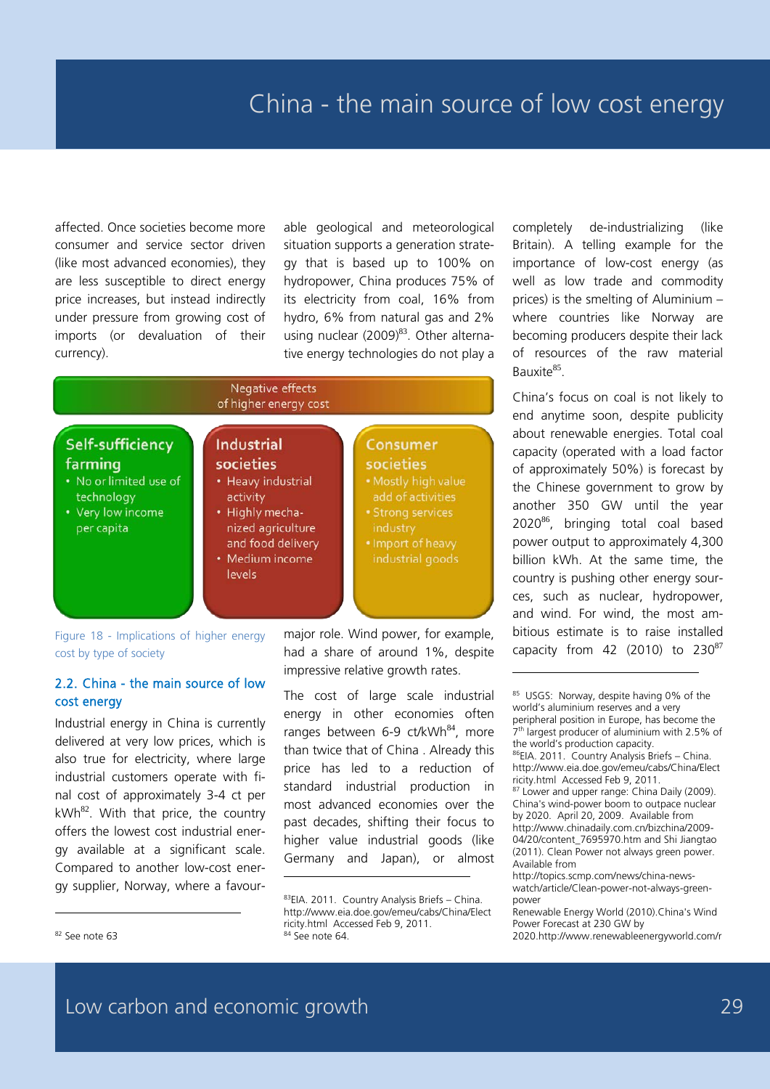affected. Once societies become more consumer and service sector driven (like most advanced economies), they are less susceptible to direct energy price increases, but instead indirectly under pressure from growing cost of imports (or devaluation of their currency).

able geological and meteorological situation supports a generation strategy that is based up to 100% on hydropower, China produces 75% of its electricity from coal, 16% from hydro, 6% from natural gas and 2% using nuclear  $(2009)^{83}$ . Other alternative energy technologies do not play a

#### **Negative effects** of higher energy cost



-

Figure 18 - Implications of higher energy cost by type of society

#### 2.2. China - the main source of low cost energy

Industrial energy in China is currently delivered at very low prices, which is also true for electricity, where large industrial customers operate with final cost of approximately 3-4 ct per  $kWh^{82}$ . With that price, the country offers the lowest cost industrial energy available at a significant scale. Compared to another low-cost energy supplier, Norway, where a favourThe cost of large scale industrial energy in other economies often ranges between 6-9 ct/kWh<sup>84</sup>, more than twice that of China . Already this price has led to a reduction of standard industrial production in most advanced economies over the past decades, shifting their focus to higher value industrial goods (like Germany and Japan), or almost completely de-industrializing (like Britain). A telling example for the importance of low-cost energy (as well as low trade and commodity prices) is the smelting of Aluminium – where countries like Norway are becoming producers despite their lack of resources of the raw material Bauxite<sup>85</sup>

China's focus on coal is not likely to end anytime soon, despite publicity about renewable energies. Total coal capacity (operated with a load factor of approximately 50%) is forecast by the Chinese government to grow by another 350 GW until the year 2020<sup>86</sup>, bringing total coal based power output to approximately 4,300 billion kWh. At the same time, the country is pushing other energy sources, such as nuclear, hydropower, and wind. For wind, the most ambitious estimate is to raise installed capacity from 42 (2010) to  $230^{87}$ 

-

major role. Wind power, for example, had a share of around 1%, despite impressive relative growth rates.

<sup>83</sup>EIA. 2011. Country Analysis Briefs - China. http://www.eia.doe.gov/emeu/cabs/China/Elect ricity.html Accessed Feb 9, 2011. <sup>84</sup> See note 64.

<sup>85</sup> USGS: Norway, despite having 0% of the world's aluminium reserves and a very peripheral position in Europe, has become the 7th largest producer of aluminium with 2.5% of the world's production capacity. <sup>86</sup>EIA. 2011. Country Analysis Briefs – China. http://www.eia.doe.gov/emeu/cabs/China/Elect ricity.html Accessed Feb 9, 2011. 87 Lower and upper range: China Daily (2009). China's wind-power boom to outpace nuclear by 2020. April 20, 2009. Available from http://www.chinadaily.com.cn/bizchina/2009- 04/20/content\_7695970.htm and Shi Jiangtao (2011). Clean Power not always green power. Available from

http://topics.scmp.com/news/china-newswatch/article/Clean-power-not-always-greenpower

Renewable Energy World (2010).China's Wind Power Forecast at 230 GW by 2020.http://www.renewableenergyworld.com/r

<sup>82</sup> See note 63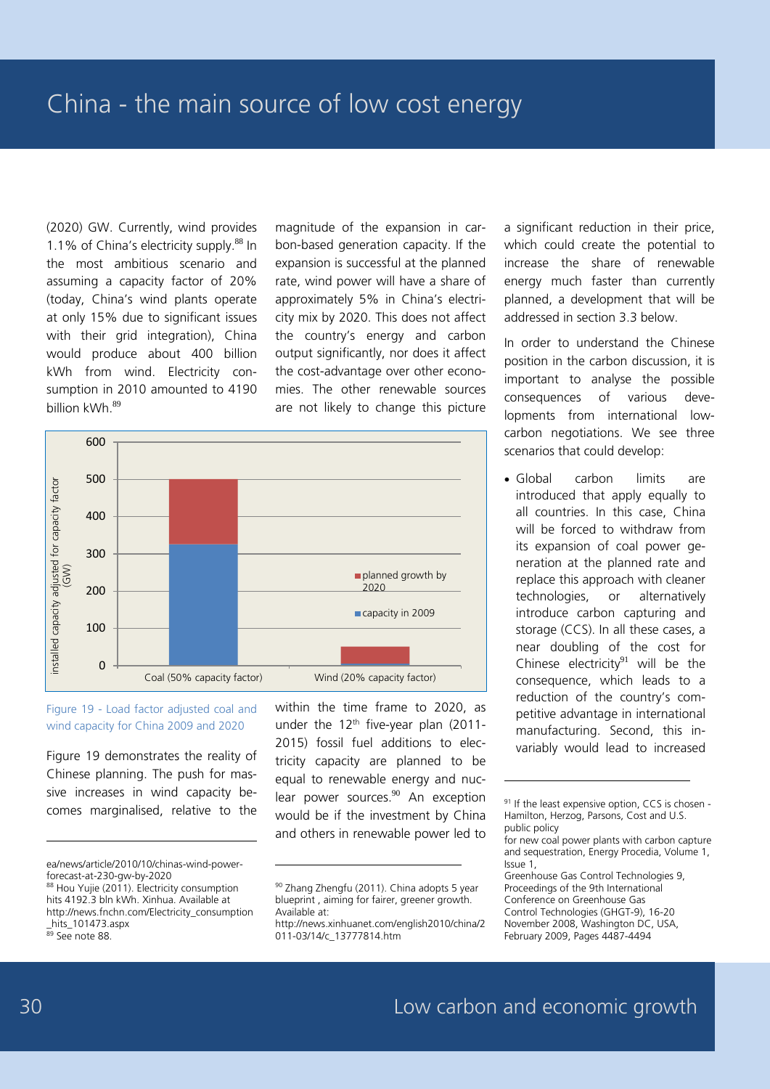(2020) GW. Currently, wind provides 1.1% of China's electricity supply.<sup>88</sup> In the most ambitious scenario and assuming a capacity factor of 20% (today, China's wind plants operate at only 15% due to significant issues with their grid integration), China would produce about 400 billion kWh from wind. Electricity consumption in 2010 amounted to 4190 billion kWh  $89$ 

magnitude of the expansion in carbon-based generation capacity. If the expansion is successful at the planned rate, wind power will have a share of approximately 5% in China's electricity mix by 2020. This does not affect the country's energy and carbon output significantly, nor does it affect the cost-advantage over other economies. The other renewable sources are not likely to change this picture



-

Figure 19 - Load factor adjusted coal and wind capacity for China 2009 and 2020

Figure 19 demonstrates the reality of Chinese planning. The push for massive increases in wind capacity becomes marginalised, relative to the

-

within the time frame to 2020, as under the  $12<sup>th</sup>$  five-year plan (2011-2015) fossil fuel additions to electricity capacity are planned to be equal to renewable energy and nuclear power sources.<sup>90</sup> An exception would be if the investment by China and others in renewable power led to a significant reduction in their price, which could create the potential to increase the share of renewable energy much faster than currently planned, a development that will be addressed in section 3.3 below.

In order to understand the Chinese position in the carbon discussion, it is important to analyse the possible consequences of various developments from international lowcarbon negotiations. We see three scenarios that could develop:

• Global carbon limits are introduced that apply equally to all countries. In this case, China will be forced to withdraw from its expansion of coal power generation at the planned rate and replace this approach with cleaner technologies, or alternatively introduce carbon capturing and storage (CCS). In all these cases, a near doubling of the cost for Chinese electricity $91$  will be the consequence, which leads to a reduction of the country's competitive advantage in international manufacturing. Second, this invariably would lead to increased

ea/news/article/2010/10/chinas-wind-powerforecast-at-230-gw-by-2020

<sup>88</sup> Hou Yujie (2011). Electricity consumption hits 4192.3 bln kWh. Xinhua. Available at http://news.fnchn.com/Electricity\_consumption \_hits\_101473.aspx

<sup>89</sup> See note 88.

<sup>90</sup> Zhang Zhengfu (2011). China adopts 5 year blueprint , aiming for fairer, greener growth. Available at:

http://news.xinhuanet.com/english2010/china/2 011-03/14/c\_13777814.htm

<sup>&</sup>lt;sup>91</sup> If the least expensive option, CCS is chosen -Hamilton, Herzog, Parsons, Cost and U.S. public policy

for new coal power plants with carbon capture and sequestration, Energy Procedia, Volume 1, Issue 1,

Greenhouse Gas Control Technologies 9, Proceedings of the 9th International Conference on Greenhouse Gas Control Technologies (GHGT-9), 16-20 November 2008, Washington DC, USA, February 2009, Pages 4487-4494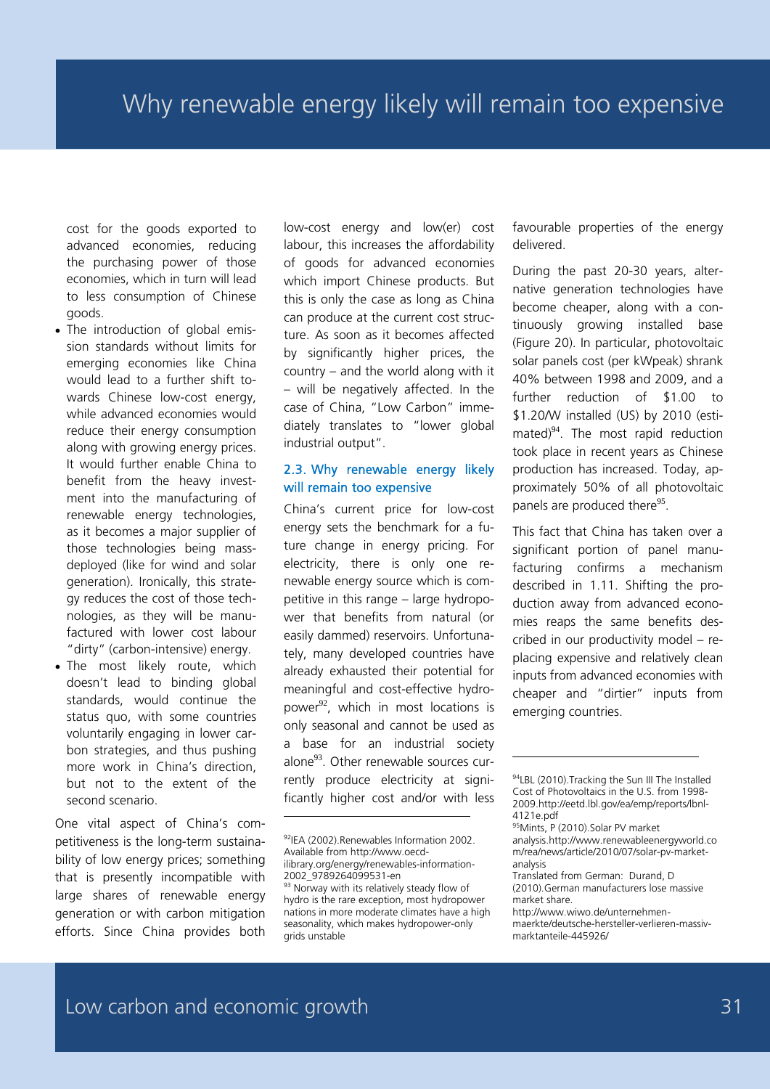cost for the goods exported to advanced economies, reducing the purchasing power of those economies, which in turn will lead to less consumption of Chinese goods.

- The introduction of global emission standards without limits for emerging economies like China would lead to a further shift towards Chinese low-cost energy, while advanced economies would reduce their energy consumption along with growing energy prices. It would further enable China to benefit from the heavy investment into the manufacturing of renewable energy technologies, as it becomes a major supplier of those technologies being massdeployed (like for wind and solar generation). Ironically, this strategy reduces the cost of those technologies, as they will be manufactured with lower cost labour "dirty" (carbon-intensive) energy.
- The most likely route, which doesn't lead to binding global standards, would continue the status quo, with some countries voluntarily engaging in lower carbon strategies, and thus pushing more work in China's direction, but not to the extent of the second scenario.

One vital aspect of China's competitiveness is the long-term sustainability of low energy prices; something that is presently incompatible with large shares of renewable energy generation or with carbon mitigation efforts. Since China provides both

low-cost energy and low(er) cost labour, this increases the affordability of goods for advanced economies which import Chinese products. But this is only the case as long as China can produce at the current cost structure. As soon as it becomes affected by significantly higher prices, the country – and the world along with it – will be negatively affected. In the case of China, "Low Carbon" immediately translates to "lower global industrial output".

#### 2.3. Why renewable energy likely will remain too expensive

China's current price for low-cost energy sets the benchmark for a future change in energy pricing. For electricity, there is only one renewable energy source which is competitive in this range – large hydropower that benefits from natural (or easily dammed) reservoirs. Unfortunately, many developed countries have already exhausted their potential for meaningful and cost-effective hydropower<sup>92</sup>, which in most locations is only seasonal and cannot be used as a base for an industrial society alone<sup>93</sup>. Other renewable sources currently produce electricity at significantly higher cost and/or with less

-

favourable properties of the energy delivered.

During the past 20-30 years, alternative generation technologies have become cheaper, along with a continuously growing installed base (Figure 20). In particular, photovoltaic solar panels cost (per kWpeak) shrank 40% between 1998 and 2009, and a further reduction of \$1.00 to \$1.20/W installed (US) by 2010 (estimated) $94$ . The most rapid reduction took place in recent years as Chinese production has increased. Today, approximately 50% of all photovoltaic panels are produced there<sup>95</sup>.

This fact that China has taken over a significant portion of panel manufacturing confirms a mechanism described in 1.11. Shifting the production away from advanced economies reaps the same benefits described in our productivity model – replacing expensive and relatively clean inputs from advanced economies with cheaper and "dirtier" inputs from emerging countries.

<sup>92</sup>IEA (2002).Renewables Information 2002. Available from http://www.oecdilibrary.org/energy/renewables-information-2002\_9789264099531-en

<sup>93</sup> Norway with its relatively steady flow of hydro is the rare exception, most hydropower nations in more moderate climates have a high seasonality, which makes hydropower-only grids unstable

<sup>94</sup>LBL (2010). Tracking the Sun III The Installed Cost of Photovoltaics in the U.S. from 1998- 2009.http://eetd.lbl.gov/ea/emp/reports/lbnl-4121e.pdf

<sup>95</sup>Mints, P (2010).Solar PV market analysis.http://www.renewableenergyworld.co m/rea/news/article/2010/07/solar-pv-marketanalysis

Translated from German: Durand, D (2010).German manufacturers lose massive market share.

http://www.wiwo.de/unternehmen-

maerkte/deutsche-hersteller-verlieren-massivmarktanteile-445926/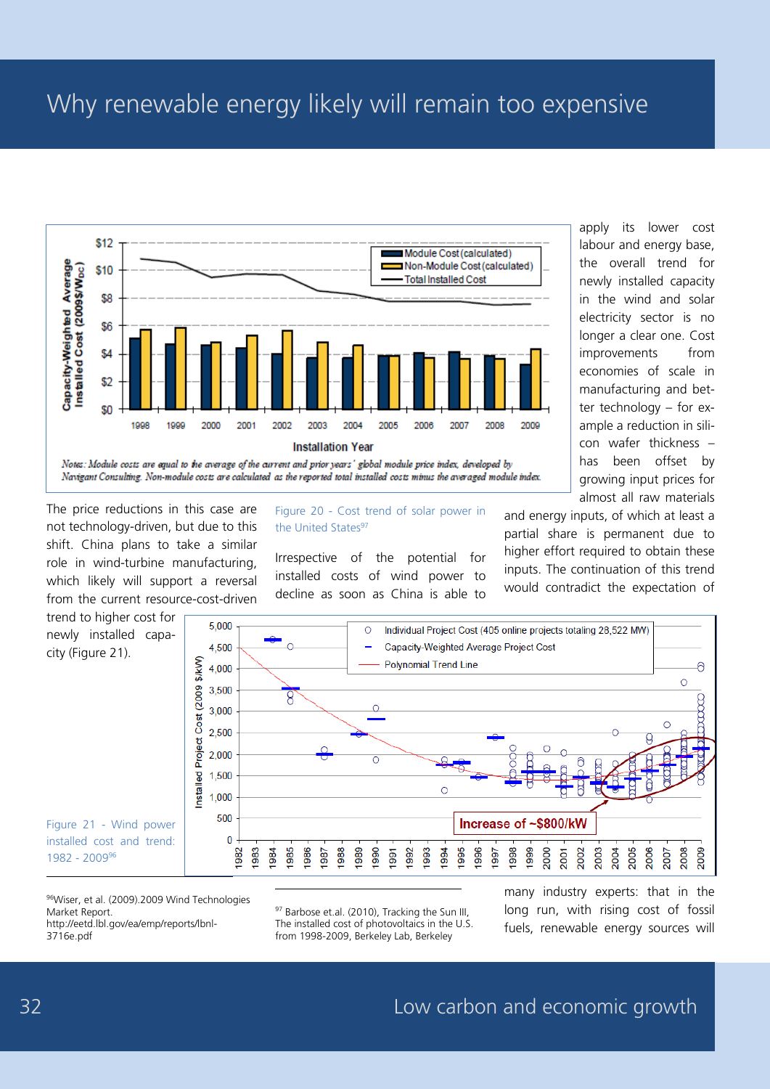# Why renewable energy likely will remain too expensive



Notes: Module costs are equal to the average of the current and prior years' global module price index, developed by Navigant Consulting. Non-module costs are calculated as the reported total installed costs minus the averaged module index.

The price reductions in this case are not technology-driven, but due to this shift. China plans to take a similar role in wind-turbine manufacturing, which likely will support a reversal from the current resource-cost-driven

Figure 20 - Cost trend of solar power in the United States<sup>97</sup>

Irrespective of the potential for installed costs of wind power to decline as soon as China is able to apply its lower cost labour and energy base, the overall trend for newly installed capacity in the wind and solar electricity sector is no longer a clear one. Cost improvements from economies of scale in manufacturing and better technology – for example a reduction in silicon wafer thickness – has been offset by growing input prices for almost all raw materials

and energy inputs, of which at least a partial share is permanent due to higher effort required to obtain these inputs. The continuation of this trend would contradict the expectation of



96Wiser, et al. (2009).2009 Wind Technologies Market Report. http://eetd.lbl.gov/ea/emp/reports/lbnl-3716e.pdf

97 Barbose et.al. (2010). Tracking the Sun III, The installed cost of photovoltaics in the U.S. from 1998-2009, Berkeley Lab, Berkeley

many industry experts: that in the long run, with rising cost of fossil fuels, renewable energy sources will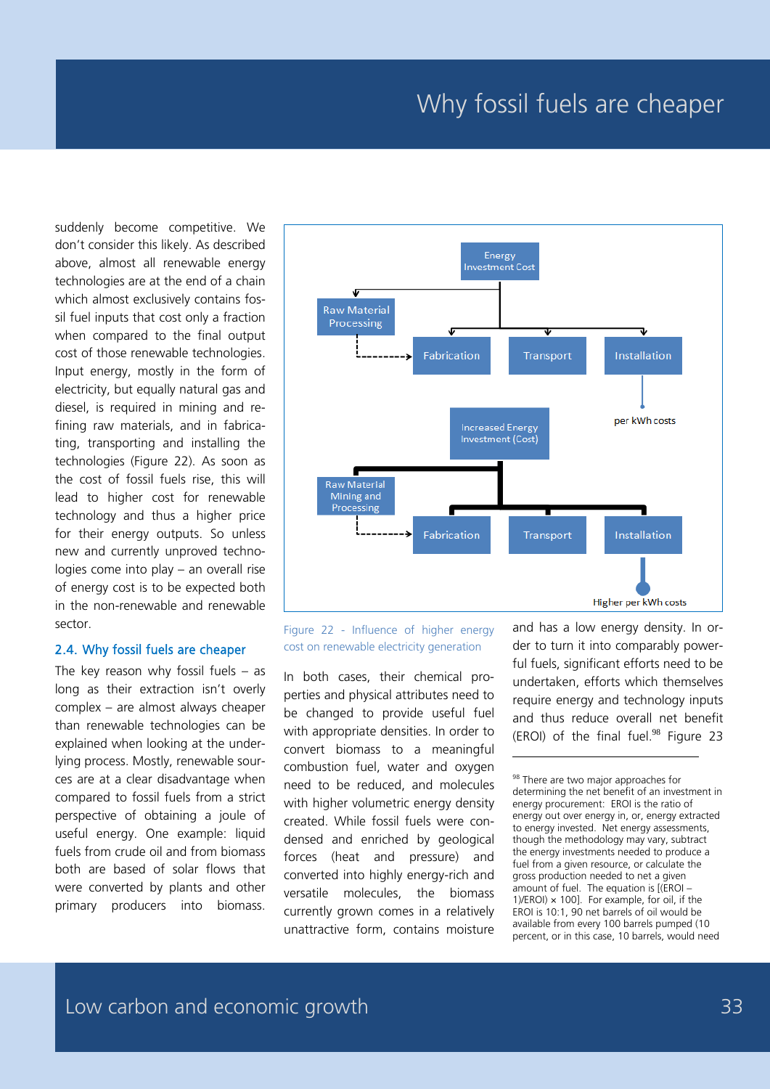### Why fossil fuels are cheaper

suddenly become competitive. We don't consider this likely. As described above, almost all renewable energy technologies are at the end of a chain which almost exclusively contains fossil fuel inputs that cost only a fraction when compared to the final output cost of those renewable technologies. Input energy, mostly in the form of electricity, but equally natural gas and diesel, is required in mining and refining raw materials, and in fabricating, transporting and installing the technologies (Figure 22). As soon as the cost of fossil fuels rise, this will lead to higher cost for renewable technology and thus a higher price for their energy outputs. So unless new and currently unproved technologies come into play – an overall rise of energy cost is to be expected both in the non-renewable and renewable sector.

#### 2.4. Why fossil fuels are cheaper

The key reason why fossil fuels – as long as their extraction isn't overly complex – are almost always cheaper than renewable technologies can be explained when looking at the underlying process. Mostly, renewable sources are at a clear disadvantage when compared to fossil fuels from a strict perspective of obtaining a joule of useful energy. One example: liquid fuels from crude oil and from biomass both are based of solar flows that were converted by plants and other primary producers into biomass.



-

Figure 22 - Influence of higher energy cost on renewable electricity generation

In both cases, their chemical properties and physical attributes need to be changed to provide useful fuel with appropriate densities. In order to convert biomass to a meaningful combustion fuel, water and oxygen need to be reduced, and molecules with higher volumetric energy density created. While fossil fuels were condensed and enriched by geological forces (heat and pressure) and converted into highly energy-rich and versatile molecules, the biomass currently grown comes in a relatively unattractive form, contains moisture

and has a low energy density. In order to turn it into comparably powerful fuels, significant efforts need to be undertaken, efforts which themselves require energy and technology inputs and thus reduce overall net benefit (EROI) of the final fuel. <sup>98</sup> Figure 23

<sup>98</sup> There are two major approaches for determining the net benefit of an investment in energy procurement: EROI is the ratio of energy out over energy in, or, energy extracted to energy invested. Net energy assessments, though the methodology may vary, subtract the energy investments needed to produce a fuel from a given resource, or calculate the gross production needed to net a given amount of fuel. The equation is [(EROI – 1)/EROI)  $\times$  100]. For example, for oil, if the EROI is 10:1, 90 net barrels of oil would be available from every 100 barrels pumped (10 percent, or in this case, 10 barrels, would need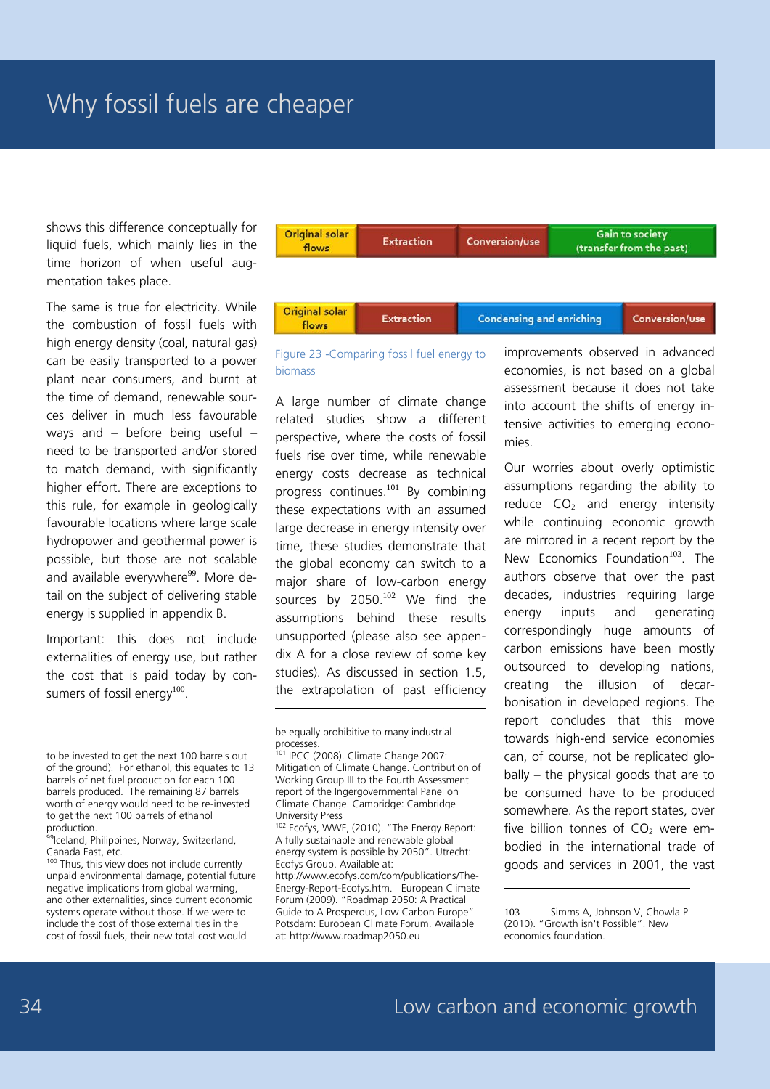shows this difference conceptually for liquid fuels, which mainly lies in the time horizon of when useful augmentation takes place.

The same is true for electricity. While the combustion of fossil fuels with high energy density (coal, natural gas) can be easily transported to a power plant near consumers, and burnt at the time of demand, renewable sources deliver in much less favourable ways and – before being useful – need to be transported and/or stored to match demand, with significantly higher effort. There are exceptions to this rule, for example in geologically favourable locations where large scale hydropower and geothermal power is possible, but those are not scalable and available everywhere<sup>99</sup>. More detail on the subject of delivering stable energy is supplied in appendix B.

Important: this does not include externalities of energy use, but rather the cost that is paid today by consumers of fossil energy $100$ .

<sup>100</sup> Thus, this view does not include currently unpaid environmental damage, potential future negative implications from global warming, and other externalities, since current economic systems operate without those. If we were to include the cost of those externalities in the cost of fossil fuels, their new total cost would



Figure 23 -Comparing fossil fuel energy to biomass

A large number of climate change related studies show a different perspective, where the costs of fossil fuels rise over time, while renewable energy costs decrease as technical progress continues.<sup>101</sup> By combining these expectations with an assumed large decrease in energy intensity over time, these studies demonstrate that the global economy can switch to a major share of low-carbon energy sources by 2050.<sup>102</sup> We find the assumptions behind these results unsupported (please also see appendix A for a close review of some key studies). As discussed in section 1.5, the extrapolation of past efficiency

-

102 Ecofys, WWF, (2010). "The Energy Report: A fully sustainable and renewable global energy system is possible by 2050". Utrecht: Ecofys Group. Available at: http://www.ecofys.com/com/publications/The-Energy-Report-Ecofys.htm. European Climate Forum (2009). "Roadmap 2050: A Practical Guide to A Prosperous, Low Carbon Europe" Potsdam: European Climate Forum. Available at: http://www.roadmap2050.eu

improvements observed in advanced economies, is not based on a global assessment because it does not take into account the shifts of energy intensive activities to emerging economies.

Our worries about overly optimistic assumptions regarding the ability to reduce  $CO<sub>2</sub>$  and energy intensity while continuing economic growth are mirrored in a recent report by the New Economics Foundation<sup>103</sup>. The authors observe that over the past decades, industries requiring large energy inputs and generating correspondingly huge amounts of carbon emissions have been mostly outsourced to developing nations, creating the illusion of decarbonisation in developed regions. The report concludes that this move towards high-end service economies can, of course, not be replicated globally – the physical goods that are to be consumed have to be produced somewhere. As the report states, over five billion tonnes of  $CO<sub>2</sub>$  were embodied in the international trade of goods and services in 2001, the vast

-

to be invested to get the next 100 barrels out of the ground). For ethanol, this equates to 13 barrels of net fuel production for each 100 barrels produced. The remaining 87 barrels worth of energy would need to be re-invested to get the next 100 barrels of ethanol production.

<sup>99</sup>Iceland, Philippines, Norway, Switzerland, Canada East, etc.

be equally prohibitive to many industrial processes.

<sup>101</sup> IPCC (2008). Climate Change 2007: Mitigation of Climate Change. Contribution of Working Group III to the Fourth Assessment report of the Ingergovernmental Panel on Climate Change. Cambridge: Cambridge University Press

<sup>103</sup> Simms A, Johnson V, Chowla P (2010). "Growth isn't Possible". New economics foundation.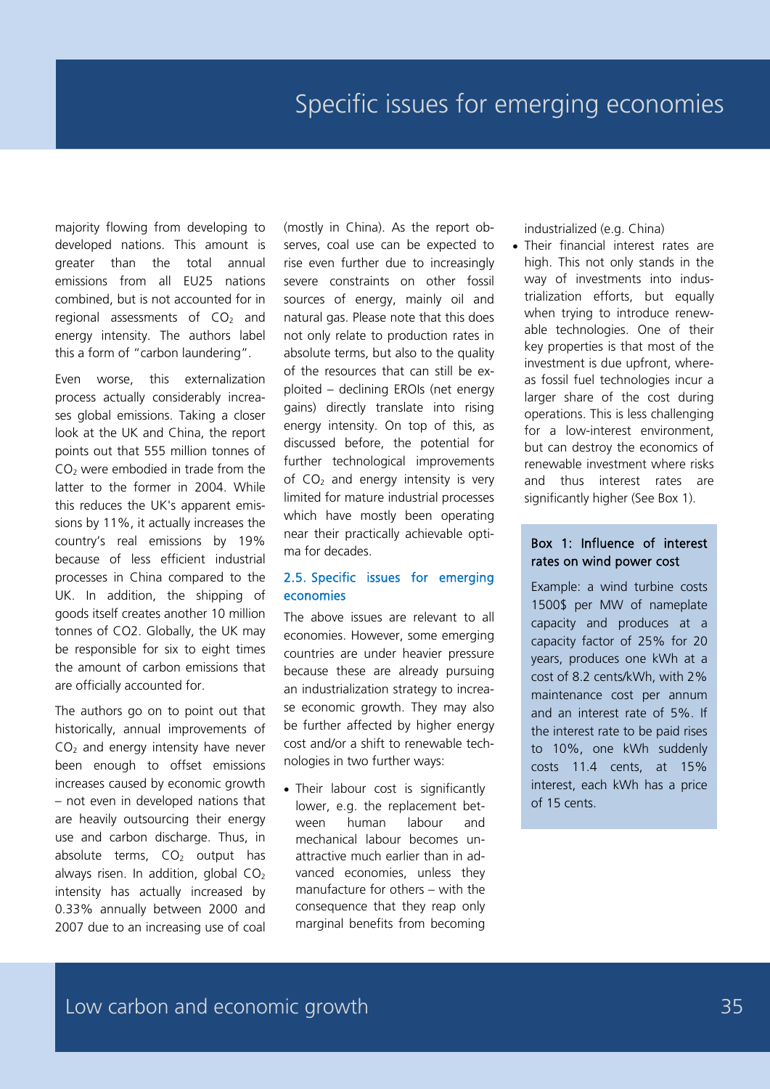majority flowing from developing to developed nations. This amount is greater than the total annual emissions from all EU25 nations combined, but is not accounted for in regional assessments of  $CO<sub>2</sub>$  and energy intensity. The authors label this a form of "carbon laundering".

Even worse, this externalization process actually considerably increases global emissions. Taking a closer look at the UK and China, the report points out that 555 million tonnes of  $CO<sub>2</sub>$  were embodied in trade from the latter to the former in 2004. While this reduces the UK's apparent emissions by 11%, it actually increases the country's real emissions by 19% because of less efficient industrial processes in China compared to the UK. In addition, the shipping of goods itself creates another 10 million tonnes of CO2. Globally, the UK may be responsible for six to eight times the amount of carbon emissions that are officially accounted for.

The authors go on to point out that historically, annual improvements of  $CO<sub>2</sub>$  and energy intensity have never been enough to offset emissions increases caused by economic growth – not even in developed nations that are heavily outsourcing their energy use and carbon discharge. Thus, in absolute terms,  $CO<sub>2</sub>$  output has always risen. In addition, global  $CO<sub>2</sub>$ intensity has actually increased by 0.33% annually between 2000 and 2007 due to an increasing use of coal

(mostly in China). As the report observes, coal use can be expected to rise even further due to increasingly severe constraints on other fossil sources of energy, mainly oil and natural gas. Please note that this does not only relate to production rates in absolute terms, but also to the quality of the resources that can still be exploited – declining EROIs (net energy gains) directly translate into rising energy intensity. On top of this, as discussed before, the potential for further technological improvements of  $CO<sub>2</sub>$  and energy intensity is very limited for mature industrial processes which have mostly been operating near their practically achievable optima for decades.

#### 2.5. Specific issues for emerging economies

The above issues are relevant to all economies. However, some emerging countries are under heavier pressure because these are already pursuing an industrialization strategy to increase economic growth. They may also be further affected by higher energy cost and/or a shift to renewable technologies in two further ways:

• Their labour cost is significantly lower, e.g. the replacement between human labour and mechanical labour becomes unattractive much earlier than in advanced economies, unless they manufacture for others – with the consequence that they reap only marginal benefits from becoming

industrialized (e.g. China)

• Their financial interest rates are high. This not only stands in the way of investments into industrialization efforts, but equally when trying to introduce renewable technologies. One of their key properties is that most of the investment is due upfront, whereas fossil fuel technologies incur a larger share of the cost during operations. This is less challenging for a low-interest environment, but can destroy the economics of renewable investment where risks and thus interest rates are significantly higher (See Box 1).

#### Box 1: Influence of interest rates on wind power cost

Example: a wind turbine costs 1500\$ per MW of nameplate capacity and produces at a capacity factor of 25% for 20 years, produces one kWh at a cost of 8.2 cents/kWh, with 2% maintenance cost per annum and an interest rate of 5%. If the interest rate to be paid rises to 10%, one kWh suddenly costs 11.4 cents, at 15% interest, each kWh has a price of 15 cents.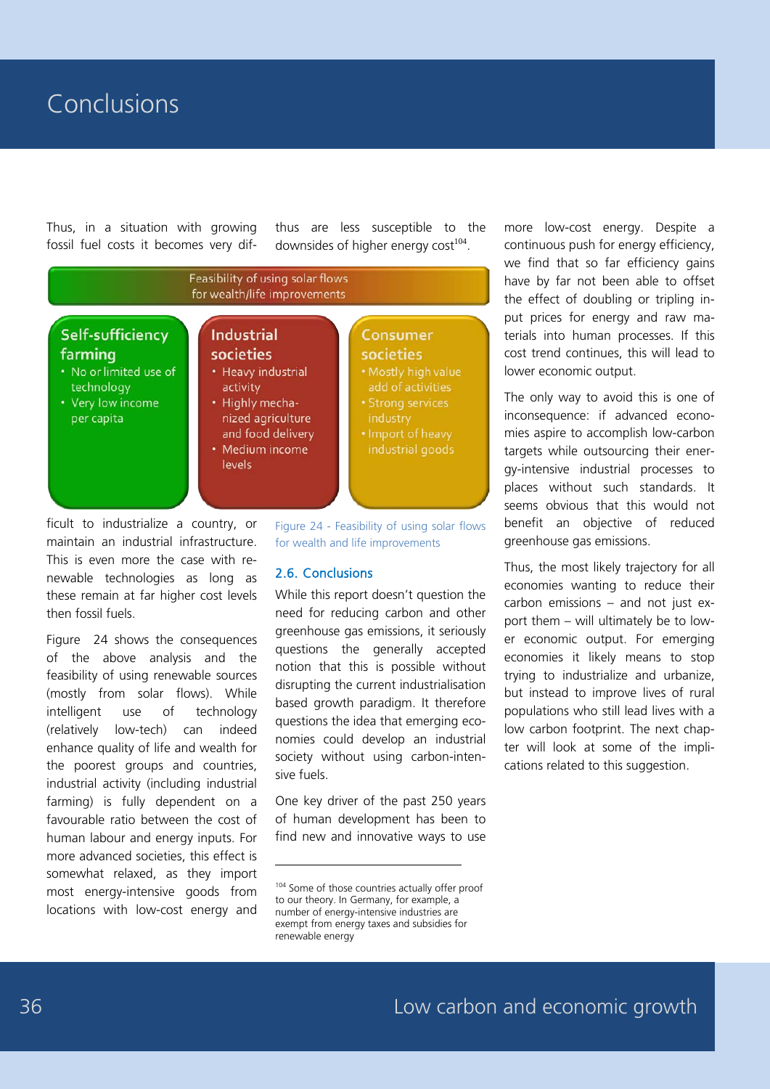### Conclusions

Thus, in a situation with growing fossil fuel costs it becomes very difthus are less susceptible to the downsides of higher energy  $cost^{104}$ .



-

ficult to industrialize a country, or maintain an industrial infrastructure. This is even more the case with renewable technologies as long as these remain at far higher cost levels then fossil fuels.

Figure 24 shows the consequences of the above analysis and the feasibility of using renewable sources (mostly from solar flows). While intelligent use of technology (relatively low-tech) can indeed enhance quality of life and wealth for the poorest groups and countries, industrial activity (including industrial farming) is fully dependent on a favourable ratio between the cost of human labour and energy inputs. For more advanced societies, this effect is somewhat relaxed, as they import most energy-intensive goods from locations with low-cost energy and

Figure 24 - Feasibility of using solar flows for wealth and life improvements

#### 2.6. Conclusions

While this report doesn't question the need for reducing carbon and other greenhouse gas emissions, it seriously questions the generally accepted notion that this is possible without disrupting the current industrialisation based growth paradigm. It therefore questions the idea that emerging economies could develop an industrial society without using carbon-intensive fuels.

One key driver of the past 250 years of human development has been to find new and innovative ways to use more low-cost energy. Despite a continuous push for energy efficiency, we find that so far efficiency gains have by far not been able to offset the effect of doubling or tripling input prices for energy and raw materials into human processes. If this cost trend continues, this will lead to lower economic output.

The only way to avoid this is one of inconsequence: if advanced economies aspire to accomplish low-carbon targets while outsourcing their energy-intensive industrial processes to places without such standards. It seems obvious that this would not benefit an objective of reduced greenhouse gas emissions.

Thus, the most likely trajectory for all economies wanting to reduce their carbon emissions – and not just export them – will ultimately be to lower economic output. For emerging economies it likely means to stop trying to industrialize and urbanize, but instead to improve lives of rural populations who still lead lives with a low carbon footprint. The next chapter will look at some of the implications related to this suggestion.

<sup>104</sup> Some of those countries actually offer proof to our theory. In Germany, for example, a number of energy-intensive industries are exempt from energy taxes and subsidies for renewable energy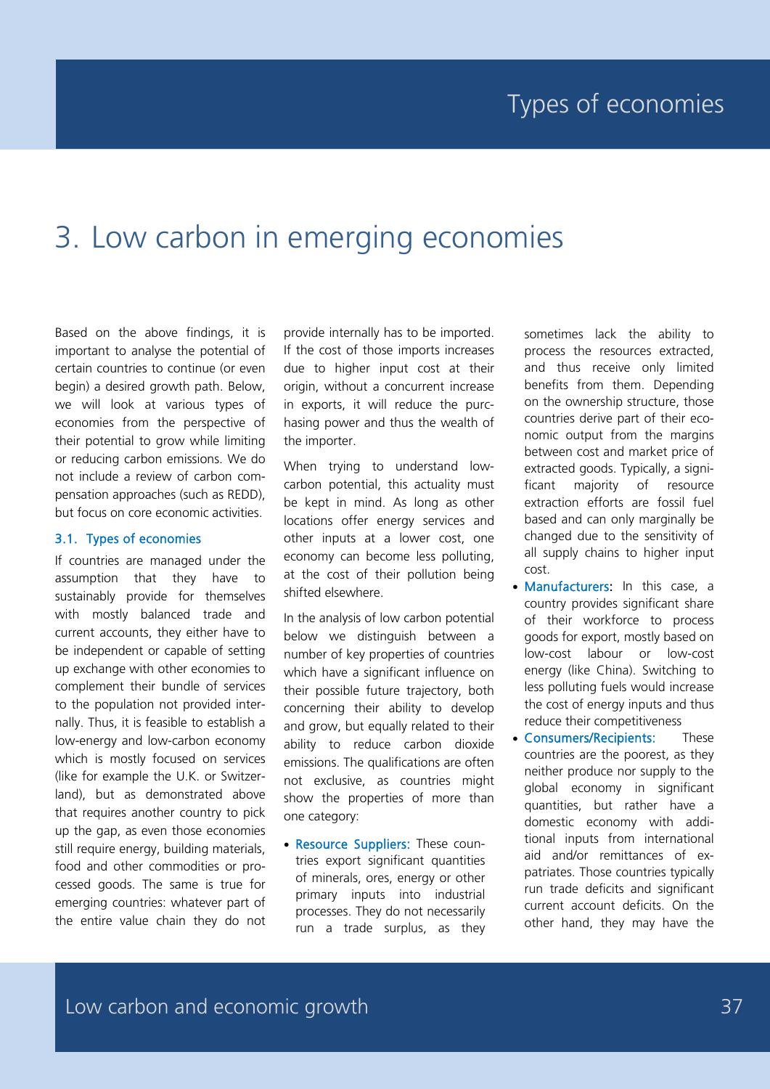# 3. Low carbon in emerging economies

Based on the above findings, it is important to analyse the potential of certain countries to continue (or even begin) a desired growth path. Below, we will look at various types of economies from the perspective of their potential to grow while limiting or reducing carbon emissions. We do not include a review of carbon compensation approaches (such as REDD), but focus on core economic activities.

#### 3.1. Types of economies

If countries are managed under the assumption that they have to sustainably provide for themselves with mostly balanced trade and current accounts, they either have to be independent or capable of setting up exchange with other economies to complement their bundle of services to the population not provided internally. Thus, it is feasible to establish a low-energy and low-carbon economy which is mostly focused on services (like for example the U.K. or Switzerland), but as demonstrated above that requires another country to pick up the gap, as even those economies still require energy, building materials, food and other commodities or processed goods. The same is true for emerging countries: whatever part of the entire value chain they do not provide internally has to be imported. If the cost of those imports increases due to higher input cost at their origin, without a concurrent increase in exports, it will reduce the purchasing power and thus the wealth of the importer.

When trying to understand lowcarbon potential, this actuality must be kept in mind. As long as other locations offer energy services and other inputs at a lower cost, one economy can become less polluting, at the cost of their pollution being shifted elsewhere.

In the analysis of low carbon potential below we distinguish between a number of key properties of countries which have a significant influence on their possible future trajectory, both concerning their ability to develop and grow, but equally related to their ability to reduce carbon dioxide emissions. The qualifications are often not exclusive, as countries might show the properties of more than one category:

• Resource Suppliers: These countries export significant quantities of minerals, ores, energy or other primary inputs into industrial processes. They do not necessarily run a trade surplus, as they sometimes lack the ability to process the resources extracted, and thus receive only limited benefits from them. Depending on the ownership structure, those countries derive part of their economic output from the margins between cost and market price of extracted goods. Typically, a significant majority of resource extraction efforts are fossil fuel based and can only marginally be changed due to the sensitivity of all supply chains to higher input cost.

- Manufacturers: In this case, a country provides significant share of their workforce to process goods for export, mostly based on low-cost labour or low-cost energy (like China). Switching to less polluting fuels would increase the cost of energy inputs and thus reduce their competitiveness
- Consumers/Recipients: These countries are the poorest, as they neither produce nor supply to the global economy in significant quantities, but rather have a domestic economy with additional inputs from international aid and/or remittances of expatriates. Those countries typically run trade deficits and significant current account deficits. On the other hand, they may have the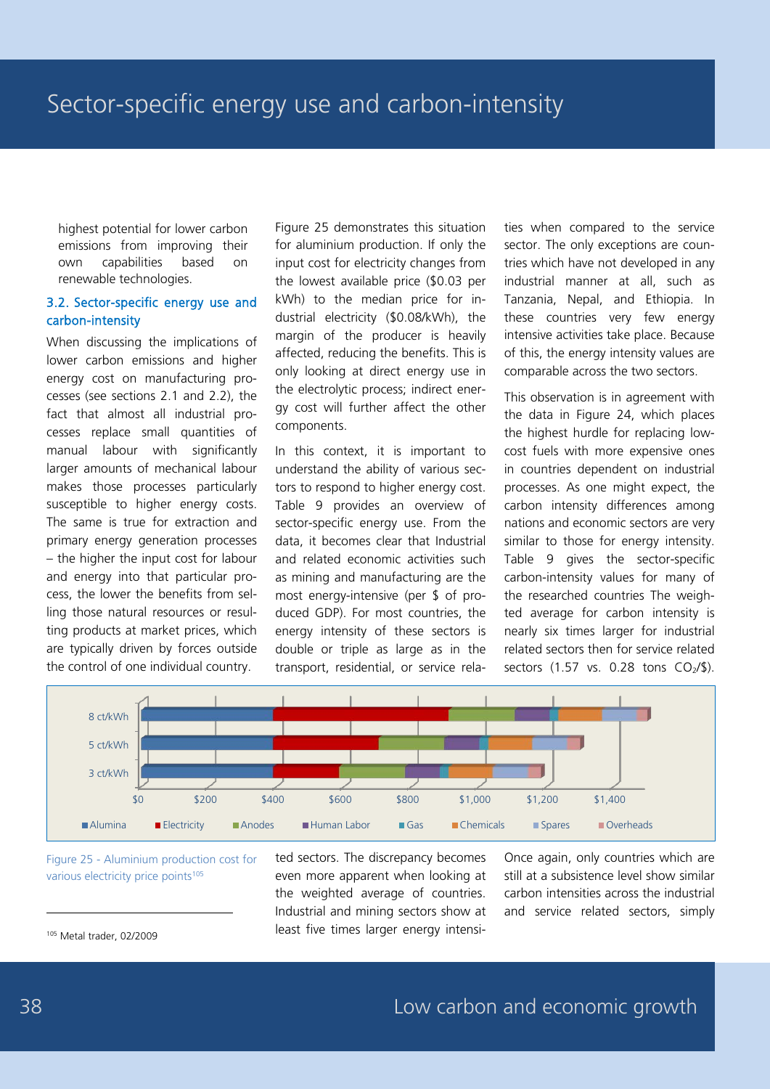highest potential for lower carbon emissions from improving their own capabilities based on renewable technologies.

#### 3.2. Sector-specific energy use and carbon-intensity

When discussing the implications of lower carbon emissions and higher energy cost on manufacturing processes (see sections 2.1 and 2.2), the fact that almost all industrial processes replace small quantities of manual labour with significantly larger amounts of mechanical labour makes those processes particularly susceptible to higher energy costs. The same is true for extraction and primary energy generation processes – the higher the input cost for labour and energy into that particular process, the lower the benefits from selling those natural resources or resulting products at market prices, which are typically driven by forces outside the control of one individual country.

Figure 25 demonstrates this situation for aluminium production. If only the input cost for electricity changes from the lowest available price (\$0.03 per kWh) to the median price for industrial electricity (\$0.08/kWh), the margin of the producer is heavily affected, reducing the benefits. This is only looking at direct energy use in the electrolytic process; indirect energy cost will further affect the other components.

In this context, it is important to understand the ability of various sectors to respond to higher energy cost. Table 9 provides an overview of sector-specific energy use. From the data, it becomes clear that Industrial and related economic activities such as mining and manufacturing are the most energy-intensive (per \$ of produced GDP). For most countries, the energy intensity of these sectors is double or triple as large as in the transport, residential, or service relaties when compared to the service sector. The only exceptions are countries which have not developed in any industrial manner at all, such as Tanzania, Nepal, and Ethiopia. In these countries very few energy intensive activities take place. Because of this, the energy intensity values are comparable across the two sectors.

This observation is in agreement with the data in Figure 24, which places the highest hurdle for replacing lowcost fuels with more expensive ones in countries dependent on industrial processes. As one might expect, the carbon intensity differences among nations and economic sectors are very similar to those for energy intensity. Table 9 gives the sector-specific carbon-intensity values for many of the researched countries The weighted average for carbon intensity is nearly six times larger for industrial related sectors then for service related sectors  $(1.57 \text{ vs. } 0.28 \text{ tons } CO<sub>2</sub>/$).$ 



Figure 25 - Aluminium production cost for various electricity price points<sup>105</sup>

<sup>105</sup> Metal trader, 02/2009

ted sectors. The discrepancy becomes even more apparent when looking at the weighted average of countries. Industrial and mining sectors show at least five times larger energy intensiOnce again, only countries which are still at a subsistence level show similar carbon intensities across the industrial and service related sectors, simply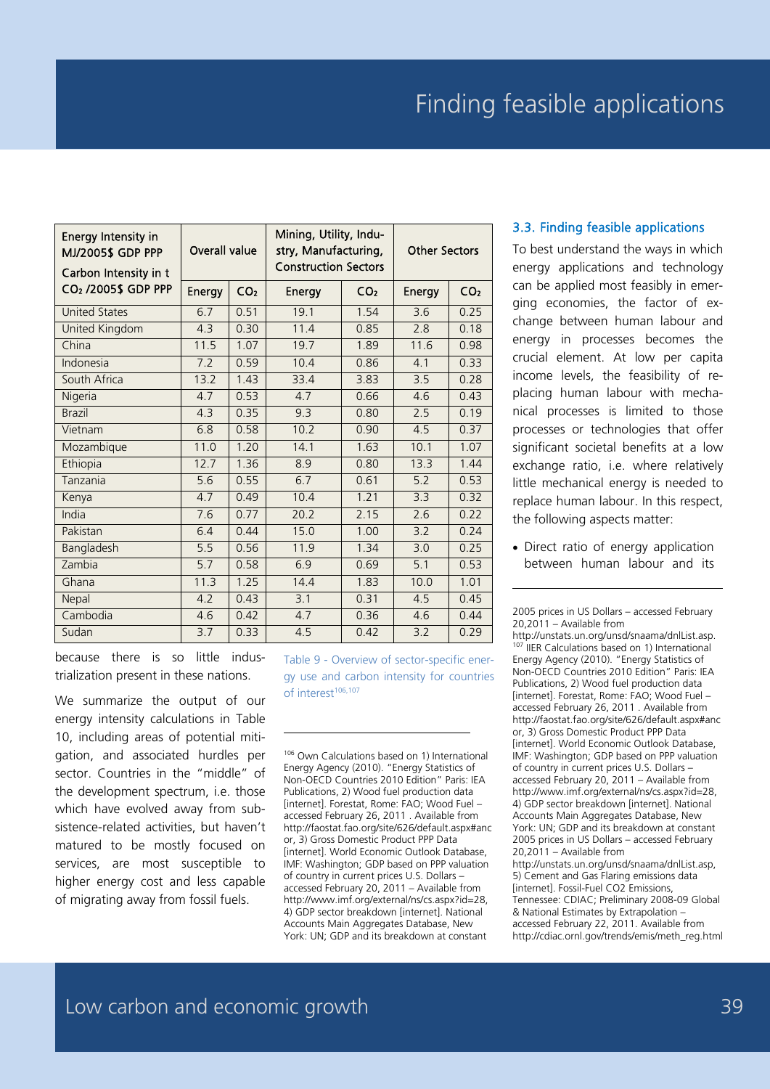| Energy Intensity in<br>MJ/2005\$ GDP PPP<br>Carbon Intensity in t | Overall value |                 | Mining, Utility, Indu-<br>stry, Manufacturing,<br><b>Construction Sectors</b> | <b>Other Sectors</b> |        |                 |
|-------------------------------------------------------------------|---------------|-----------------|-------------------------------------------------------------------------------|----------------------|--------|-----------------|
| CO <sub>2</sub> /2005\$ GDP PPP                                   | Energy        | CO <sub>2</sub> | Energy                                                                        | CO <sub>2</sub>      | Energy | CO <sub>2</sub> |
| <b>United States</b>                                              | 6.7           | 0.51            | 19.1                                                                          | 1.54                 | 3.6    | 0.25            |
| United Kingdom                                                    | 4.3           | 0.30            | 11.4                                                                          | 0.85                 | 2.8    | 0.18            |
| China                                                             | 11.5          | 1.07            | 19.7                                                                          | 1.89                 | 11.6   | 0.98            |
| Indonesia                                                         | 72            | 0.59            | 10.4                                                                          | 0.86                 | 4.1    | 0.33            |
| South Africa                                                      | 13.2          | 1.43            | 33.4                                                                          | 3.83                 | 3.5    | 0.28            |
| Nigeria                                                           | 4.7           | 0.53            | 4.7                                                                           | 0.66                 | 4.6    | 0.43            |
| <b>Brazil</b>                                                     | 4.3           | 0.35            | $\overline{9}$ .3                                                             | 0.80                 | 2.5    | 0.19            |
| Vietnam                                                           | 6.8           | 0.58            | 10.2                                                                          | 0.90                 | 4.5    | 0.37            |
| Mozambique                                                        | 11.0          | 1.20            | 14.1                                                                          | 1.63                 | 10.1   | 1.07            |
| Ethiopia                                                          | 127           | 1 36            | 8.9                                                                           | 0.80                 | 13.3   | 1.44            |
| Tanzania                                                          | 5.6           | 0.55            | 6.7                                                                           | 0.61                 | 5.2    | 0.53            |
| Kenya                                                             | 4.7           | 0.49            | 10.4                                                                          | 1.21                 | 3.3    | 0.32            |
| India                                                             | 7.6           | 0.77            | 20.2                                                                          | 2.15                 | 2.6    | 0.22            |
| Pakistan                                                          | 6.4           | 0.44            | 15.0                                                                          | 1.00                 | 3.2    | 0.24            |
| Bangladesh                                                        | 5.5           | 0.56            | 11.9                                                                          | 1.34                 | 3.0    | 0.25            |
| Zambia                                                            | 5.7           | 0.58            | 6.9                                                                           | 0.69                 | 5.1    | 0.53            |
| Ghana                                                             | 11.3          | 1.25            | 14.4                                                                          | 1.83                 | 10.0   | 1.01            |
| Nepal                                                             | 4.2           | 0.43            | 3.1                                                                           | 0.31                 | 4.5    | 0.45            |
| Cambodia                                                          | 4.6           | 0.42            | 4.7                                                                           | 0.36                 | 4.6    | 0.44            |
| Sudan                                                             | 3.7           | 0.33            | 4.5                                                                           | 0.42                 | 3.2    | 0.29            |

-

#### 3.3. Finding feasible applications

To best understand the ways in which energy applications and technology can be applied most feasibly in emerging economies, the factor of exchange between human labour and energy in processes becomes the crucial element. At low per capita income levels, the feasibility of replacing human labour with mechanical processes is limited to those processes or technologies that offer significant societal benefits at a low exchange ratio, i.e. where relatively little mechanical energy is needed to replace human labour. In this respect, the following aspects matter:

• Direct ratio of energy application between human labour and its

because there is so little industrialization present in these nations.

We summarize the output of our energy intensity calculations in Table 10, including areas of potential mitigation, and associated hurdles per sector. Countries in the "middle" of the development spectrum, i.e. those which have evolved away from subsistence-related activities, but haven't matured to be mostly focused on services, are most susceptible to higher energy cost and less capable of migrating away from fossil fuels.

Table 9 - Overview of sector-specific energy use and carbon intensity for countries of interest<sup>106,107</sup>

<sup>106</sup> Own Calculations based on 1) International Energy Agency (2010). "Energy Statistics of Non-OECD Countries 2010 Edition" Paris: IEA Publications, 2) Wood fuel production data [internet]. Forestat, Rome: FAO; Wood Fuel – accessed February 26, 2011 . Available from http://faostat.fao.org/site/626/default.aspx#anc or, 3) Gross Domestic Product PPP Data [internet]. World Economic Outlook Database, IMF: Washington; GDP based on PPP valuation of country in current prices U.S. Dollars – accessed February 20, 2011 – Available from http://www.imf.org/external/ns/cs.aspx?id=28, 4) GDP sector breakdown [internet]. National Accounts Main Aggregates Database, New York: UN; GDP and its breakdown at constant

2005 prices in US Dollars – accessed February 20,2011 – Available from

-

http://unstats.un.org/unsd/snaama/dnlList.asp. <sup>107</sup> IIER Calculations based on 1) International Energy Agency (2010). "Energy Statistics of Non-OECD Countries 2010 Edition" Paris: IEA Publications, 2) Wood fuel production data [internet]. Forestat, Rome: FAO; Wood Fuel – accessed February 26, 2011 . Available from http://faostat.fao.org/site/626/default.aspx#anc or, 3) Gross Domestic Product PPP Data [internet]. World Economic Outlook Database, IMF: Washington; GDP based on PPP valuation of country in current prices U.S. Dollars – accessed February 20, 2011 – Available from http://www.imf.org/external/ns/cs.aspx?id=28, 4) GDP sector breakdown [internet]. National Accounts Main Aggregates Database, New York: UN; GDP and its breakdown at constant 2005 prices in US Dollars – accessed February 20,2011 – Available from http://unstats.un.org/unsd/snaama/dnlList.asp,

5) Cement and Gas Flaring emissions data [internet]. Fossil-Fuel CO2 Emissions, Tennessee: CDIAC; Preliminary 2008-09 Global & National Estimates by Extrapolation – accessed February 22, 2011. Available from http://cdiac.ornl.gov/trends/emis/meth\_reg.html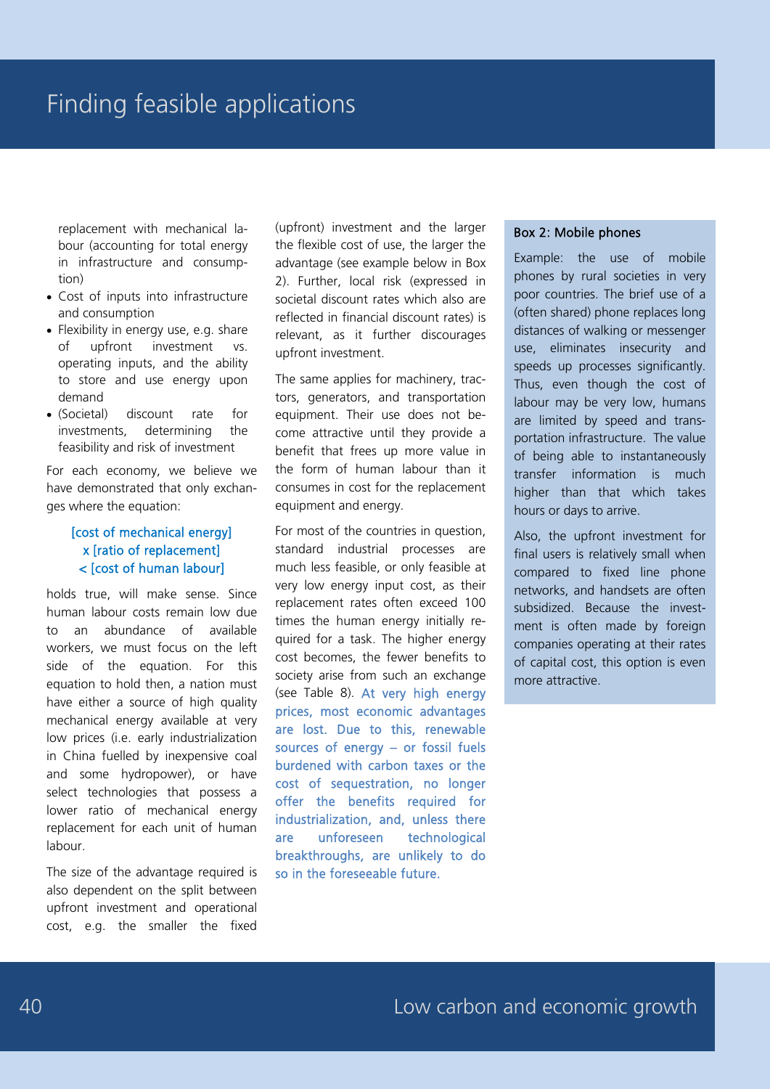replacement with mechanical labour (accounting for total energy in infrastructure and consumption)

- Cost of inputs into infrastructure and consumption
- Flexibility in energy use, e.g. share of upfront investment vs. operating inputs, and the ability to store and use energy upon demand
- (Societal) discount rate for investments, determining the feasibility and risk of investment

For each economy, we believe we have demonstrated that only exchanges where the equation:

#### [cost of mechanical energy] x [ratio of replacement] < [cost of human labour]

holds true, will make sense. Since human labour costs remain low due to an abundance of available workers, we must focus on the left side of the equation. For this equation to hold then, a nation must have either a source of high quality mechanical energy available at very low prices (i.e. early industrialization in China fuelled by inexpensive coal and some hydropower), or have select technologies that possess a lower ratio of mechanical energy replacement for each unit of human labour.

The size of the advantage required is also dependent on the split between upfront investment and operational cost, e.g. the smaller the fixed

(upfront) investment and the larger the flexible cost of use, the larger the advantage (see example below in Box 2). Further, local risk (expressed in societal discount rates which also are reflected in financial discount rates) is relevant, as it further discourages upfront investment.

The same applies for machinery, tractors, generators, and transportation equipment. Their use does not become attractive until they provide a benefit that frees up more value in the form of human labour than it consumes in cost for the replacement equipment and energy.

For most of the countries in question, standard industrial processes are much less feasible, or only feasible at very low energy input cost, as their replacement rates often exceed 100 times the human energy initially required for a task. The higher energy cost becomes, the fewer benefits to society arise from such an exchange (see Table 8). At very high energy prices, most economic advantages are lost. Due to this, renewable sources of energy – or fossil fuels burdened with carbon taxes or the cost of sequestration, no longer offer the benefits required for industrialization, and, unless there are unforeseen technological breakthroughs, are unlikely to do so in the foreseeable future.

#### Box 2: Mobile phones

Example: the use of mobile phones by rural societies in very poor countries. The brief use of a (often shared) phone replaces long distances of walking or messenger use, eliminates insecurity and speeds up processes significantly. Thus, even though the cost of labour may be very low, humans are limited by speed and transportation infrastructure. The value of being able to instantaneously transfer information is much higher than that which takes hours or days to arrive.

Also, the upfront investment for final users is relatively small when compared to fixed line phone networks, and handsets are often subsidized. Because the investment is often made by foreign companies operating at their rates of capital cost, this option is even more attractive.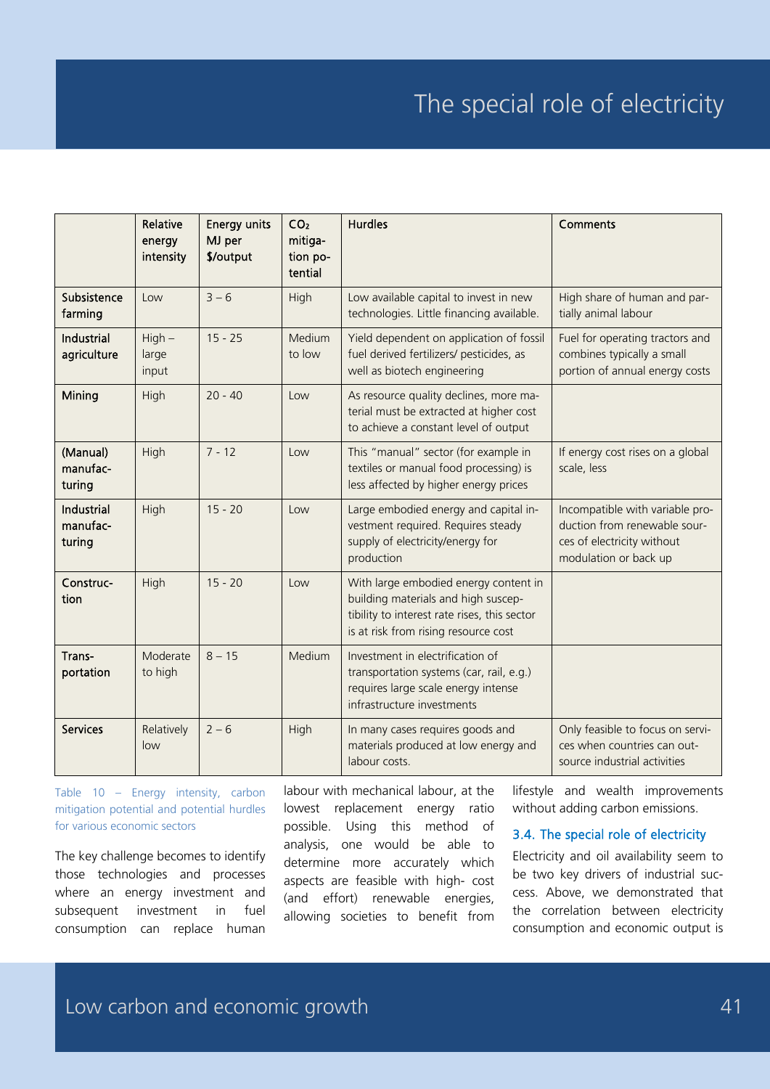# The special role of electricity

|                                         | Relative<br>energy<br>intensity | <b>Energy units</b><br>MJ per<br>\$/output | CO <sub>2</sub><br>mitiga-<br>tion po-<br>tential | <b>Hurdles</b>                                                                                                                                                       | Comments                                                                                                               |
|-----------------------------------------|---------------------------------|--------------------------------------------|---------------------------------------------------|----------------------------------------------------------------------------------------------------------------------------------------------------------------------|------------------------------------------------------------------------------------------------------------------------|
| Subsistence<br>farming                  | Low                             | $3 - 6$                                    | High                                              | Low available capital to invest in new<br>technologies. Little financing available.                                                                                  | High share of human and par-<br>tially animal labour                                                                   |
| Industrial<br>agriculture               | $High -$<br>large<br>input      | $15 - 25$                                  | Medium<br>to low                                  | Yield dependent on application of fossil<br>fuel derived fertilizers/ pesticides, as<br>well as biotech engineering                                                  | Fuel for operating tractors and<br>combines typically a small<br>portion of annual energy costs                        |
| Mining                                  | High                            | $20 - 40$                                  | Low                                               | As resource quality declines, more ma-<br>terial must be extracted at higher cost<br>to achieve a constant level of output                                           |                                                                                                                        |
| (Manual)<br>manufac-<br>turing          | High                            | $7 - 12$                                   | Low                                               | This "manual" sector (for example in<br>textiles or manual food processing) is<br>less affected by higher energy prices                                              | If energy cost rises on a global<br>scale, less                                                                        |
| <b>Industrial</b><br>manufac-<br>turing | High                            | $15 - 20$                                  | Low                                               | Large embodied energy and capital in-<br>vestment required. Requires steady<br>supply of electricity/energy for<br>production                                        | Incompatible with variable pro-<br>duction from renewable sour-<br>ces of electricity without<br>modulation or back up |
| Construc-<br>tion                       | High                            | $15 - 20$                                  | Low                                               | With large embodied energy content in<br>building materials and high suscep-<br>tibility to interest rate rises, this sector<br>is at risk from rising resource cost |                                                                                                                        |
| Trans-<br>portation                     | Moderate<br>to high             | $8 - 15$                                   | Medium                                            | Investment in electrification of<br>transportation systems (car, rail, e.g.)<br>requires large scale energy intense<br>infrastructure investments                    |                                                                                                                        |
| <b>Services</b>                         | Relatively<br>low               | $2 - 6$                                    | High                                              | In many cases requires goods and<br>materials produced at low energy and<br>labour costs.                                                                            | Only feasible to focus on servi-<br>ces when countries can out-<br>source industrial activities                        |

Table 10 – Energy intensity, carbon mitigation potential and potential hurdles for various economic sectors

The key challenge becomes to identify those technologies and processes where an energy investment and subsequent investment in fuel consumption can replace human

labour with mechanical labour, at the lowest replacement energy ratio possible. Using this method of analysis, one would be able to determine more accurately which aspects are feasible with high- cost (and effort) renewable energies, allowing societies to benefit from

lifestyle and wealth improvements without adding carbon emissions.

#### 3.4. The special role of electricity

Electricity and oil availability seem to be two key drivers of industrial success. Above, we demonstrated that the correlation between electricity consumption and economic output is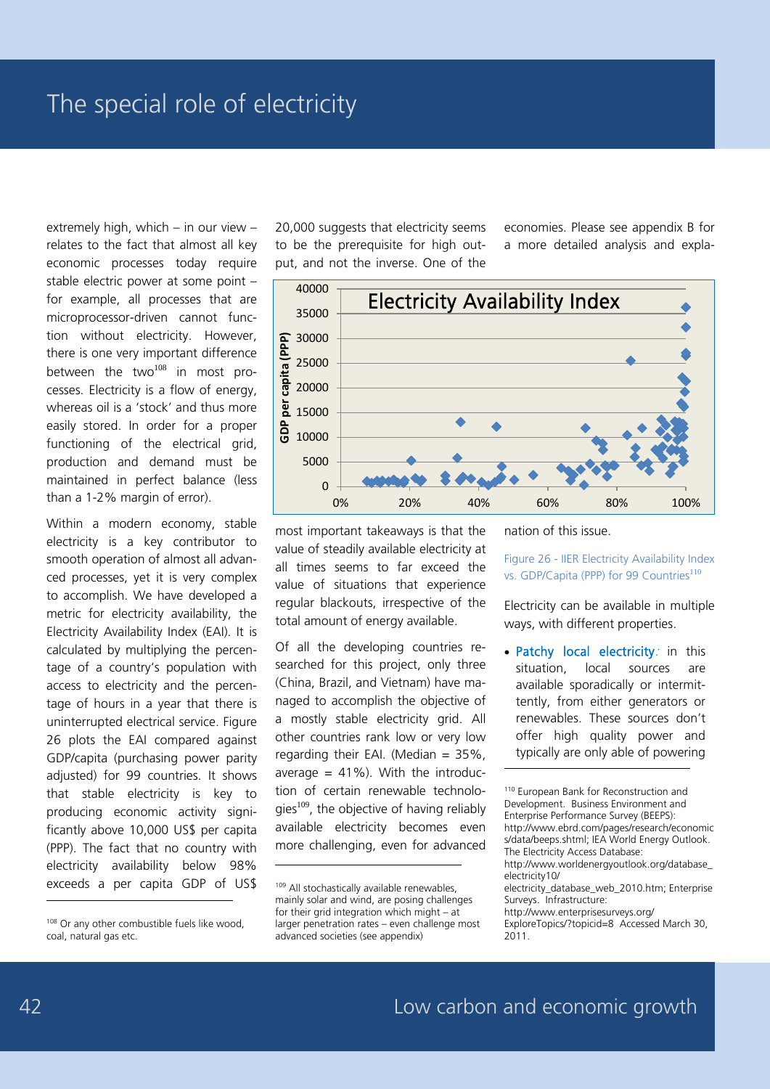extremely high, which – in our view – relates to the fact that almost all key economic processes today require stable electric power at some point – for example, all processes that are microprocessor-driven cannot function without electricity. However, there is one very important difference between the two $108$  in most processes. Electricity is a flow of energy, whereas oil is a 'stock' and thus more easily stored. In order for a proper functioning of the electrical grid, production and demand must be maintained in perfect balance (less than a 1-2% margin of error).

Within a modern economy, stable electricity is a key contributor to smooth operation of almost all advanced processes, yet it is very complex to accomplish. We have developed a metric for electricity availability, the Electricity Availability Index (EAI). It is calculated by multiplying the percentage of a country's population with access to electricity and the percentage of hours in a year that there is uninterrupted electrical service. Figure 26 plots the EAI compared against GDP/capita (purchasing power parity adjusted) for 99 countries. It shows that stable electricity is key to producing economic activity significantly above 10,000 US\$ per capita (PPP). The fact that no country with electricity availability below 98% exceeds a per capita GDP of US\$

20,000 suggests that electricity seems to be the prerequisite for high output, and not the inverse. One of the

economies. Please see appendix B for a more detailed analysis and expla-



most important takeaways is that the value of steadily available electricity at all times seems to far exceed the value of situations that experience regular blackouts, irrespective of the total amount of energy available.

Of all the developing countries researched for this project, only three (China, Brazil, and Vietnam) have managed to accomplish the objective of a mostly stable electricity grid. All other countries rank low or very low regarding their EAI. (Median  $= 35\%$ , average  $= 41\%$ ). With the introduction of certain renewable technologies $^{109}$ , the objective of having reliably available electricity becomes even more challenging, even for advanced

-

nation of this issue.

Figure 26 - IIER Electricity Availability Index vs. GDP/Capita (PPP) for 99 Countries<sup>110</sup>

Electricity can be available in multiple ways, with different properties.

• Patchy local electricity: in this situation, local sources are available sporadically or intermittently, from either generators or renewables. These sources don't offer high quality power and typically are only able of powering -

<sup>110</sup> European Bank for Reconstruction and Development. Business Environment and Enterprise Performance Survey (BEEPS): http://www.ebrd.com/pages/research/economic s/data/beeps.shtml; IEA World Energy Outlook. The Electricity Access Database: http://www.worldenergyoutlook.org/database\_ electricity10/ electricity\_database\_web\_2010.htm; Enterprise Surveys. Infrastructure: http://www.enterprisesurveys.org/ ExploreTopics/?topicid=8 Accessed March 30, 2011.

<sup>108</sup> Or any other combustible fuels like wood, coal, natural gas etc.

<sup>109</sup> All stochastically available renewables, mainly solar and wind, are posing challenges for their grid integration which might – at larger penetration rates – even challenge most advanced societies (see appendix)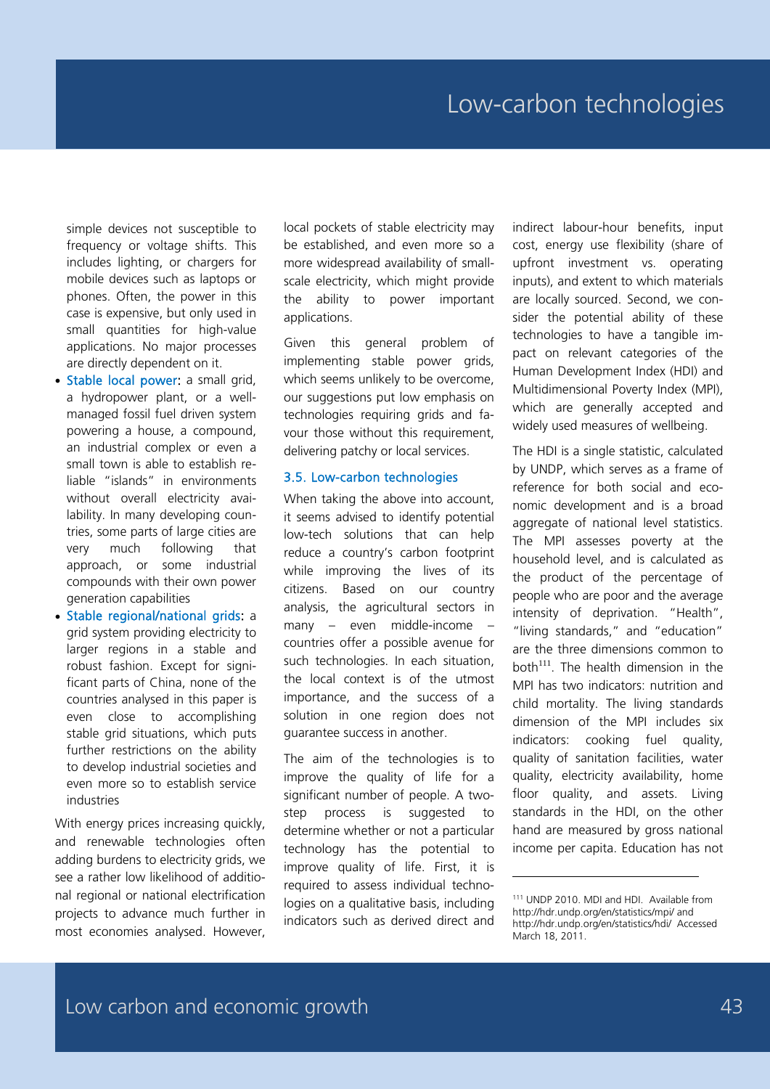simple devices not susceptible to frequency or voltage shifts. This includes lighting, or chargers for mobile devices such as laptops or phones. Often, the power in this case is expensive, but only used in small quantities for high-value applications. No major processes are directly dependent on it.

- Stable local power: a small grid, a hydropower plant, or a wellmanaged fossil fuel driven system powering a house, a compound, an industrial complex or even a small town is able to establish reliable "islands" in environments without overall electricity availability. In many developing countries, some parts of large cities are very much following that approach, or some industrial compounds with their own power generation capabilities
- Stable regional/national grids: a grid system providing electricity to larger regions in a stable and robust fashion. Except for significant parts of China, none of the countries analysed in this paper is even close to accomplishing stable grid situations, which puts further restrictions on the ability to develop industrial societies and even more so to establish service industries

With energy prices increasing quickly, and renewable technologies often adding burdens to electricity grids, we see a rather low likelihood of additional regional or national electrification projects to advance much further in most economies analysed. However,

local pockets of stable electricity may be established, and even more so a more widespread availability of smallscale electricity, which might provide the ability to power important applications.

Given this general problem of implementing stable power grids, which seems unlikely to be overcome, our suggestions put low emphasis on technologies requiring grids and favour those without this requirement, delivering patchy or local services.

#### 3.5. Low-carbon technologies

When taking the above into account, it seems advised to identify potential low-tech solutions that can help reduce a country's carbon footprint while improving the lives of its citizens. Based on our country analysis, the agricultural sectors in many – even middle-income – countries offer a possible avenue for such technologies. In each situation, the local context is of the utmost importance, and the success of a solution in one region does not guarantee success in another.

The aim of the technologies is to improve the quality of life for a significant number of people. A twostep process is suggested to determine whether or not a particular technology has the potential to improve quality of life. First, it is required to assess individual technologies on a qualitative basis, including indicators such as derived direct and indirect labour-hour benefits, input cost, energy use flexibility (share of upfront investment vs. operating inputs), and extent to which materials are locally sourced. Second, we consider the potential ability of these technologies to have a tangible impact on relevant categories of the Human Development Index (HDI) and Multidimensional Poverty Index (MPI), which are generally accepted and widely used measures of wellbeing.

The HDI is a single statistic, calculated by UNDP, which serves as a frame of reference for both social and economic development and is a broad aggregate of national level statistics. The MPI assesses poverty at the household level, and is calculated as the product of the percentage of people who are poor and the average intensity of deprivation. "Health", "living standards," and "education" are the three dimensions common to both $111$ . The health dimension in the MPI has two indicators: nutrition and child mortality. The living standards dimension of the MPI includes six indicators: cooking fuel quality, quality of sanitation facilities, water quality, electricity availability, home floor quality, and assets. Living standards in the HDI, on the other hand are measured by gross national income per capita. Education has not

<sup>111</sup> UNDP 2010. MDI and HDI. Available from http://hdr.undp.org/en/statistics/mpi/ and http://hdr.undp.org/en/statistics/hdi/ Accessed March 18, 2011.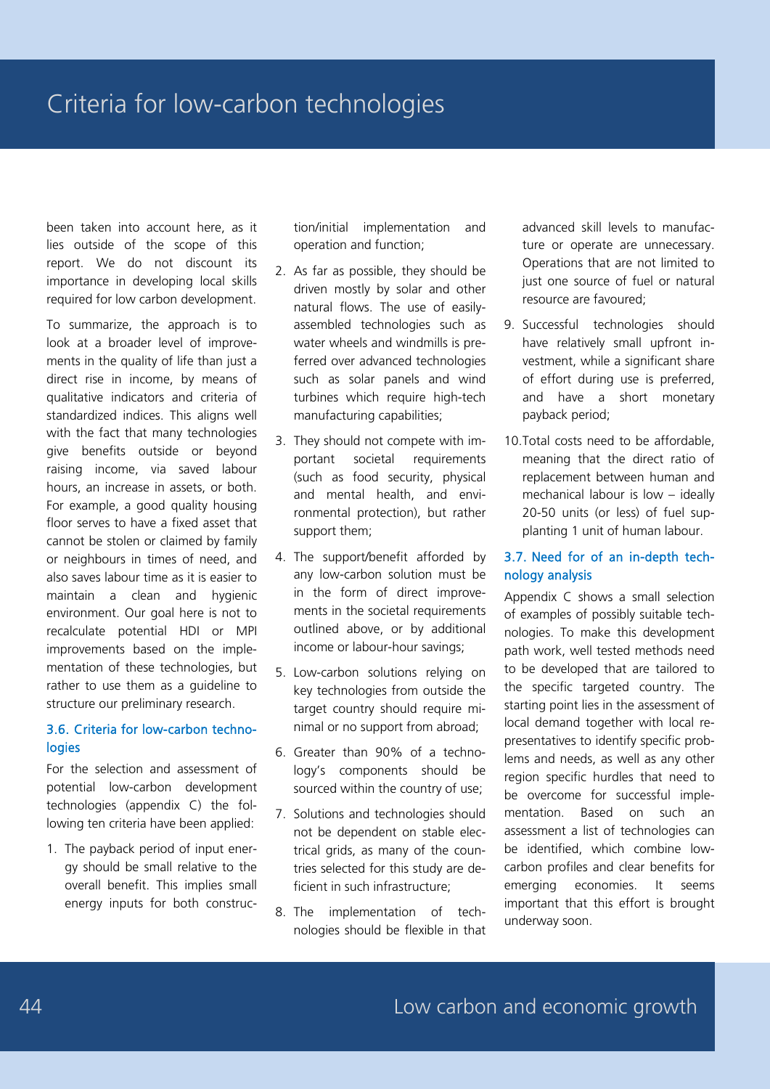been taken into account here, as it lies outside of the scope of this report. We do not discount its importance in developing local skills required for low carbon development.

To summarize, the approach is to look at a broader level of improvements in the quality of life than just a direct rise in income, by means of qualitative indicators and criteria of standardized indices. This aligns well with the fact that many technologies give benefits outside or beyond raising income, via saved labour hours, an increase in assets, or both. For example, a good quality housing floor serves to have a fixed asset that cannot be stolen or claimed by family or neighbours in times of need, and also saves labour time as it is easier to maintain a clean and hygienic environment. Our goal here is not to recalculate potential HDI or MPI improvements based on the implementation of these technologies, but rather to use them as a guideline to structure our preliminary research.

#### 3.6. Criteria for low-carbon technologies

For the selection and assessment of potential low-carbon development technologies (appendix C) the following ten criteria have been applied:

1. The payback period of input energy should be small relative to the overall benefit. This implies small energy inputs for both construc-

tion/initial implementation and operation and function;

- 2. As far as possible, they should be driven mostly by solar and other natural flows. The use of easilyassembled technologies such as water wheels and windmills is preferred over advanced technologies such as solar panels and wind turbines which require high-tech manufacturing capabilities;
- 3. They should not compete with important societal requirements (such as food security, physical and mental health, and environmental protection), but rather support them;
- 4. The support/benefit afforded by any low-carbon solution must be in the form of direct improvements in the societal requirements outlined above, or by additional income or labour-hour savings;
- 5. Low-carbon solutions relying on key technologies from outside the target country should require minimal or no support from abroad;
- 6. Greater than 90% of a technology's components should be sourced within the country of use;
- 7. Solutions and technologies should not be dependent on stable electrical grids, as many of the countries selected for this study are deficient in such infrastructure;
- 8. The implementation of technologies should be flexible in that

advanced skill levels to manufacture or operate are unnecessary. Operations that are not limited to just one source of fuel or natural resource are favoured;

- 9. Successful technologies should have relatively small upfront investment, while a significant share of effort during use is preferred, and have a short monetary payback period;
- 10.Total costs need to be affordable, meaning that the direct ratio of replacement between human and mechanical labour is low – ideally 20-50 units (or less) of fuel supplanting 1 unit of human labour.

#### 3.7. Need for of an in-depth technology analysis

Appendix C shows a small selection of examples of possibly suitable technologies. To make this development path work, well tested methods need to be developed that are tailored to the specific targeted country. The starting point lies in the assessment of local demand together with local representatives to identify specific problems and needs, as well as any other region specific hurdles that need to be overcome for successful implementation. Based on such an assessment a list of technologies can be identified, which combine lowcarbon profiles and clear benefits for emerging economies. It seems important that this effort is brought underway soon.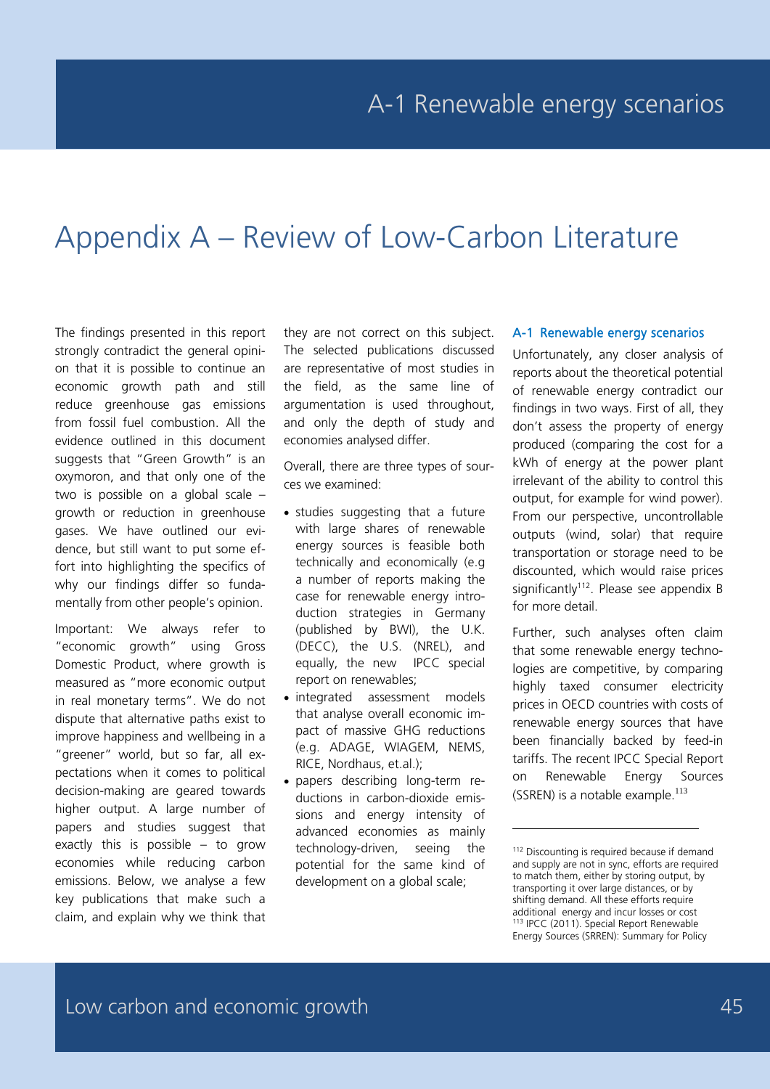# Appendix A – Review of Low-Carbon Literature

The findings presented in this report strongly contradict the general opinion that it is possible to continue an economic growth path and still reduce greenhouse gas emissions from fossil fuel combustion. All the evidence outlined in this document suggests that "Green Growth" is an oxymoron, and that only one of the two is possible on a global scale – growth or reduction in greenhouse gases. We have outlined our evidence, but still want to put some effort into highlighting the specifics of why our findings differ so fundamentally from other people's opinion.

Important: We always refer to "economic growth" using Gross Domestic Product, where growth is measured as "more economic output in real monetary terms". We do not dispute that alternative paths exist to improve happiness and wellbeing in a "greener" world, but so far, all expectations when it comes to political decision-making are geared towards higher output. A large number of papers and studies suggest that exactly this is possible – to grow economies while reducing carbon emissions. Below, we analyse a few key publications that make such a claim, and explain why we think that

they are not correct on this subject. The selected publications discussed are representative of most studies in the field, as the same line of argumentation is used throughout, and only the depth of study and economies analysed differ.

Overall, there are three types of sources we examined:

- studies suggesting that a future with large shares of renewable energy sources is feasible both technically and economically (e.g a number of reports making the case for renewable energy introduction strategies in Germany (published by BWI), the U.K. (DECC), the U.S. (NREL), and equally, the new IPCC special report on renewables;
- integrated assessment models that analyse overall economic impact of massive GHG reductions (e.g. ADAGE, WIAGEM, NEMS, RICE, Nordhaus, et.al.);
- papers describing long-term reductions in carbon-dioxide emissions and energy intensity of advanced economies as mainly technology-driven, seeing the potential for the same kind of development on a global scale;

#### A-1 Renewable energy scenarios

Unfortunately, any closer analysis of reports about the theoretical potential of renewable energy contradict our findings in two ways. First of all, they don't assess the property of energy produced (comparing the cost for a kWh of energy at the power plant irrelevant of the ability to control this output, for example for wind power). From our perspective, uncontrollable outputs (wind, solar) that require transportation or storage need to be discounted, which would raise prices significantly<sup>112</sup>. Please see appendix  $B$ for more detail.

Further, such analyses often claim that some renewable energy technologies are competitive, by comparing highly taxed consumer electricity prices in OECD countries with costs of renewable energy sources that have been financially backed by feed-in tariffs. The recent IPCC Special Report on Renewable Energy Sources (SSREN) is a notable example.<sup>113</sup>

<sup>&</sup>lt;sup>112</sup> Discounting is required because if demand and supply are not in sync, efforts are required to match them, either by storing output, by transporting it over large distances, or by shifting demand. All these efforts require additional energy and incur losses or cost <sup>113</sup> IPCC (2011). Special Report Renewable Energy Sources (SRREN): Summary for Policy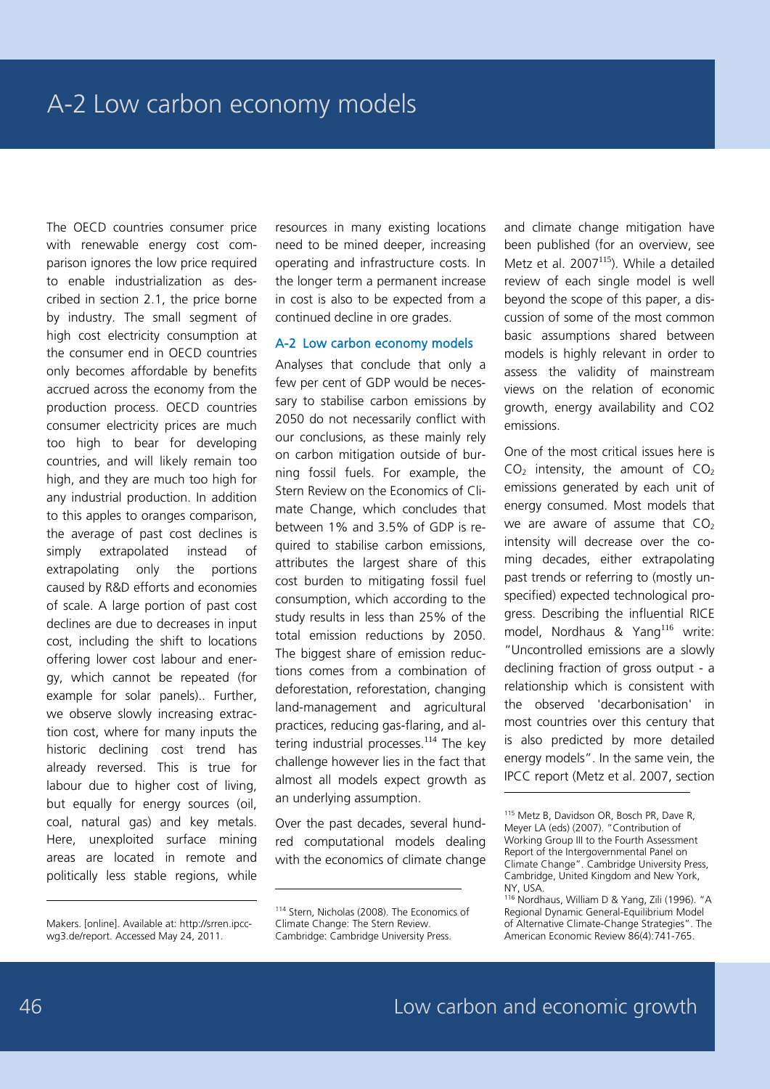The OECD countries consumer price with renewable energy cost comparison ignores the low price required to enable industrialization as described in section 2.1, the price borne by industry. The small segment of high cost electricity consumption at the consumer end in OECD countries only becomes affordable by benefits accrued across the economy from the production process. OECD countries consumer electricity prices are much too high to bear for developing countries, and will likely remain too high, and they are much too high for any industrial production. In addition to this apples to oranges comparison, the average of past cost declines is simply extrapolated instead of extrapolating only the portions caused by R&D efforts and economies of scale. A large portion of past cost declines are due to decreases in input cost, including the shift to locations offering lower cost labour and energy, which cannot be repeated (for example for solar panels).. Further, we observe slowly increasing extraction cost, where for many inputs the historic declining cost trend has already reversed. This is true for labour due to higher cost of living, but equally for energy sources (oil, coal, natural gas) and key metals. Here, unexploited surface mining areas are located in remote and politically less stable regions, while

resources in many existing locations need to be mined deeper, increasing operating and infrastructure costs. In the longer term a permanent increase in cost is also to be expected from a continued decline in ore grades.

#### A-2 Low carbon economy models

Analyses that conclude that only a few per cent of GDP would be necessary to stabilise carbon emissions by 2050 do not necessarily conflict with our conclusions, as these mainly rely on carbon mitigation outside of burning fossil fuels. For example, the Stern Review on the Economics of Climate Change, which concludes that between 1% and 3.5% of GDP is required to stabilise carbon emissions, attributes the largest share of this cost burden to mitigating fossil fuel consumption, which according to the study results in less than 25% of the total emission reductions by 2050. The biggest share of emission reductions comes from a combination of deforestation, reforestation, changing land-management and agricultural practices, reducing gas-flaring, and altering industrial processes.<sup>114</sup> The key challenge however lies in the fact that almost all models expect growth as an underlying assumption.

Over the past decades, several hundred computational models dealing with the economics of climate change

-

and climate change mitigation have been published (for an overview, see Metz et al.  $2007^{115}$ ). While a detailed review of each single model is well beyond the scope of this paper, a discussion of some of the most common basic assumptions shared between models is highly relevant in order to assess the validity of mainstream views on the relation of economic growth, energy availability and CO2 emissions.

One of the most critical issues here is  $CO<sub>2</sub>$  intensity, the amount of  $CO<sub>2</sub>$ emissions generated by each unit of energy consumed. Most models that we are aware of assume that  $CO<sub>2</sub>$ intensity will decrease over the coming decades, either extrapolating past trends or referring to (mostly unspecified) expected technological progress. Describing the influential RICE model, Nordhaus & Yang<sup>116</sup> write: "Uncontrolled emissions are a slowly declining fraction of gross output - a relationship which is consistent with the observed 'decarbonisation' in most countries over this century that is also predicted by more detailed energy models". In the same vein, the IPCC report (Metz et al. 2007, section

-

Makers. [online]. Available at: http://srren.ipccwg3.de/report. Accessed May 24, 2011.

<sup>114</sup> Stern, Nicholas (2008). The Economics of Climate Change: The Stern Review. Cambridge: Cambridge University Press.

<sup>115</sup> Metz B, Davidson OR, Bosch PR, Dave R, Meyer LA (eds) (2007). "Contribution of Working Group III to the Fourth Assessment Report of the Intergovernmental Panel on Climate Change". Cambridge University Press, Cambridge, United Kingdom and New York, NY, USA.

<sup>116</sup> Nordhaus, William D & Yang, Zili (1996). "A Regional Dynamic General-Equilibrium Model of Alternative Climate-Change Strategies". The American Economic Review 86(4):741-765.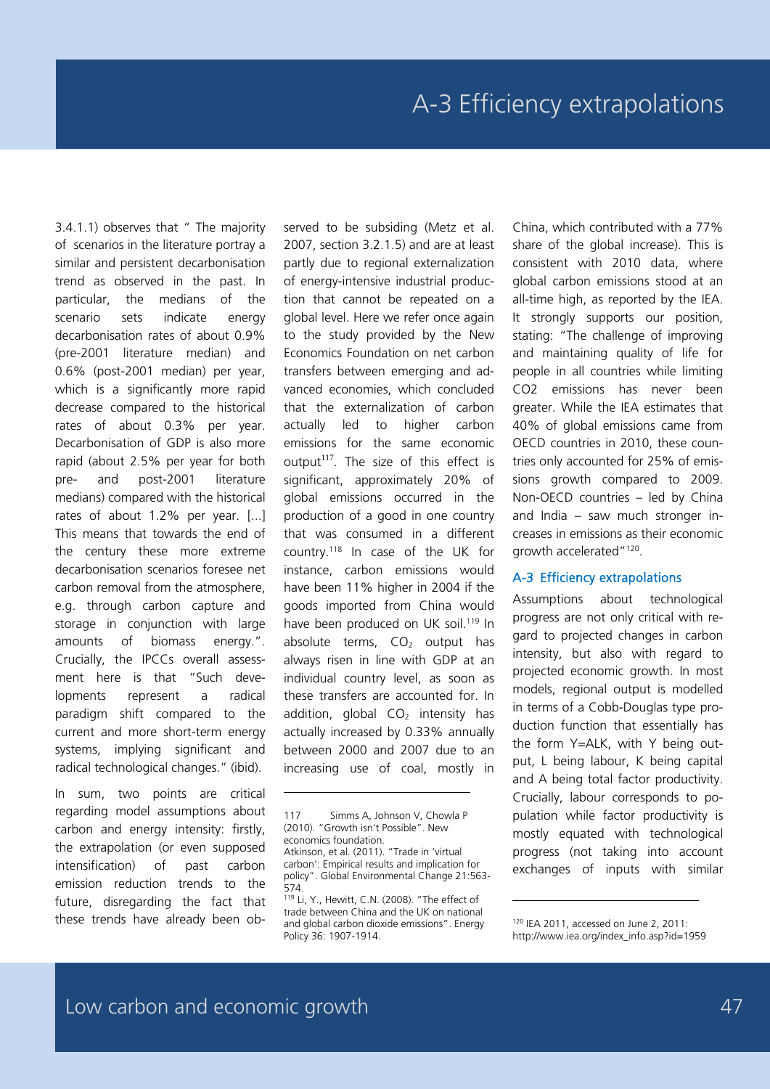3.4.1.1) observes that " The majority of scenarios in the literature portray a similar and persistent decarbonisation trend as observed in the past. In particular, the medians of the scenario sets indicate energy decarbonisation rates of about 0.9% (pre-2001 literature median) and 0.6% (post-2001 median) per year, which is a significantly more rapid decrease compared to the historical rates of about 0.3% per year. Decarbonisation of GDP is also more rapid (about 2.5% per year for both pre- and post-2001 literature medians) compared with the historical rates of about 1.2% per year. [...] This means that towards the end of the century these more extreme decarbonisation scenarios foresee net carbon removal from the atmosphere, e.g. through carbon capture and storage in conjunction with large amounts of biomass energy.". Crucially, the IPCCs overall assessment here is that "Such developments represent a radical paradigm shift compared to the current and more short-term energy systems, implying significant and radical technological changes." (ibid).

In sum, two points are critical regarding model assumptions about carbon and energy intensity: firstly, the extrapolation (or even supposed intensification) of past carbon emission reduction trends to the future, disregarding the fact that these trends have already been observed to be subsiding (Metz et al. 2007, section 3.2.1.5) and are at least partly due to regional externalization of energy-intensive industrial production that cannot be repeated on a global level. Here we refer once again to the study provided by the New Economics Foundation on net carbon transfers between emerging and advanced economies, which concluded that the externalization of carbon actually led to higher carbon emissions for the same economic output $117$ . The size of this effect is significant, approximately 20% of global emissions occurred in the production of a good in one country that was consumed in a different country.118 In case of the UK for instance, carbon emissions would have been 11% higher in 2004 if the goods imported from China would have been produced on UK soil.<sup>119</sup> In absolute terms,  $CO<sub>2</sub>$  output has always risen in line with GDP at an individual country level, as soon as these transfers are accounted for. In addition, global  $CO<sub>2</sub>$  intensity has actually increased by 0.33% annually between 2000 and 2007 due to an increasing use of coal, mostly in

-

China, which contributed with a 77% share of the global increase). This is consistent with 2010 data, where global carbon emissions stood at an all-time high, as reported by the IEA. It strongly supports our position, stating: "The challenge of improving and maintaining quality of life for people in all countries while limiting CO2 emissions has never been greater. While the IEA estimates that 40% of global emissions came from OECD countries in 2010, these countries only accounted for 25% of emissions growth compared to 2009. Non-OECD countries – led by China and India – saw much stronger increases in emissions as their economic growth accelerated"120.

#### A-3 Efficiency extrapolations

Assumptions about technological progress are not only critical with regard to projected changes in carbon intensity, but also with regard to projected economic growth. In most models, regional output is modelled in terms of a Cobb-Douglas type production function that essentially has the form Y=ALK, with Y being output, L being labour, K being capital and A being total factor productivity. Crucially, labour corresponds to population while factor productivity is mostly equated with technological progress (not taking into account exchanges of inputs with similar

<sup>117</sup> Simms A, Johnson V, Chowla P (2010). "Growth isn't Possible". New economics foundation. Atkinson, et al. (2011). "Trade in 'virtual carbon': Empirical results and implication for

policy". Global Environmental Change 21:563- 574.

<sup>119</sup> Li, Y., Hewitt, C.N. (2008). "The effect of trade between China and the UK on national and global carbon dioxide emissions". Energy Policy 36: 1907-1914.

<sup>120</sup> IEA 2011, accessed on June 2, 2011: http://www.iea.org/index\_info.asp?id=1959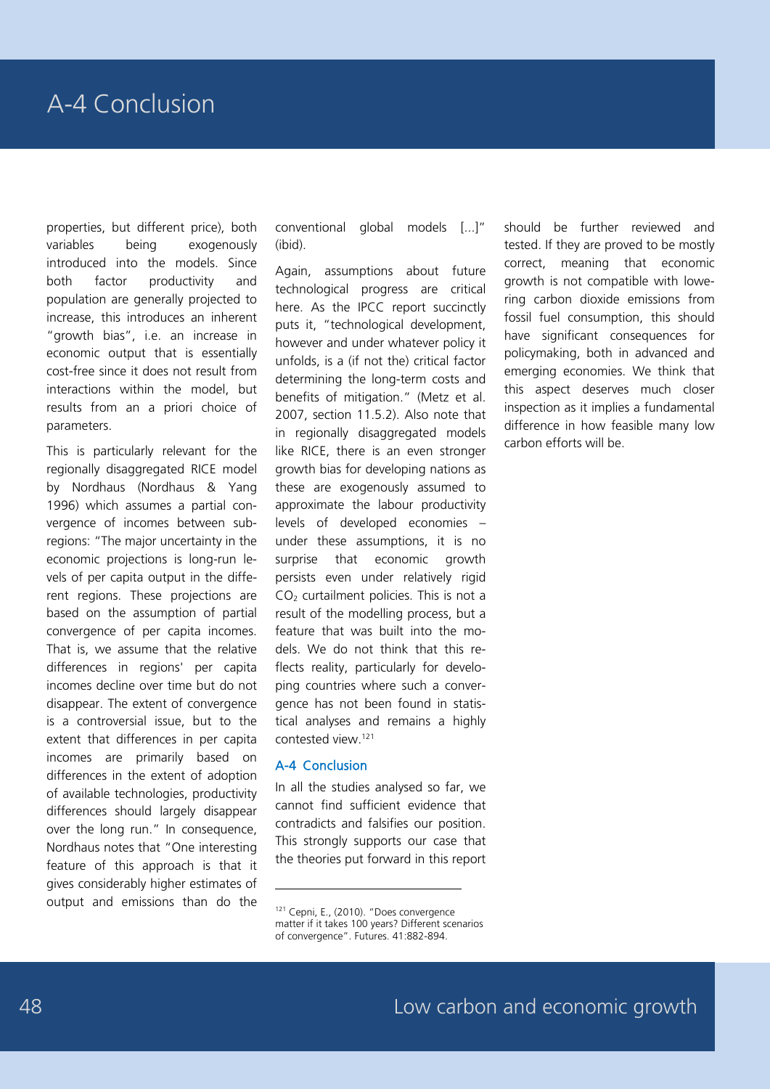properties, but different price), both variables being exogenously introduced into the models. Since both factor productivity and population are generally projected to increase, this introduces an inherent "growth bias", i.e. an increase in economic output that is essentially cost-free since it does not result from interactions within the model, but results from an a priori choice of parameters.

This is particularly relevant for the regionally disaggregated RICE model by Nordhaus (Nordhaus & Yang 1996) which assumes a partial convergence of incomes between subregions: "The major uncertainty in the economic projections is long-run levels of per capita output in the different regions. These projections are based on the assumption of partial convergence of per capita incomes. That is, we assume that the relative differences in regions' per capita incomes decline over time but do not disappear. The extent of convergence is a controversial issue, but to the extent that differences in per capita incomes are primarily based on differences in the extent of adoption of available technologies, productivity differences should largely disappear over the long run." In consequence, Nordhaus notes that "One interesting feature of this approach is that it gives considerably higher estimates of output and emissions than do the

conventional global models [...]" (ibid).

Again, assumptions about future technological progress are critical here. As the IPCC report succinctly puts it, "technological development, however and under whatever policy it unfolds, is a (if not the) critical factor determining the long-term costs and benefits of mitigation." (Metz et al. 2007, section 11.5.2). Also note that in regionally disaggregated models like RICE, there is an even stronger growth bias for developing nations as these are exogenously assumed to approximate the labour productivity levels of developed economies – under these assumptions, it is no surprise that economic growth persists even under relatively rigid  $CO<sub>2</sub>$  curtailment policies. This is not a result of the modelling process, but a feature that was built into the models. We do not think that this reflects reality, particularly for developing countries where such a convergence has not been found in statistical analyses and remains a highly contested view.121

#### A-4 Conclusion

-

In all the studies analysed so far, we cannot find sufficient evidence that contradicts and falsifies our position. This strongly supports our case that the theories put forward in this report should be further reviewed and tested. If they are proved to be mostly correct, meaning that economic growth is not compatible with lowering carbon dioxide emissions from fossil fuel consumption, this should have significant consequences for policymaking, both in advanced and emerging economies. We think that this aspect deserves much closer inspection as it implies a fundamental difference in how feasible many low carbon efforts will be.

<sup>121</sup> Cepni, E., (2010). "Does convergence matter if it takes 100 years? Different scenarios of convergence". Futures. 41:882-894.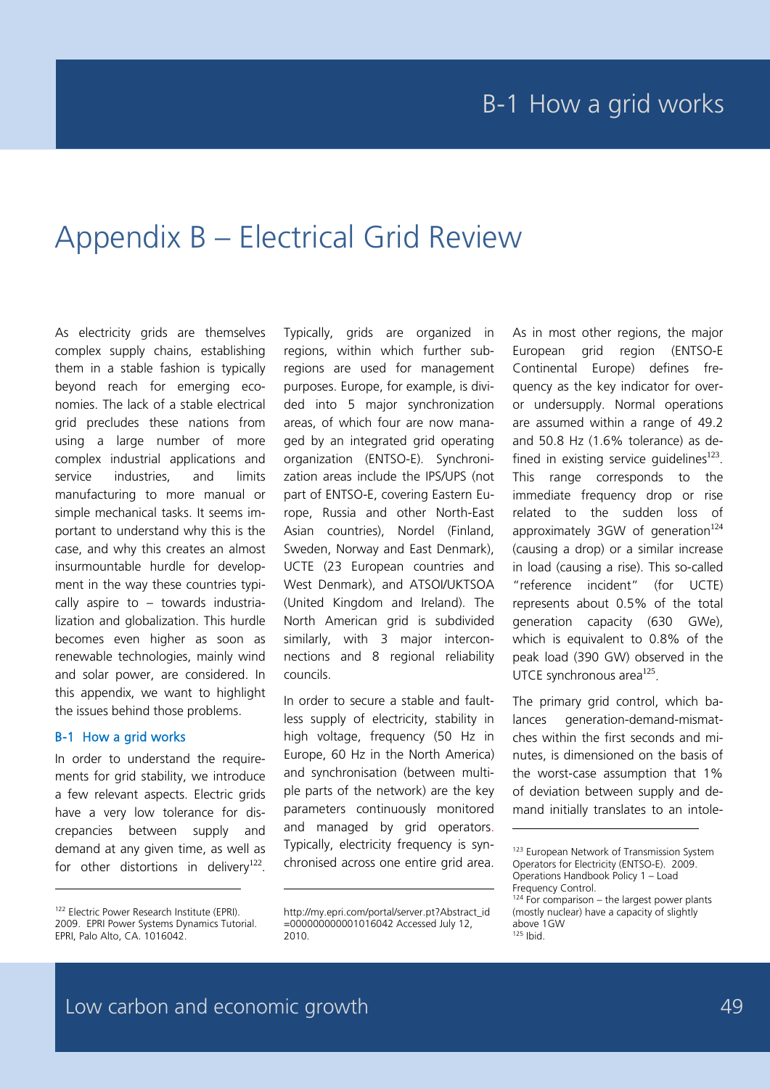# Appendix B – Electrical Grid Review

As electricity grids are themselves complex supply chains, establishing them in a stable fashion is typically beyond reach for emerging economies. The lack of a stable electrical grid precludes these nations from using a large number of more complex industrial applications and service industries, and limits manufacturing to more manual or simple mechanical tasks. It seems important to understand why this is the case, and why this creates an almost insurmountable hurdle for development in the way these countries typically aspire to – towards industrialization and globalization. This hurdle becomes even higher as soon as renewable technologies, mainly wind and solar power, are considered. In this appendix, we want to highlight the issues behind those problems.

#### B-1 How a grid works

-

In order to understand the requirements for grid stability, we introduce a few relevant aspects. Electric grids have a very low tolerance for discrepancies between supply and demand at any given time, as well as for other distortions in delivery<sup>122</sup>.

Typically, grids are organized in regions, within which further subregions are used for management purposes. Europe, for example, is divided into 5 major synchronization areas, of which four are now managed by an integrated grid operating organization (ENTSO-E). Synchronization areas include the IPS/UPS (not part of ENTSO-E, covering Eastern Europe, Russia and other North-East Asian countries), Nordel (Finland, Sweden, Norway and East Denmark), UCTE (23 European countries and West Denmark), and ATSOI/UKTSOA (United Kingdom and Ireland). The North American grid is subdivided similarly, with 3 major interconnections and 8 regional reliability councils.

In order to secure a stable and faultless supply of electricity, stability in high voltage, frequency (50 Hz in Europe, 60 Hz in the North America) and synchronisation (between multiple parts of the network) are the key parameters continuously monitored and managed by grid operators. Typically, electricity frequency is synchronised across one entire grid area.

As in most other regions, the major European grid region (ENTSO-E Continental Europe) defines frequency as the key indicator for overor undersupply. Normal operations are assumed within a range of 49.2 and 50.8 Hz (1.6% tolerance) as defined in existing service quidelines<sup>123</sup>. This range corresponds to the immediate frequency drop or rise related to the sudden loss of approximately 3GW of generation $124$ (causing a drop) or a similar increase in load (causing a rise). This so-called "reference incident" (for UCTE) represents about 0.5% of the total generation capacity (630 GWe), which is equivalent to 0.8% of the peak load (390 GW) observed in the UTCE synchronous area<sup>125</sup>.

The primary grid control, which balances generation-demand-mismatches within the first seconds and minutes, is dimensioned on the basis of the worst-case assumption that 1% of deviation between supply and demand initially translates to an intole-

-

<sup>122</sup> Electric Power Research Institute (EPRI). 2009. EPRI Power Systems Dynamics Tutorial. EPRI, Palo Alto, CA. 1016042.

http://my.epri.com/portal/server.pt?Abstract\_id =000000000001016042 Accessed July 12, 2010.

<sup>123</sup> European Network of Transmission System Operators for Electricity (ENTSO-E). 2009. Operations Handbook Policy 1 – Load Frequency Control.

 $124$  For comparison – the largest power plants (mostly nuclear) have a capacity of slightly above 1GW  $125$  Ibid.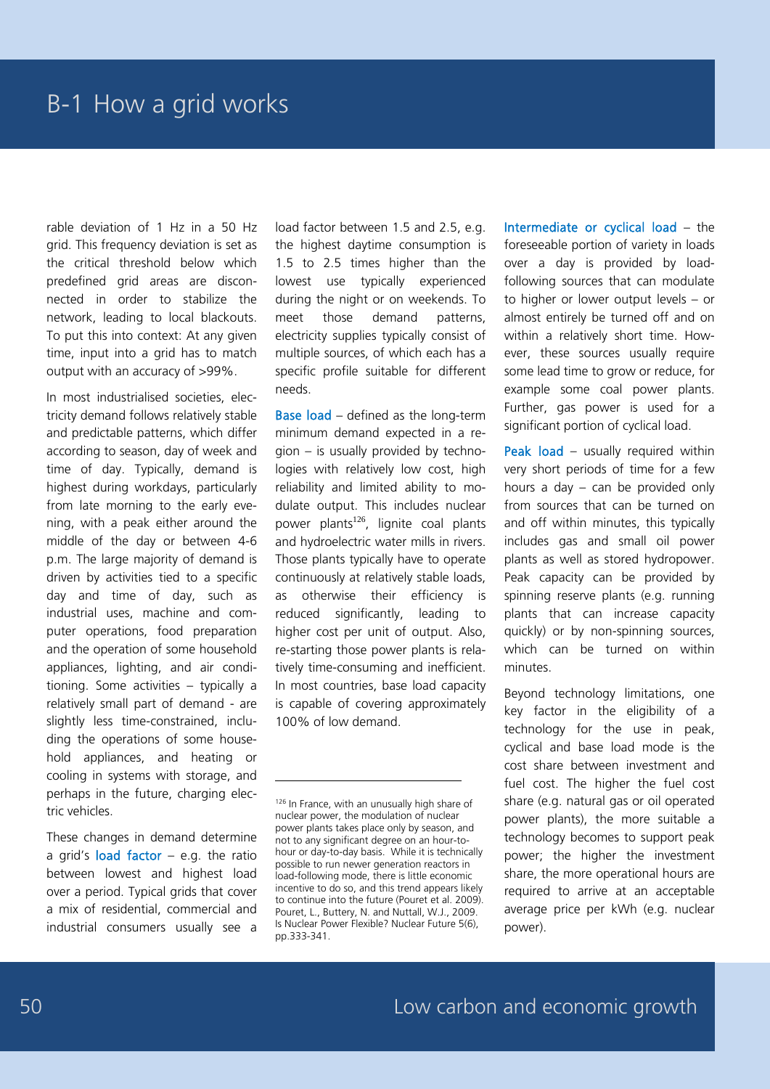rable deviation of 1 Hz in a 50 Hz grid. This frequency deviation is set as the critical threshold below which predefined grid areas are disconnected in order to stabilize the network, leading to local blackouts. To put this into context: At any given time, input into a grid has to match output with an accuracy of >99%.

In most industrialised societies, electricity demand follows relatively stable and predictable patterns, which differ according to season, day of week and time of day. Typically, demand is highest during workdays, particularly from late morning to the early evening, with a peak either around the middle of the day or between 4-6 p.m. The large majority of demand is driven by activities tied to a specific day and time of day, such as industrial uses, machine and computer operations, food preparation and the operation of some household appliances, lighting, and air conditioning. Some activities – typically a relatively small part of demand - are slightly less time-constrained, including the operations of some household appliances, and heating or cooling in systems with storage, and perhaps in the future, charging electric vehicles.

These changes in demand determine a grid's load factor  $-$  e.g. the ratio between lowest and highest load over a period. Typical grids that cover a mix of residential, commercial and industrial consumers usually see a load factor between 1.5 and 2.5, e.g. the highest daytime consumption is 1.5 to 2.5 times higher than the lowest use typically experienced during the night or on weekends. To meet those demand patterns, electricity supplies typically consist of multiple sources, of which each has a specific profile suitable for different needs.

Base load – defined as the long-term minimum demand expected in a region – is usually provided by technologies with relatively low cost, high reliability and limited ability to modulate output. This includes nuclear power plants<sup>126</sup>, lignite coal plants and hydroelectric water mills in rivers. Those plants typically have to operate continuously at relatively stable loads, as otherwise their efficiency is reduced significantly, leading to higher cost per unit of output. Also, re-starting those power plants is relatively time-consuming and inefficient. In most countries, base load capacity is capable of covering approximately 100% of low demand.

-

Intermediate or cyclical load – the foreseeable portion of variety in loads over a day is provided by loadfollowing sources that can modulate to higher or lower output levels – or almost entirely be turned off and on within a relatively short time. However, these sources usually require some lead time to grow or reduce, for example some coal power plants. Further, gas power is used for a significant portion of cyclical load.

Peak load – usually required within very short periods of time for a few hours a day – can be provided only from sources that can be turned on and off within minutes, this typically includes gas and small oil power plants as well as stored hydropower. Peak capacity can be provided by spinning reserve plants (e.g. running plants that can increase capacity quickly) or by non-spinning sources, which can be turned on within minutes.

Beyond technology limitations, one key factor in the eligibility of a technology for the use in peak, cyclical and base load mode is the cost share between investment and fuel cost. The higher the fuel cost share (e.g. natural gas or oil operated power plants), the more suitable a technology becomes to support peak power; the higher the investment share, the more operational hours are required to arrive at an acceptable average price per kWh (e.g. nuclear power).

<sup>126</sup> In France, with an unusually high share of nuclear power, the modulation of nuclear power plants takes place only by season, and not to any significant degree on an hour-tohour or day-to-day basis. While it is technically possible to run newer generation reactors in load-following mode, there is little economic incentive to do so, and this trend appears likely to continue into the future (Pouret et al. 2009). Pouret, L., Buttery, N. and Nuttall, W.J., 2009. Is Nuclear Power Flexible? Nuclear Future 5(6), pp.333-341.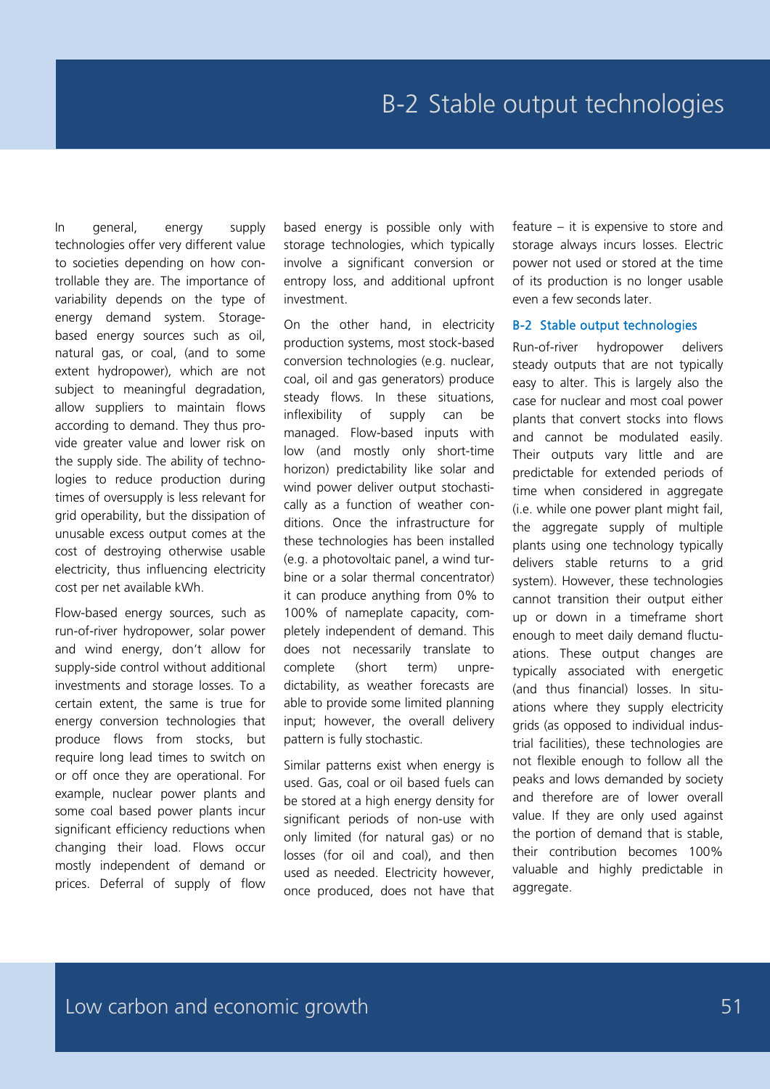In general, energy supply technologies offer very different value to societies depending on how controllable they are. The importance of variability depends on the type of energy demand system. Storagebased energy sources such as oil, natural gas, or coal, (and to some extent hydropower), which are not subject to meaningful degradation, allow suppliers to maintain flows according to demand. They thus provide greater value and lower risk on the supply side. The ability of technologies to reduce production during times of oversupply is less relevant for grid operability, but the dissipation of unusable excess output comes at the cost of destroying otherwise usable electricity, thus influencing electricity cost per net available kWh.

Flow-based energy sources, such as run-of-river hydropower, solar power and wind energy, don't allow for supply-side control without additional investments and storage losses. To a certain extent, the same is true for energy conversion technologies that produce flows from stocks, but require long lead times to switch on or off once they are operational. For example, nuclear power plants and some coal based power plants incur significant efficiency reductions when changing their load. Flows occur mostly independent of demand or prices. Deferral of supply of flow

based energy is possible only with storage technologies, which typically involve a significant conversion or entropy loss, and additional upfront investment.

On the other hand, in electricity production systems, most stock-based conversion technologies (e.g. nuclear, coal, oil and gas generators) produce steady flows. In these situations, inflexibility of supply can be managed. Flow-based inputs with low (and mostly only short-time horizon) predictability like solar and wind power deliver output stochastically as a function of weather conditions. Once the infrastructure for these technologies has been installed (e.g. a photovoltaic panel, a wind turbine or a solar thermal concentrator) it can produce anything from 0% to 100% of nameplate capacity, completely independent of demand. This does not necessarily translate to complete (short term) unpredictability, as weather forecasts are able to provide some limited planning input; however, the overall delivery pattern is fully stochastic.

Similar patterns exist when energy is used. Gas, coal or oil based fuels can be stored at a high energy density for significant periods of non-use with only limited (for natural gas) or no losses (for oil and coal), and then used as needed. Electricity however, once produced, does not have that

feature – it is expensive to store and storage always incurs losses. Electric power not used or stored at the time of its production is no longer usable even a few seconds later.

#### B-2 Stable output technologies

Run-of-river hydropower delivers steady outputs that are not typically easy to alter. This is largely also the case for nuclear and most coal power plants that convert stocks into flows and cannot be modulated easily. Their outputs vary little and are predictable for extended periods of time when considered in aggregate (i.e. while one power plant might fail, the aggregate supply of multiple plants using one technology typically delivers stable returns to a grid system). However, these technologies cannot transition their output either up or down in a timeframe short enough to meet daily demand fluctuations. These output changes are typically associated with energetic (and thus financial) losses. In situations where they supply electricity grids (as opposed to individual industrial facilities), these technologies are not flexible enough to follow all the peaks and lows demanded by society and therefore are of lower overall value. If they are only used against the portion of demand that is stable, their contribution becomes 100% valuable and highly predictable in aggregate.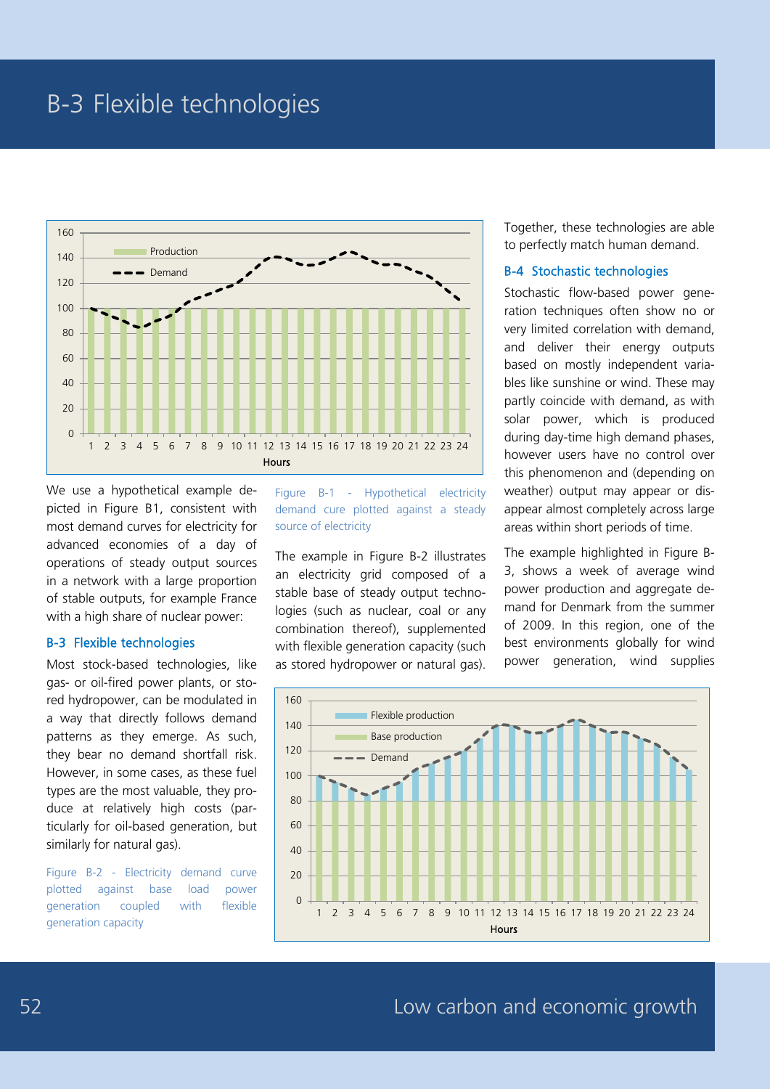### B-3 Flexible technologies



We use a hypothetical example depicted in Figure B1, consistent with most demand curves for electricity for advanced economies of a day of operations of steady output sources in a network with a large proportion of stable outputs, for example France with a high share of nuclear power:

#### B-3 Flexible technologies

Most stock-based technologies, like gas- or oil-fired power plants, or stored hydropower, can be modulated in a way that directly follows demand patterns as they emerge. As such, they bear no demand shortfall risk. However, in some cases, as these fuel types are the most valuable, they produce at relatively high costs (particularly for oil-based generation, but similarly for natural gas).

Figure B-2 - Electricity demand curve plotted against base load power generation coupled with flexible generation capacity

Figure B-1 - Hypothetical electricity demand cure plotted against a steady source of electricity

The example in Figure B-2 illustrates an electricity grid composed of a stable base of steady output technologies (such as nuclear, coal or any combination thereof), supplemented with flexible generation capacity (such as stored hydropower or natural gas). Together, these technologies are able to perfectly match human demand.

#### B-4 Stochastic technologies

Stochastic flow-based power generation techniques often show no or very limited correlation with demand, and deliver their energy outputs based on mostly independent variables like sunshine or wind. These may partly coincide with demand, as with solar power, which is produced during day-time high demand phases, however users have no control over this phenomenon and (depending on weather) output may appear or disappear almost completely across large areas within short periods of time.

The example highlighted in Figure B-3, shows a week of average wind power production and aggregate demand for Denmark from the summer of 2009. In this region, one of the best environments globally for wind power generation, wind supplies

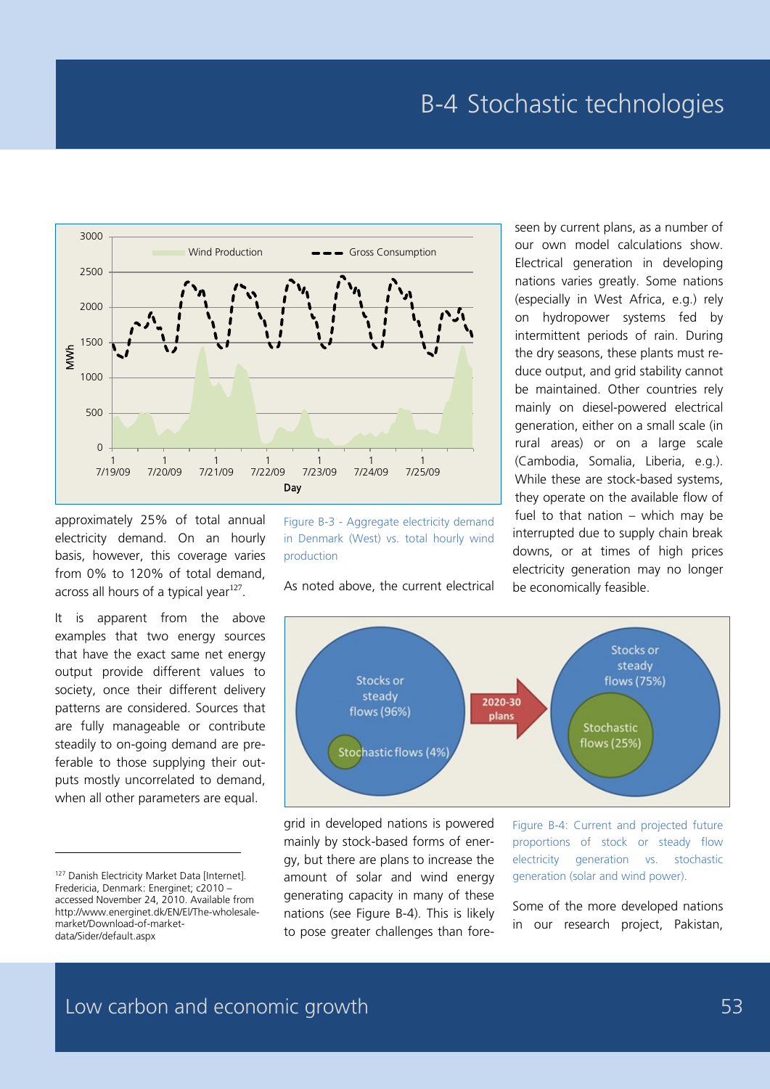

approximately 25% of total annual electricity demand. On an hourly basis, however, this coverage varies from 0% to 120% of total demand, across all hours of a typical vear $127$ .

It is apparent from the above examples that two energy sources that have the exact same net energy output provide different values to society, once their different delivery patterns are considered. Sources that are fully manageable or contribute steadily to on-going demand are preferable to those supplying their outputs mostly uncorrelated to demand, when all other parameters are equal.

-

Figure B-3 - Aggregate electricity demand in Denmark (West) vs. total hourly wind production

As noted above, the current electrical

our own model calculations show. Electrical generation in developing nations varies greatly. Some nations (especially in West Africa, e.g.) rely on hydropower systems fed by intermittent periods of rain. During the dry seasons, these plants must reduce output, and grid stability cannot be maintained. Other countries rely mainly on diesel-powered electrical generation, either on a small scale (in rural areas) or on a large scale (Cambodia, Somalia, Liberia, e.g.). While these are stock-based systems, they operate on the available flow of fuel to that nation – which may be interrupted due to supply chain break downs, or at times of high prices electricity generation may no longer be economically feasible.

seen by current plans, as a number of



grid in developed nations is powered mainly by stock-based forms of energy, but there are plans to increase the amount of solar and wind energy generating capacity in many of these nations (see Figure B-4). This is likely to pose greater challenges than foreFigure B-4: Current and projected future proportions of stock or steady flow electricity generation vs. stochastic generation (solar and wind power).

Some of the more developed nations in our research project, Pakistan,

<sup>&</sup>lt;sup>127</sup> Danish Electricity Market Data [Internet]. Fredericia, Denmark: Energinet; c2010 – accessed November 24, 2010. Available from http://www.energinet.dk/EN/El/The-wholesalemarket/Download-of-marketdata/Sider/default.aspx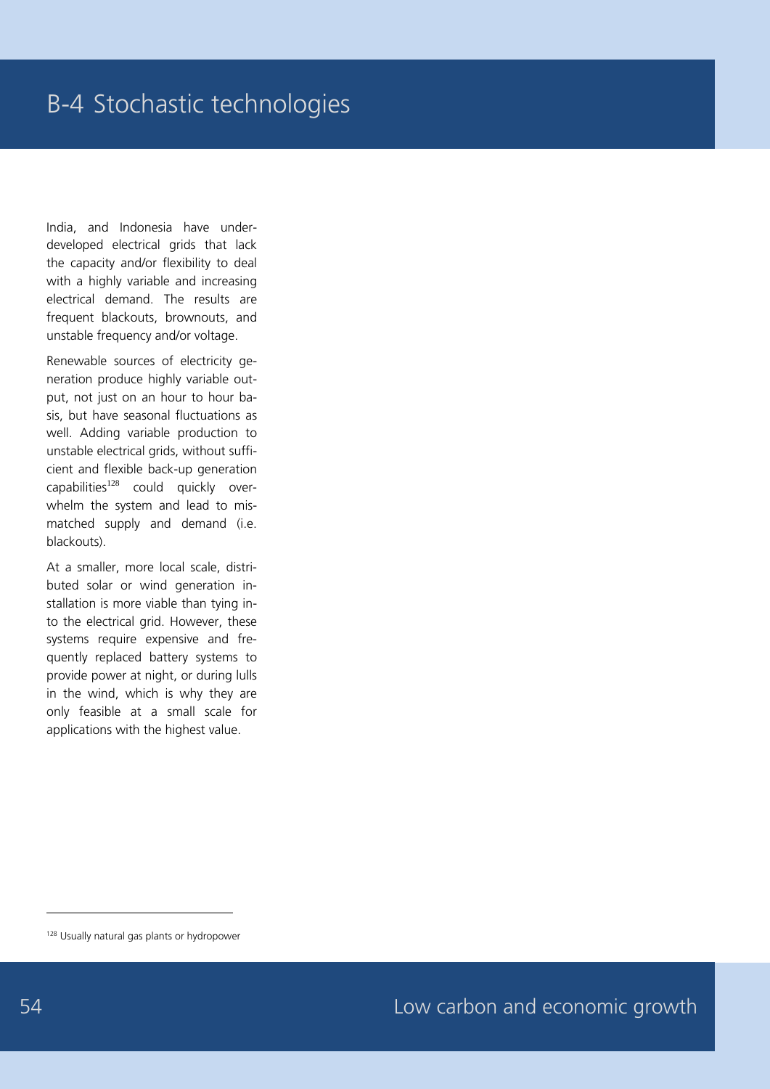India, and Indonesia have underdeveloped electrical grids that lack the capacity and/or flexibility to deal with a highly variable and increasing electrical demand. The results are frequent blackouts, brownouts, and unstable frequency and/or voltage.

Renewable sources of electricity generation produce highly variable output, not just on an hour to hour basis, but have seasonal fluctuations as well. Adding variable production to unstable electrical grids, without sufficient and flexible back-up generation capabilities $128$  could quickly overwhelm the system and lead to mismatched supply and demand (i.e. blackouts).

At a smaller, more local scale, distributed solar or wind generation installation is more viable than tying into the electrical grid. However, these systems require expensive and frequently replaced battery systems to provide power at night, or during lulls in the wind, which is why they are only feasible at a small scale for applications with the highest value.

<sup>&</sup>lt;sup>128</sup> Usually natural gas plants or hydropower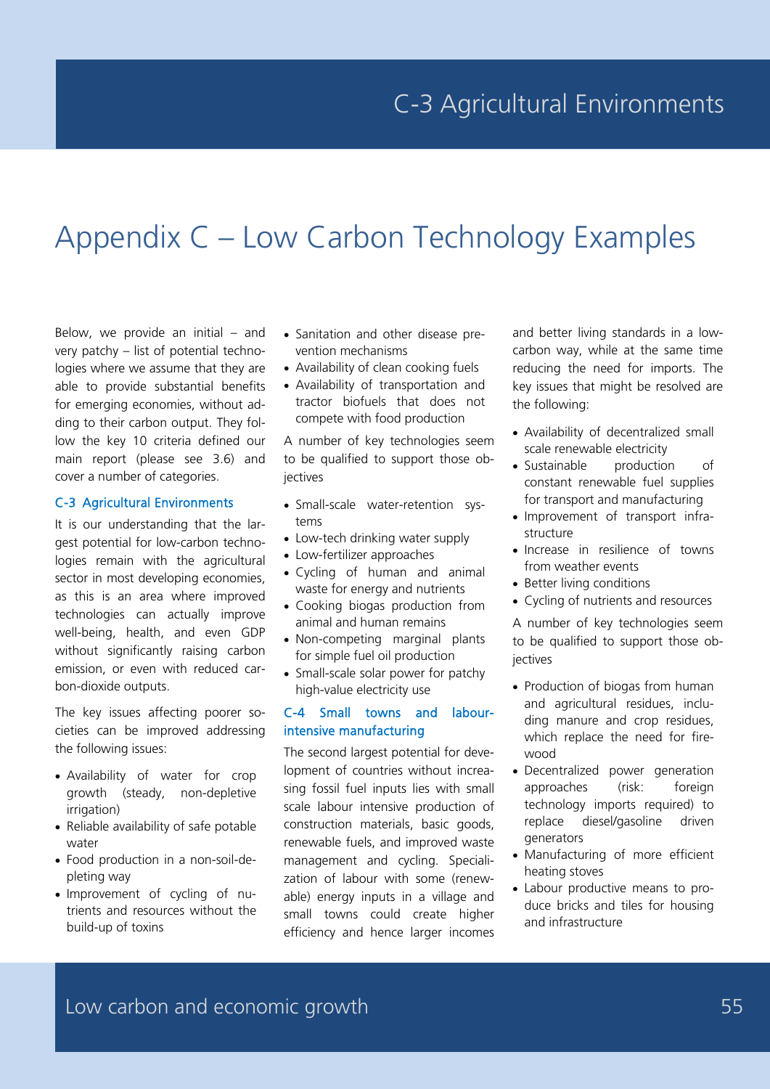# Appendix C – Low Carbon Technology Examples

Below, we provide an initial  $-$  and very patchy – list of potential technologies where we assume that they are able to provide substantial benefits for emerging economies, without adding to their carbon output. They follow the key 10 criteria defined our main report (please see 3.6) and cover a number of categories.

#### C-3 Agricultural Environments

It is our understanding that the largest potential for low-carbon technologies remain with the agricultural sector in most developing economies, as this is an area where improved technologies can actually improve well-being, health, and even GDP without significantly raising carbon emission, or even with reduced carbon-dioxide outputs.

The key issues affecting poorer societies can be improved addressing the following issues:

- Availability of water for crop growth (steady, non-depletive irrigation)
- Reliable availability of safe potable water
- Food production in a non-soil-depleting way
- Improvement of cycling of nutrients and resources without the build-up of toxins
- Sanitation and other disease prevention mechanisms
- Availability of clean cooking fuels
- Availability of transportation and tractor biofuels that does not compete with food production

A number of key technologies seem to be qualified to support those objectives

- Small-scale water-retention systems
- Low-tech drinking water supply
- Low-fertilizer approaches
- Cycling of human and animal waste for energy and nutrients
- Cooking biogas production from animal and human remains
- Non-competing marginal plants for simple fuel oil production
- Small-scale solar power for patchy high-value electricity use

#### C-4 Small towns and labourintensive manufacturing

The second largest potential for development of countries without increasing fossil fuel inputs lies with small scale labour intensive production of construction materials, basic goods, renewable fuels, and improved waste management and cycling. Specialization of labour with some (renewable) energy inputs in a village and small towns could create higher efficiency and hence larger incomes

and better living standards in a lowcarbon way, while at the same time reducing the need for imports. The key issues that might be resolved are the following:

- Availability of decentralized small scale renewable electricity
- Sustainable production of constant renewable fuel supplies for transport and manufacturing
- Improvement of transport infrastructure
- Increase in resilience of towns from weather events
- Better living conditions
- Cycling of nutrients and resources

A number of key technologies seem to be qualified to support those objectives

- Production of biogas from human and agricultural residues, including manure and crop residues, which replace the need for firewood
- Decentralized power generation approaches (risk: foreign technology imports required) to replace diesel/gasoline driven generators
- Manufacturing of more efficient heating stoves
- Labour productive means to produce bricks and tiles for housing and infrastructure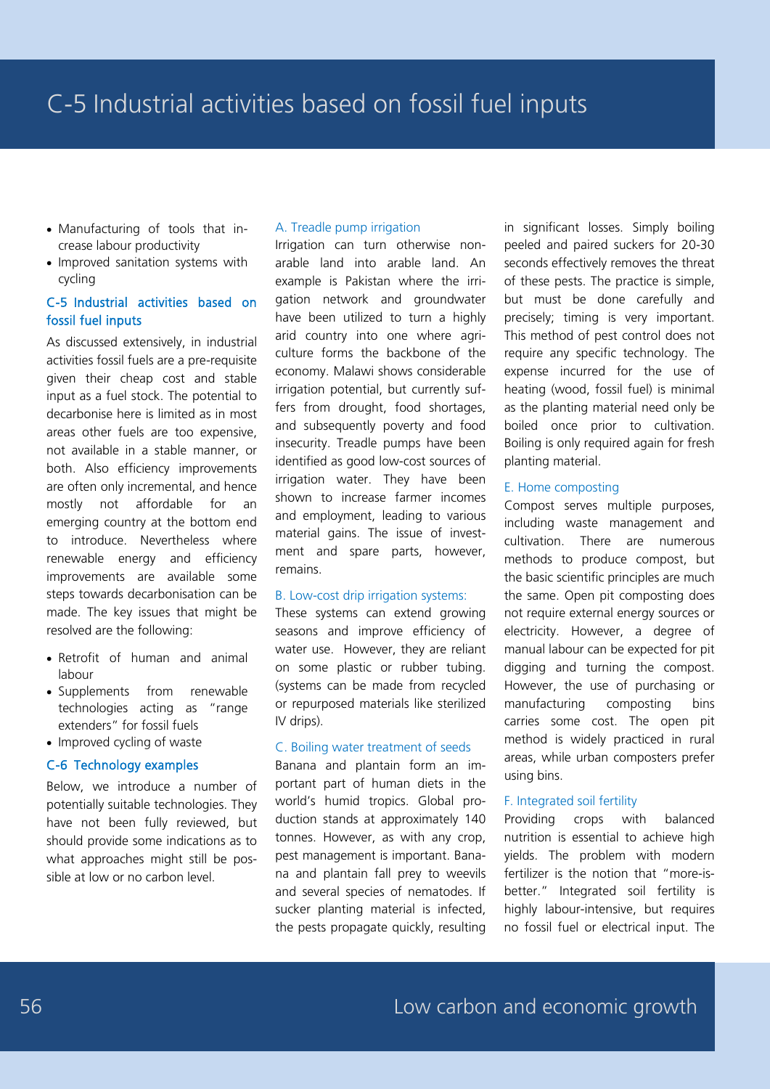- Manufacturing of tools that increase labour productivity
- Improved sanitation systems with cycling

#### C-5 Industrial activities based on fossil fuel inputs

As discussed extensively, in industrial activities fossil fuels are a pre-requisite given their cheap cost and stable input as a fuel stock. The potential to decarbonise here is limited as in most areas other fuels are too expensive, not available in a stable manner, or both. Also efficiency improvements are often only incremental, and hence mostly not affordable for an emerging country at the bottom end to introduce. Nevertheless where renewable energy and efficiency improvements are available some steps towards decarbonisation can be made. The key issues that might be resolved are the following:

- Retrofit of human and animal labour
- Supplements from renewable technologies acting as "range extenders" for fossil fuels
- Improved cycling of waste

#### C-6 Technology examples

Below, we introduce a number of potentially suitable technologies. They have not been fully reviewed, but should provide some indications as to what approaches might still be possible at low or no carbon level.

#### A. Treadle pump irrigation

Irrigation can turn otherwise nonarable land into arable land. An example is Pakistan where the irrigation network and groundwater have been utilized to turn a highly arid country into one where agriculture forms the backbone of the economy. Malawi shows considerable irrigation potential, but currently suffers from drought, food shortages, and subsequently poverty and food insecurity. Treadle pumps have been identified as good low-cost sources of irrigation water. They have been shown to increase farmer incomes and employment, leading to various material gains. The issue of investment and spare parts, however, remains.

#### B. Low-cost drip irrigation systems:

These systems can extend growing seasons and improve efficiency of water use. However, they are reliant on some plastic or rubber tubing. (systems can be made from recycled or repurposed materials like sterilized IV drips).

#### C. Boiling water treatment of seeds

Banana and plantain form an important part of human diets in the world's humid tropics. Global production stands at approximately 140 tonnes. However, as with any crop, pest management is important. Banana and plantain fall prey to weevils and several species of nematodes. If sucker planting material is infected, the pests propagate quickly, resulting

in significant losses. Simply boiling peeled and paired suckers for 20-30 seconds effectively removes the threat of these pests. The practice is simple, but must be done carefully and precisely; timing is very important. This method of pest control does not require any specific technology. The expense incurred for the use of heating (wood, fossil fuel) is minimal as the planting material need only be boiled once prior to cultivation. Boiling is only required again for fresh planting material.

#### E. Home composting

Compost serves multiple purposes, including waste management and cultivation. There are numerous methods to produce compost, but the basic scientific principles are much the same. Open pit composting does not require external energy sources or electricity. However, a degree of manual labour can be expected for pit digging and turning the compost. However, the use of purchasing or manufacturing composting bins carries some cost. The open pit method is widely practiced in rural areas, while urban composters prefer using bins.

#### F. Integrated soil fertility

Providing crops with balanced nutrition is essential to achieve high yields. The problem with modern fertilizer is the notion that "more-isbetter." Integrated soil fertility is highly labour-intensive, but requires no fossil fuel or electrical input. The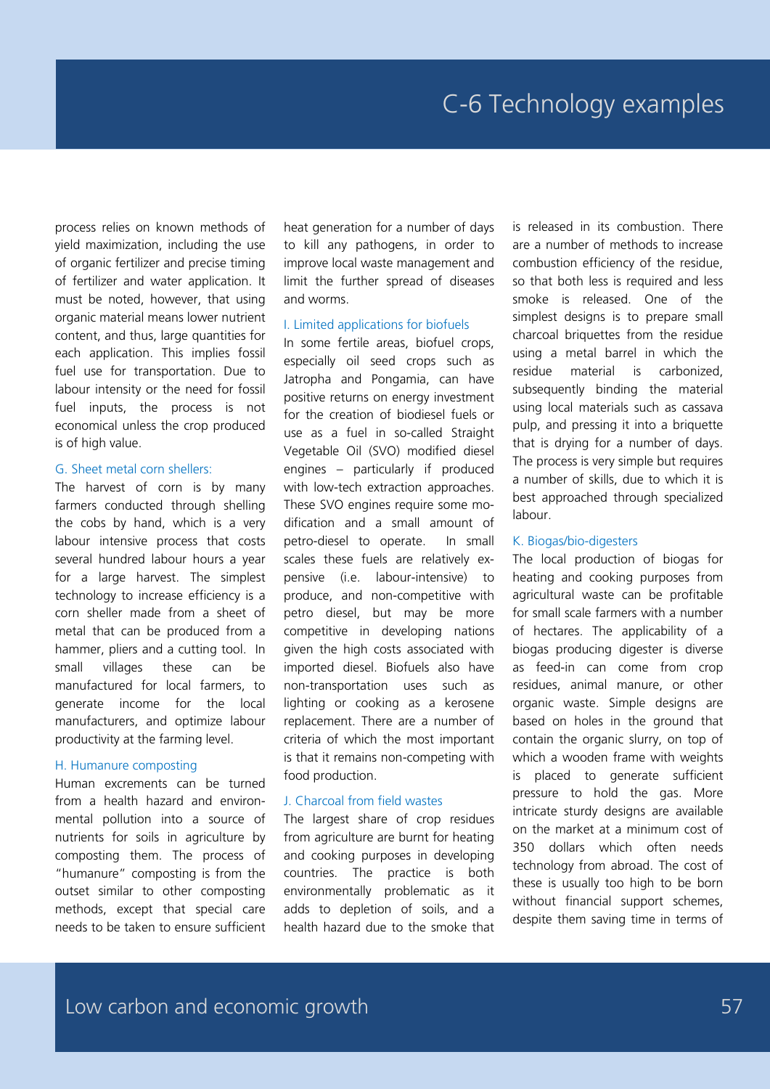process relies on known methods of yield maximization, including the use of organic fertilizer and precise timing of fertilizer and water application. It must be noted, however, that using organic material means lower nutrient content, and thus, large quantities for each application. This implies fossil fuel use for transportation. Due to labour intensity or the need for fossil fuel inputs, the process is not economical unless the crop produced is of high value.

#### G. Sheet metal corn shellers:

The harvest of corn is by many farmers conducted through shelling the cobs by hand, which is a very labour intensive process that costs several hundred labour hours a year for a large harvest. The simplest technology to increase efficiency is a corn sheller made from a sheet of metal that can be produced from a hammer, pliers and a cutting tool. In small villages these can be manufactured for local farmers, to generate income for the local manufacturers, and optimize labour productivity at the farming level.

#### H. Humanure composting

Human excrements can be turned from a health hazard and environmental pollution into a source of nutrients for soils in agriculture by composting them. The process of "humanure" composting is from the outset similar to other composting methods, except that special care needs to be taken to ensure sufficient

heat generation for a number of days to kill any pathogens, in order to improve local waste management and limit the further spread of diseases and worms.

#### I. Limited applications for biofuels

In some fertile areas, biofuel crops, especially oil seed crops such as Jatropha and Pongamia, can have positive returns on energy investment for the creation of biodiesel fuels or use as a fuel in so-called Straight Vegetable Oil (SVO) modified diesel engines – particularly if produced with low-tech extraction approaches. These SVO engines require some modification and a small amount of petro-diesel to operate. In small scales these fuels are relatively expensive (i.e. labour-intensive) to produce, and non-competitive with petro diesel, but may be more competitive in developing nations given the high costs associated with imported diesel. Biofuels also have non-transportation uses such as lighting or cooking as a kerosene replacement. There are a number of criteria of which the most important is that it remains non-competing with food production.

#### J. Charcoal from field wastes

The largest share of crop residues from agriculture are burnt for heating and cooking purposes in developing countries. The practice is both environmentally problematic as it adds to depletion of soils, and a health hazard due to the smoke that

is released in its combustion. There are a number of methods to increase combustion efficiency of the residue, so that both less is required and less smoke is released. One of the simplest designs is to prepare small charcoal briquettes from the residue using a metal barrel in which the residue material is carbonized, subsequently binding the material using local materials such as cassava pulp, and pressing it into a briquette that is drying for a number of days. The process is very simple but requires a number of skills, due to which it is best approached through specialized labour.

#### K. Biogas/bio-digesters

The local production of biogas for heating and cooking purposes from agricultural waste can be profitable for small scale farmers with a number of hectares. The applicability of a biogas producing digester is diverse as feed-in can come from crop residues, animal manure, or other organic waste. Simple designs are based on holes in the ground that contain the organic slurry, on top of which a wooden frame with weights is placed to generate sufficient pressure to hold the gas. More intricate sturdy designs are available on the market at a minimum cost of 350 dollars which often needs technology from abroad. The cost of these is usually too high to be born without financial support schemes, despite them saving time in terms of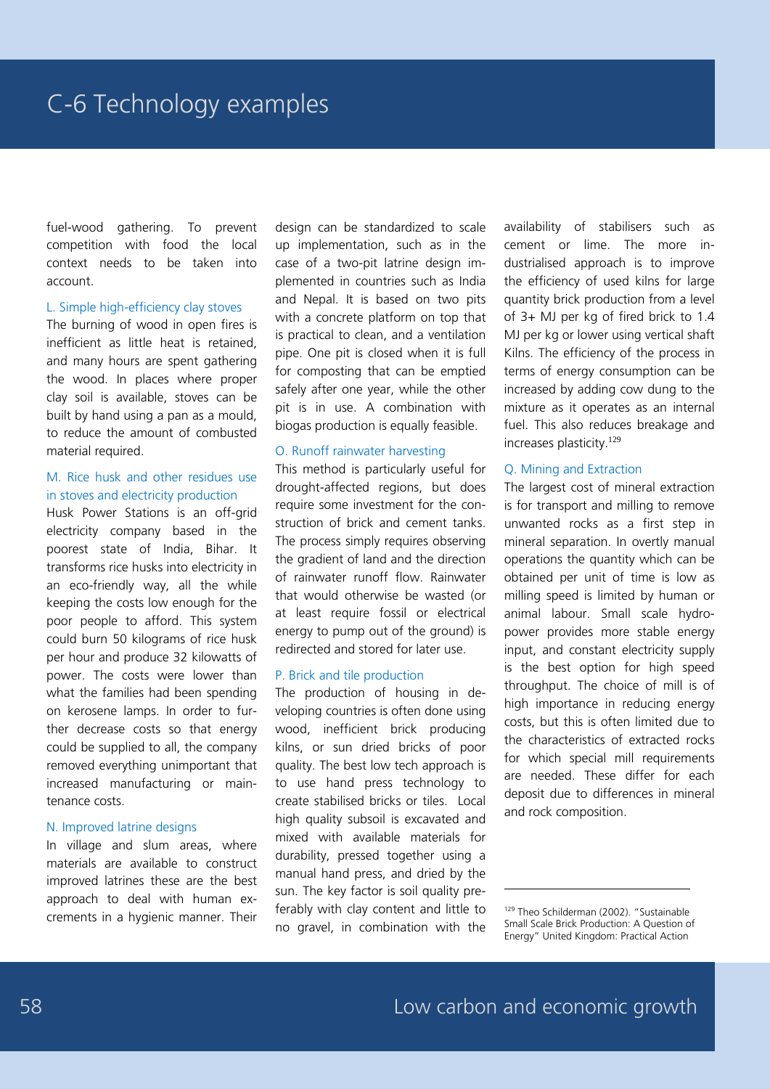fuel-wood gathering. To prevent competition with food the local context needs to be taken into account.

#### L. Simple high-efficiency clay stoves

The burning of wood in open fires is inefficient as little heat is retained, and many hours are spent gathering the wood. In places where proper clay soil is available, stoves can be built by hand using a pan as a mould, to reduce the amount of combusted material required.

#### M. Rice husk and other residues use in stoves and electricity production

Husk Power Stations is an off-grid electricity company based in the poorest state of India, Bihar. It transforms rice husks into electricity in an eco-friendly way, all the while keeping the costs low enough for the poor people to afford. This system could burn 50 kilograms of rice husk per hour and produce 32 kilowatts of power. The costs were lower than what the families had been spending on kerosene lamps. In order to further decrease costs so that energy could be supplied to all, the company removed everything unimportant that increased manufacturing or maintenance costs.

#### N. Improved latrine designs

In village and slum areas, where materials are available to construct improved latrines these are the best approach to deal with human excrements in a hygienic manner. Their design can be standardized to scale up implementation, such as in the case of a two-pit latrine design implemented in countries such as India and Nepal. It is based on two pits with a concrete platform on top that is practical to clean, and a ventilation pipe. One pit is closed when it is full for composting that can be emptied safely after one year, while the other pit is in use. A combination with biogas production is equally feasible.

#### O. Runoff rainwater harvesting

This method is particularly useful for drought-affected regions, but does require some investment for the construction of brick and cement tanks. The process simply requires observing the gradient of land and the direction of rainwater runoff flow. Rainwater that would otherwise be wasted (or at least require fossil or electrical energy to pump out of the ground) is redirected and stored for later use.

#### P. Brick and tile production

The production of housing in developing countries is often done using wood, inefficient brick producing kilns, or sun dried bricks of poor quality. The best low tech approach is to use hand press technology to create stabilised bricks or tiles. Local high quality subsoil is excavated and mixed with available materials for durability, pressed together using a manual hand press, and dried by the sun. The key factor is soil quality preferably with clay content and little to no gravel, in combination with the availability of stabilisers such as cement or lime. The more industrialised approach is to improve the efficiency of used kilns for large quantity brick production from a level of 3+ MJ per kg of fired brick to 1.4 MJ per kg or lower using vertical shaft Kilns. The efficiency of the process in terms of energy consumption can be increased by adding cow dung to the mixture as it operates as an internal fuel. This also reduces breakage and increases plasticity.<sup>129</sup>

#### Q. Mining and Extraction

The largest cost of mineral extraction is for transport and milling to remove unwanted rocks as a first step in mineral separation. In overtly manual operations the quantity which can be obtained per unit of time is low as milling speed is limited by human or animal labour. Small scale hydropower provides more stable energy input, and constant electricity supply is the best option for high speed throughput. The choice of mill is of high importance in reducing energy costs, but this is often limited due to the characteristics of extracted rocks for which special mill requirements are needed. These differ for each deposit due to differences in mineral and rock composition.

<sup>&</sup>lt;sup>129</sup> Theo Schilderman (2002). "Sustainable Small Scale Brick Production: A Question of Energy" United Kingdom: Practical Action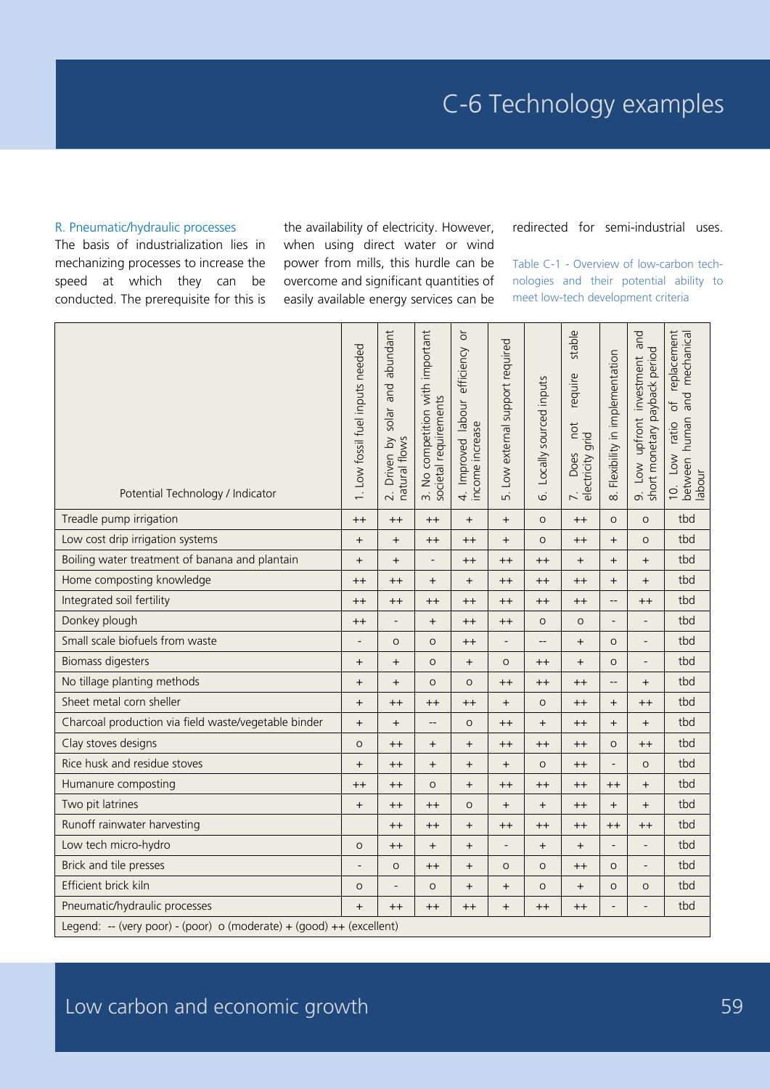#### R. Pneumatic/hydraulic processes

The basis of industrialization lies in mechanizing processes to increase the speed at which they can be conducted. The prerequisite for this is

the availability of electricity. However, when using direct water or wind power from mills, this hurdle can be overcome and significant quantities of easily available energy services can be

#### redirected for semi-industrial uses.

Table C-1 - Overview of low-carbon technologies and their potential ability to meet low-tech development criteria

| Potential Technology / Indicator                     | 1. Low fossil fuel inputs needed | and abundant<br>solar<br>2. Driven by :<br>natural flows | 3. No competition with important<br>societal requirements | ŏ<br>4. Improved labour efficiency<br>income increase | 5. Low external support required | Locally sourced inputs<br>$\dot{\circ}$ | stable<br>require<br>not<br>7. Does no<br>electricity grid | Flexibility in implementation<br>$\infty$                            | and<br>9. Low upfront investment a<br>short monetary payback period | replacement<br>and mechanical<br>$\overline{\sigma}$<br>between human<br>Low ratio<br>labour<br>$\overline{10}$ |  |  |  |  |  |  |  |  |
|------------------------------------------------------|----------------------------------|----------------------------------------------------------|-----------------------------------------------------------|-------------------------------------------------------|----------------------------------|-----------------------------------------|------------------------------------------------------------|----------------------------------------------------------------------|---------------------------------------------------------------------|-----------------------------------------------------------------------------------------------------------------|--|--|--|--|--|--|--|--|
| Treadle pump irrigation                              | $^{++}$                          | $++$                                                     | $++$                                                      | $\ddot{}$                                             | $\ddot{}$                        | $\circ$                                 | $++$                                                       | $\circ$                                                              | $\circ$                                                             | tbd                                                                                                             |  |  |  |  |  |  |  |  |
| Low cost drip irrigation systems                     | $\! + \!$                        | $+$                                                      | $++$                                                      | $^{++}$                                               | $\ddot{}$                        | $\circ$                                 | $++$                                                       | $\qquad \qquad +$                                                    | $\circ$                                                             | tbd                                                                                                             |  |  |  |  |  |  |  |  |
| Boiling water treatment of banana and plantain       | $\ddot{}$                        | $+$                                                      | $\overline{a}$                                            | $^{++}$                                               | $++$                             | $++$                                    | $+$                                                        | $\ddot{}$                                                            | $+$                                                                 | tbd                                                                                                             |  |  |  |  |  |  |  |  |
| Home composting knowledge                            | $^{++}$                          | $^{++}$                                                  | $+$                                                       | $\ddot{}$                                             | $++$                             | $++$                                    | $++$                                                       | $\ddot{}$                                                            | $+$                                                                 | tbd                                                                                                             |  |  |  |  |  |  |  |  |
| Integrated soil fertility                            | $++$                             | $^{++}$                                                  | $++$                                                      | $^{++}$                                               | $++$                             | $++$                                    | $+$                                                        | $\overline{a}$                                                       | $++$                                                                | tbd                                                                                                             |  |  |  |  |  |  |  |  |
| Donkey plough                                        | $++$                             | $\overline{\phantom{a}}$                                 | $+$                                                       | $^{++}$                                               | $++$                             | $\circ$                                 | $\circ$                                                    | $\overline{a}$                                                       | $\qquad \qquad -$                                                   | tbd                                                                                                             |  |  |  |  |  |  |  |  |
| Small scale biofuels from waste                      | $\overline{\phantom{0}}$         | $\circ$                                                  | $\circ$                                                   | $^{++}$                                               | $\overline{a}$                   | $-\, -$                                 | $\ddot{}$                                                  | $\circ$                                                              | $\overline{a}$                                                      | tbd                                                                                                             |  |  |  |  |  |  |  |  |
| <b>Biomass digesters</b>                             | $\ddot{}$                        | $+$                                                      | $\circ$                                                   | $\ddot{}$                                             | $\circ$                          | $++$                                    | $\qquad \qquad +$                                          | $\circ$                                                              | $\overline{a}$                                                      | tbd                                                                                                             |  |  |  |  |  |  |  |  |
| No tillage planting methods                          | $^{+}$                           | $+$                                                      | $\circ$                                                   | $\circ$                                               | $++$                             | $++$                                    | $++$                                                       | $\qquad \qquad -$                                                    | $+$                                                                 | tbd                                                                                                             |  |  |  |  |  |  |  |  |
| Sheet metal corn sheller                             | $\ddot{}$                        | $^{++}$                                                  | $^{++}$                                                   | $^{++}$                                               | $^{+}$                           | $\circ$                                 | $++$                                                       | $+$                                                                  | $++$                                                                | tbd                                                                                                             |  |  |  |  |  |  |  |  |
| Charcoal production via field waste/vegetable binder | $\ddot{}$                        | $+$                                                      | $\overline{\phantom{a}}$                                  | $\circ$                                               | $++$                             | $+$                                     | $++$                                                       | $\ddot{}$                                                            | $+$                                                                 | tbd                                                                                                             |  |  |  |  |  |  |  |  |
| Clay stoves designs                                  | $\circ$                          | $^{++}$                                                  | $\begin{array}{c} + \end{array}$                          | $\ddot{}$                                             | $++$                             | $++$                                    | $+$                                                        | $\circ$                                                              | $++$                                                                | tbd                                                                                                             |  |  |  |  |  |  |  |  |
| Rice husk and residue stoves                         | $+$                              | $^{++}$                                                  | $+$                                                       | $+$                                                   | $+$                              | $\circ$                                 | $++$                                                       |                                                                      | $\circ$                                                             | tbd                                                                                                             |  |  |  |  |  |  |  |  |
| Humanure composting                                  | $^{++}$                          | $^{++}$                                                  | $\circ$                                                   | $+$                                                   | $++$                             | $++$                                    | $++$                                                       | $++$                                                                 | $+$                                                                 | tbd                                                                                                             |  |  |  |  |  |  |  |  |
| Two pit latrines                                     | $+$                              | $^{++}$                                                  | $^{++}$                                                   | $\circ$                                               | $+$                              | $+$                                     | $++$                                                       | $+$                                                                  | $+$                                                                 | tbd                                                                                                             |  |  |  |  |  |  |  |  |
| Runoff rainwater harvesting                          |                                  | $++$                                                     | $++$                                                      | $+$                                                   | $++$                             | $^{++}$                                 | $++$                                                       | $++$                                                                 | $++$                                                                | tbd                                                                                                             |  |  |  |  |  |  |  |  |
| Low tech micro-hydro                                 | $\circ$                          | $^{++}$                                                  | $+$                                                       | $+$                                                   | $\overline{a}$                   | $+$                                     | $\ddot{}$                                                  |                                                                      | $\overline{\phantom{0}}$                                            | tbd                                                                                                             |  |  |  |  |  |  |  |  |
| Brick and tile presses                               | $\overline{a}$                   | $\circ$                                                  | $++$                                                      | $\ddot{}$                                             | $\circ$                          | $\circ$                                 | $++$                                                       | $\circ$                                                              | $\overline{\phantom{m}}$                                            | tbd                                                                                                             |  |  |  |  |  |  |  |  |
| Efficient brick kiln                                 | $\circ$                          |                                                          | $\circ$                                                   | $+$                                                   | $\ddot{}$                        | $\circ$                                 | $\ddot{}$                                                  | $\circ$                                                              | $\circ$                                                             | tbd                                                                                                             |  |  |  |  |  |  |  |  |
| Pneumatic/hydraulic processes                        | $+$                              | $^{++}$                                                  | $++$                                                      | $++$                                                  | $\ddot{}$                        | $^{++}$                                 | $++$                                                       |                                                                      | $\overline{a}$                                                      | tbd                                                                                                             |  |  |  |  |  |  |  |  |
|                                                      |                                  |                                                          |                                                           |                                                       |                                  |                                         |                                                            | Legend: -- (very poor) - (poor) o (moderate) + (good) ++ (excellent) |                                                                     |                                                                                                                 |  |  |  |  |  |  |  |  |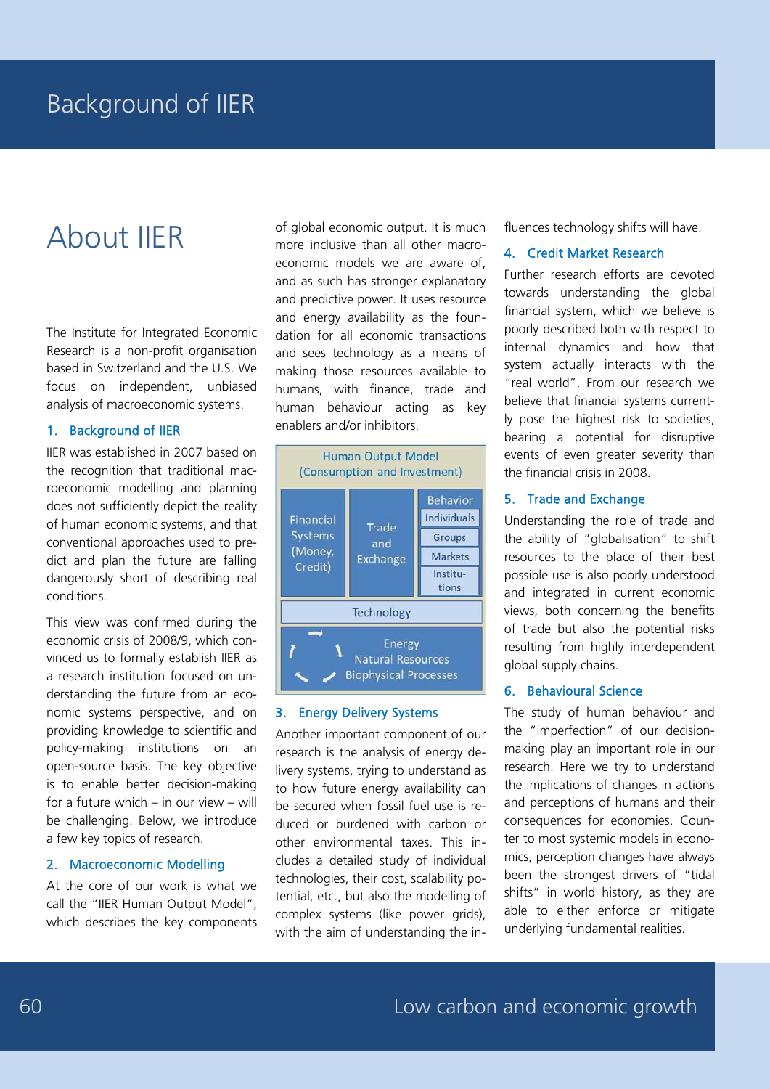# About IIER

The Institute for Integrated Economic Research is a non-profit organisation based in Switzerland and the U.S. We focus on independent, unbiased analysis of macroeconomic systems.

#### 1. Background of IIER

IIER was established in 2007 based on the recognition that traditional macroeconomic modelling and planning does not sufficiently depict the reality of human economic systems, and that conventional approaches used to predict and plan the future are falling dangerously short of describing real conditions.

This view was confirmed during the economic crisis of 2008/9, which convinced us to formally establish IIER as a research institution focused on understanding the future from an economic systems perspective, and on providing knowledge to scientific and policy-making institutions on an open-source basis. The key objective is to enable better decision-making for a future which – in our view – will be challenging. Below, we introduce a few key topics of research.

#### 2. Macroeconomic Modelling

At the core of our work is what we call the "IIER Human Output Model", which describes the key components of global economic output. It is much more inclusive than all other macroeconomic models we are aware of, and as such has stronger explanatory and predictive power. It uses resource and energy availability as the foundation for all economic transactions and sees technology as a means of making those resources available to humans, with finance, trade and human behaviour acting as key enablers and/or inhibitors.



#### 3. Energy Delivery Systems

Another important component of our research is the analysis of energy delivery systems, trying to understand as to how future energy availability can be secured when fossil fuel use is reduced or burdened with carbon or other environmental taxes. This includes a detailed study of individual technologies, their cost, scalability potential, etc., but also the modelling of complex systems (like power grids), with the aim of understanding the influences technology shifts will have.

#### 4. Credit Market Research

Further research efforts are devoted towards understanding the global financial system, which we believe is poorly described both with respect to internal dynamics and how that system actually interacts with the "real world". From our research we believe that financial systems currently pose the highest risk to societies, bearing a potential for disruptive events of even greater severity than the financial crisis in 2008.

#### 5. Trade and Exchange

Understanding the role of trade and the ability of "globalisation" to shift resources to the place of their best possible use is also poorly understood and integrated in current economic views, both concerning the benefits of trade but also the potential risks resulting from highly interdependent global supply chains.

#### 6. Behavioural Science

The study of human behaviour and the "imperfection" of our decisionmaking play an important role in our research. Here we try to understand the implications of changes in actions and perceptions of humans and their consequences for economies. Counter to most systemic models in economics, perception changes have always been the strongest drivers of "tidal shifts" in world history, as they are able to either enforce or mitigate underlying fundamental realities.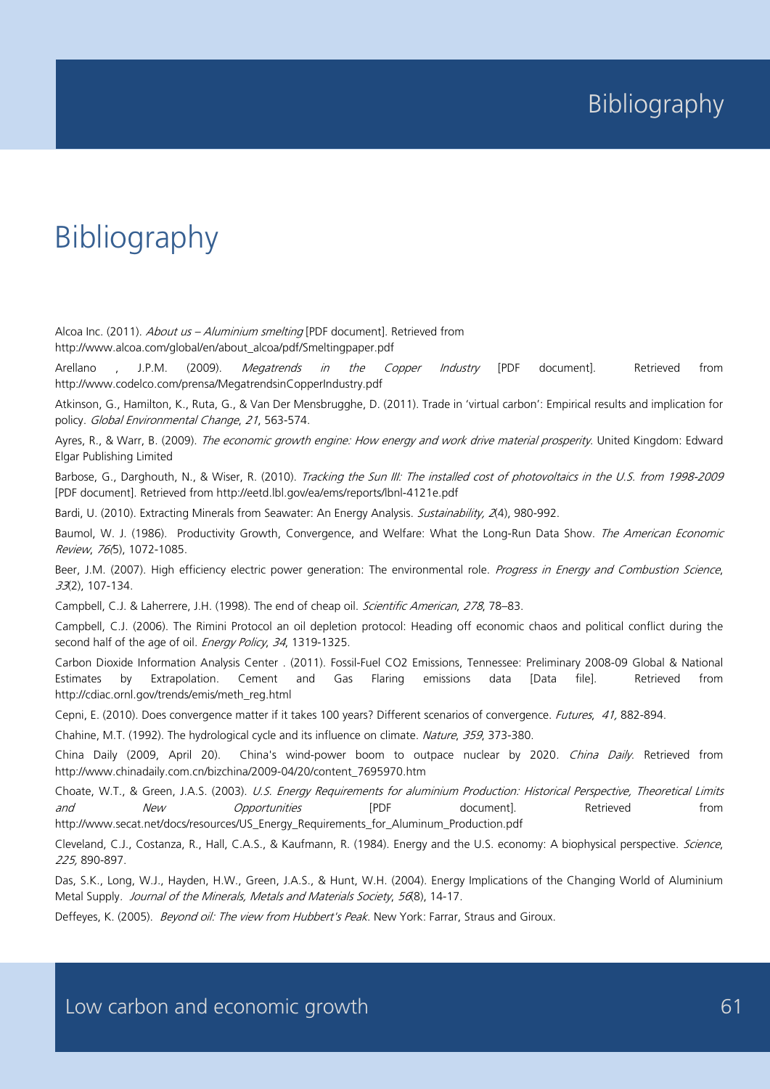# Bibliography

Alcoa Inc. (2011). About us - Aluminium smelting [PDF document]. Retrieved from http://www.alcoa.com/global/en/about\_alcoa/pdf/Smeltingpaper.pdf

Arellano , J.P.M. (2009). *Megatrends in the Copper Industry* [PDF document]. Retrieved from http://www.codelco.com/prensa/MegatrendsinCopperIndustry.pdf

Atkinson, G., Hamilton, K., Ruta, G., & Van Der Mensbrugghe, D. (2011). Trade in 'virtual carbon': Empirical results and implication for policy. Global Environmental Change, 21, 563-574.

Ayres, R., & Warr, B. (2009). The economic growth engine: How energy and work drive material prosperity. United Kingdom: Edward Elgar Publishing Limited

Barbose, G., Darghouth, N., & Wiser, R. (2010). Tracking the Sun III: The installed cost of photovoltaics in the U.S. from 1998-2009 [PDF document]. Retrieved from http://eetd.lbl.gov/ea/ems/reports/lbnl-4121e.pdf

Bardi, U. (2010). Extracting Minerals from Seawater: An Energy Analysis. Sustainability, 2(4), 980-992.

Baumol, W. J. (1986). Productivity Growth, Convergence, and Welfare: What the Long-Run Data Show. The American Economic Review, 76(5), 1072-1085.

Beer, J.M. (2007). High efficiency electric power generation: The environmental role. Progress in Energy and Combustion Science, 33(2), 107-134.

Campbell, C.J. & Laherrere, J.H. (1998). The end of cheap oil. Scientific American, 278, 78-83.

Campbell, C.J. (2006). The Rimini Protocol an oil depletion protocol: Heading off economic chaos and political conflict during the second half of the age of oil. Energy Policy, 34, 1319-1325.

Carbon Dioxide Information Analysis Center . (2011). Fossil-Fuel CO2 Emissions, Tennessee: Preliminary 2008-09 Global & National Estimates by Extrapolation. Cement and Gas Flaring emissions data [Data file]. Retrieved from http://cdiac.ornl.gov/trends/emis/meth\_reg.html

Cepni, E. (2010). Does convergence matter if it takes 100 years? Different scenarios of convergence. Futures, 41, 882-894.

Chahine, M.T. (1992). The hydrological cycle and its influence on climate. Nature, 359, 373-380.

China Daily (2009, April 20). China's wind-power boom to outpace nuclear by 2020. China Daily. Retrieved from http://www.chinadaily.com.cn/bizchina/2009-04/20/content\_7695970.htm

Choate, W.T., & Green, J.A.S. (2003). U.S. Energy Requirements for aluminium Production: Historical Perspective, Theoretical Limits *and New Opportunities* [PDF document]. Retrieved from http://www.secat.net/docs/resources/US\_Energy\_Requirements\_for\_Aluminum\_Production.pdf

Cleveland, C.J., Costanza, R., Hall, C.A.S., & Kaufmann, R. (1984). Energy and the U.S. economy: A biophysical perspective. Science, 225, 890-897.

Das, S.K., Long, W.J., Hayden, H.W., Green, J.A.S., & Hunt, W.H. (2004). Energy Implications of the Changing World of Aluminium Metal Supply. Journal of the Minerals, Metals and Materials Society, 56(8), 14-17.

Deffeyes, K. (2005). Beyond oil: The view from Hubbert's Peak. New York: Farrar, Straus and Giroux.

Low carbon and economic growth **61** and  $\overline{61}$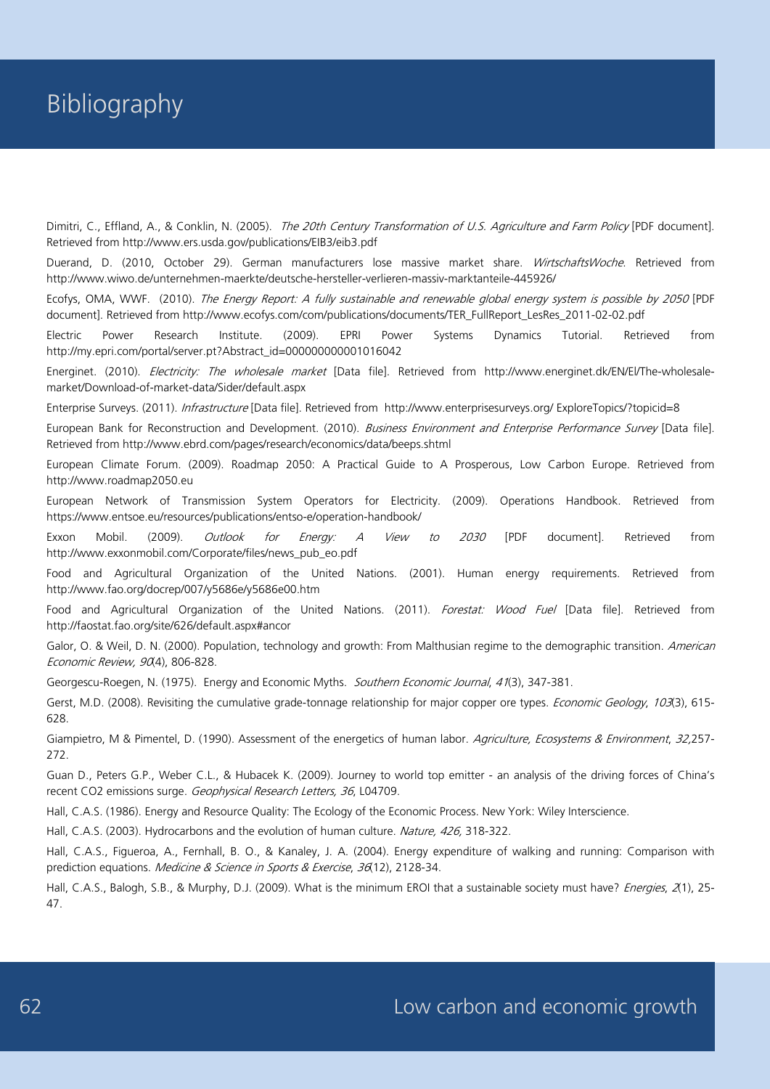Dimitri, C., Effland, A., & Conklin, N. (2005). The 20th Century Transformation of U.S. Agriculture and Farm Policy [PDF document]. Retrieved from http://www.ers.usda.gov/publications/EIB3/eib3.pdf

Duerand, D. (2010, October 29). German manufacturers lose massive market share. WirtschaftsWoche. Retrieved from http://www.wiwo.de/unternehmen-maerkte/deutsche-hersteller-verlieren-massiv-marktanteile-445926/

Ecofys, OMA, WWF. (2010). The Energy Report: A fully sustainable and renewable global energy system is possible by 2050 [PDF document]. Retrieved from http://www.ecofys.com/com/publications/documents/TER\_FullReport\_LesRes\_2011-02-02.pdf

Electric Power Research Institute. (2009). EPRI Power Systems Dynamics Tutorial. Retrieved from http://my.epri.com/portal/server.pt?Abstract\_id=000000000001016042

Energinet. (2010). *Electricity: The wholesale market* [Data file]. Retrieved from http://www.energinet.dk/EN/El/The-wholesalemarket/Download-of-market-data/Sider/default.aspx

Enterprise Surveys. (2011). Infrastructure [Data file]. Retrieved from http://www.enterprisesurveys.org/ ExploreTopics/?topicid=8

European Bank for Reconstruction and Development. (2010). Business Environment and Enterprise Performance Survey [Data file]. Retrieved from http://www.ebrd.com/pages/research/economics/data/beeps.shtml

European Climate Forum. (2009). Roadmap 2050: A Practical Guide to A Prosperous, Low Carbon Europe. Retrieved from http://www.roadmap2050.eu

European Network of Transmission System Operators for Electricity. (2009). Operations Handbook. Retrieved from https://www.entsoe.eu/resources/publications/entso-e/operation-handbook/

Exxon Mobil. (2009). *Outlook for Energy: A View to 2030* [PDF document]. Retrieved from http://www.exxonmobil.com/Corporate/files/news\_pub\_eo.pdf

Food and Agricultural Organization of the United Nations. (2001). Human energy requirements. Retrieved from http://www.fao.org/docrep/007/y5686e/y5686e00.htm

Food and Agricultural Organization of the United Nations. (2011). Forestat: Wood Fuel [Data file]. Retrieved from http://faostat.fao.org/site/626/default.aspx#ancor

Galor, O. & Weil, D. N. (2000). Population, technology and growth: From Malthusian regime to the demographic transition. American Economic Review, 90(4), 806-828.

Georgescu-Roegen, N. (1975). Energy and Economic Myths. Southern Economic Journal, 41(3), 347-381.

Gerst, M.D. (2008). Revisiting the cumulative grade-tonnage relationship for major copper ore types. *Economic Geology, 103*(3), 615-628.

Giampietro, M & Pimentel, D. (1990). Assessment of the energetics of human labor. Agriculture, Ecosystems & Environment, 32,257-272.

Guan D., Peters G.P., Weber C.L., & Hubacek K. (2009). Journey to world top emitter - an analysis of the driving forces of China's recent CO2 emissions surge. Geophysical Research Letters, 36, L04709.

Hall, C.A.S. (1986). Energy and Resource Quality: The Ecology of the Economic Process. New York: Wiley Interscience.

Hall, C.A.S. (2003). Hydrocarbons and the evolution of human culture. Nature, 426, 318-322.

Hall, C.A.S., Figueroa, A., Fernhall, B. O., & Kanaley, J. A. (2004). Energy expenditure of walking and running: Comparison with prediction equations. Medicine & Science in Sports & Exercise, 36(12), 2128-34.

Hall, C.A.S., Balogh, S.B., & Murphy, D.J. (2009). What is the minimum EROI that a sustainable society must have? Energies, 2(1), 25-47.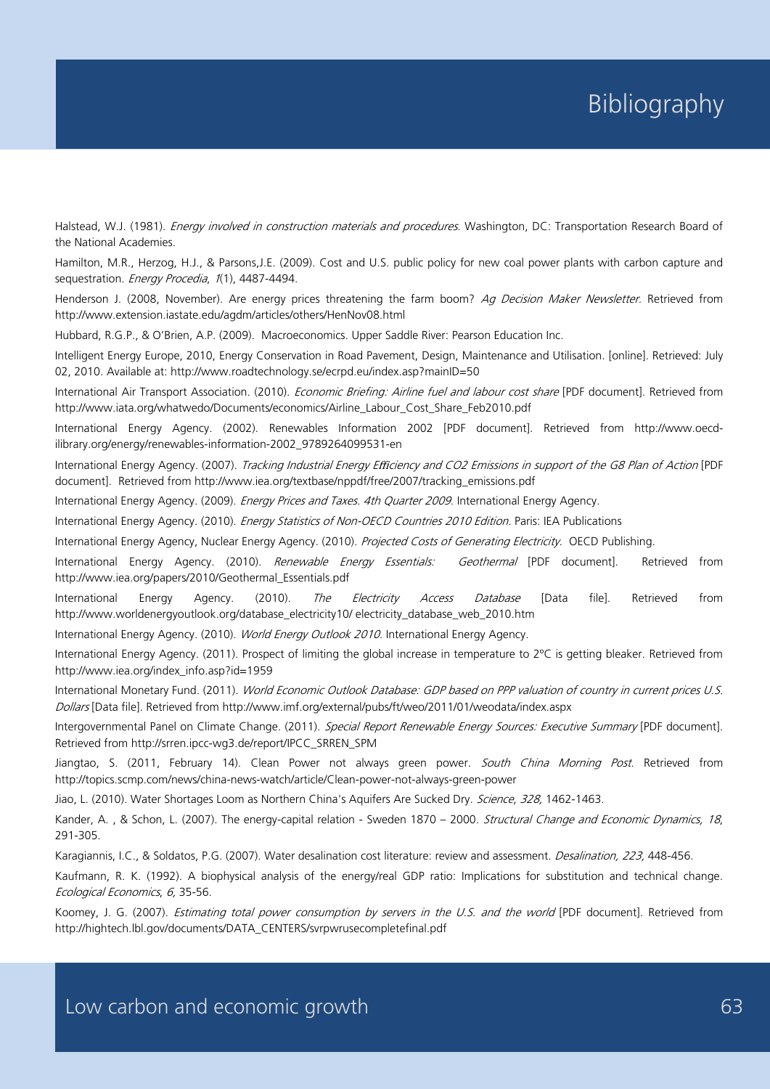Halstead, W.J. (1981). *Energy involved in construction materials and procedures*. Washington, DC: Transportation Research Board of the National Academies.

Hamilton, M.R., Herzog, H.J., & Parsons,J.E. (2009). Cost and U.S. public policy for new coal power plants with carbon capture and sequestration. Energy Procedia, 1(1), 4487-4494.

Henderson J. (2008, November). Are energy prices threatening the farm boom? Ag Decision Maker Newsletter. Retrieved from http://www.extension.iastate.edu/agdm/articles/others/HenNov08.html

Hubbard, R.G.P., & O'Brien, A.P. (2009). Macroeconomics. Upper Saddle River: Pearson Education Inc.

Intelligent Energy Europe, 2010, Energy Conservation in Road Pavement, Design, Maintenance and Utilisation. [online]. Retrieved: July 02, 2010. Available at: http://www.roadtechnology.se/ecrpd.eu/index.asp?mainID=50

International Air Transport Association. (2010). *Economic Briefing: Airline fuel and labour cost share* [PDF document]. Retrieved from http://www.iata.org/whatwedo/Documents/economics/Airline\_Labour\_Cost\_Share\_Feb2010.pdf

International Energy Agency. (2002). Renewables Information 2002 [PDF document]. Retrieved from http://www.oecdilibrary.org/energy/renewables-information-2002\_9789264099531-en

International Energy Agency. (2007). Tracking Industrial Energy Efficiency and CO2 Emissions in support of the G8 Plan of Action [PDF document]. Retrieved from http://www.iea.org/textbase/nppdf/free/2007/tracking\_emissions.pdf

International Energy Agency. (2009). Energy Prices and Taxes. 4th Quarter 2009. International Energy Agency.

International Energy Agency. (2010). Energy Statistics of Non-OECD Countries 2010 Edition. Paris: IEA Publications

International Energy Agency, Nuclear Energy Agency. (2010). Projected Costs of Generating Electricity. OECD Publishing.

International Energy Agency. (2010). Renewable Energy Essentials: Geothermal [PDF document]. Retrieved from http://www.iea.org/papers/2010/Geothermal\_Essentials.pdf

International Energy Agency. (2010). *The Electricity Access Database* [Data file]. Retrieved from http://www.worldenergyoutlook.org/database\_electricity10/ electricity\_database\_web\_2010.htm

International Energy Agency. (2010). World Energy Outlook 2010. International Energy Agency.

International Energy Agency. (2011). Prospect of limiting the global increase in temperature to 2ºC is getting bleaker. Retrieved from http://www.iea.org/index\_info.asp?id=1959

International Monetary Fund. (2011). World Economic Outlook Database: GDP based on PPP valuation of country in current prices U.S. Dollars [Data file]. Retrieved from http://www.imf.org/external/pubs/ft/weo/2011/01/weodata/index.aspx

Intergovernmental Panel on Climate Change. (2011). Special Report Renewable Energy Sources: Executive Summary [PDF document]. Retrieved from http://srren.ipcc-wg3.de/report/IPCC\_SRREN\_SPM

Jiangtao, S. (2011, February 14). Clean Power not always green power. South China Morning Post. Retrieved from http://topics.scmp.com/news/china-news-watch/article/Clean-power-not-always-green-power

Jiao, L. (2010). Water Shortages Loom as Northern China's Aquifers Are Sucked Dry. Science, 328, 1462-1463.

Kander, A., & Schon, L. (2007). The energy-capital relation - Sweden 1870 – 2000. Structural Change and Economic Dynamics, 18, 291-305.

Karagiannis, I.C., & Soldatos, P.G. (2007). Water desalination cost literature: review and assessment. *Desalination, 223,* 448-456.

Kaufmann, R. K. (1992). A biophysical analysis of the energy/real GDP ratio: Implications for substitution and technical change. Ecological Economics, 6, 35-56.

Koomey, J. G. (2007). Estimating total power consumption by servers in the U.S. and the world [PDF document]. Retrieved from http://hightech.lbl.gov/documents/DATA\_CENTERS/svrpwrusecompletefinal.pdf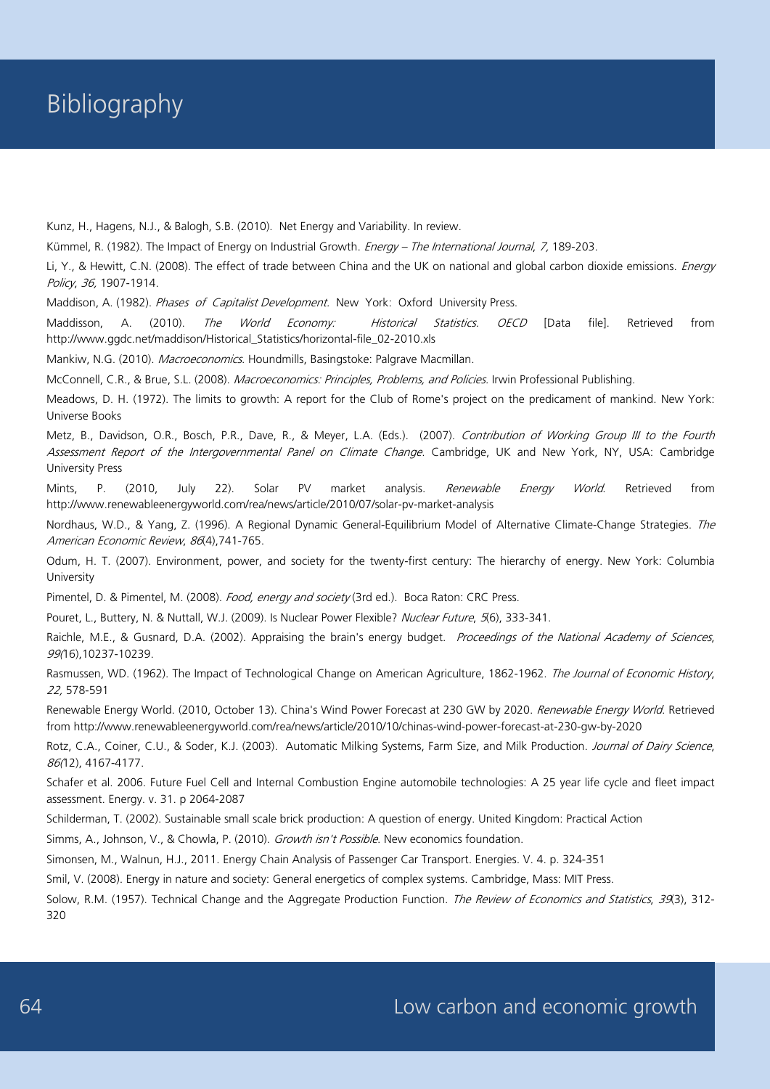Kunz, H., Hagens, N.J., & Balogh, S.B. (2010). Net Energy and Variability. In review.

Kümmel, R. (1982). The Impact of Energy on Industrial Growth. Energy - The International Journal, 7, 189-203.

Li, Y., & Hewitt, C.N. (2008). The effect of trade between China and the UK on national and global carbon dioxide emissions. Energy Policy, 36, 1907-1914.

Maddison, A. (1982). Phases of Capitalist Development. New York: Oxford University Press.

Maddisson, A. (2010). The World Economy: Historical Statistics. OECD [Data file]. Retrieved from http://www.ggdc.net/maddison/Historical\_Statistics/horizontal-file\_02-2010.xls

Mankiw, N.G. (2010). Macroeconomics. Houndmills, Basingstoke: Palgrave Macmillan.

McConnell, C.R., & Brue, S.L. (2008). Macroeconomics: Principles, Problems, and Policies. Irwin Professional Publishing.

Meadows, D. H. (1972). The limits to growth: A report for the Club of Rome's project on the predicament of mankind. New York: Universe Books

Metz, B., Davidson, O.R., Bosch, P.R., Dave, R., & Meyer, L.A. (Eds.). (2007). Contribution of Working Group III to the Fourth Assessment Report of the Intergovernmental Panel on Climate Change. Cambridge, UK and New York, NY, USA: Cambridge University Press

Mints, P. (2010, July 22). Solar PV market analysis. *Renewable Energy World*. Retrieved from http://www.renewableenergyworld.com/rea/news/article/2010/07/solar-pv-market-analysis

Nordhaus, W.D., & Yang, Z. (1996). A Regional Dynamic General-Equilibrium Model of Alternative Climate-Change Strategies. The American Economic Review, 86(4),741-765.

Odum, H. T. (2007). Environment, power, and society for the twenty-first century: The hierarchy of energy. New York: Columbia University

Pimentel, D. & Pimentel, M. (2008). Food, energy and society (3rd ed.). Boca Raton: CRC Press.

Pouret, L., Buttery, N. & Nuttall, W.J. (2009). Is Nuclear Power Flexible? Nuclear Future, 5(6), 333-341.

Raichle, M.E., & Gusnard, D.A. (2002). Appraising the brain's energy budget. Proceedings of the National Academy of Sciences, 99(16),10237-10239.

Rasmussen, WD. (1962). The Impact of Technological Change on American Agriculture, 1862-1962. The Journal of Economic History, 22, 578-591

Renewable Energy World. (2010, October 13). China's Wind Power Forecast at 230 GW by 2020. Renewable Energy World. Retrieved from http://www.renewableenergyworld.com/rea/news/article/2010/10/chinas-wind-power-forecast-at-230-gw-by-2020

Rotz, C.A., Coiner, C.U., & Soder, K.J. (2003). Automatic Milking Systems, Farm Size, and Milk Production. Journal of Dairy Science, 86(12), 4167-4177.

Schafer et al. 2006. Future Fuel Cell and Internal Combustion Engine automobile technologies: A 25 year life cycle and fleet impact assessment. Energy. v. 31. p 2064-2087

Schilderman, T. (2002). Sustainable small scale brick production: A question of energy. United Kingdom: Practical Action

Simms, A., Johnson, V., & Chowla, P. (2010). Growth isn't Possible. New economics foundation.

Simonsen, M., Walnun, H.J., 2011. Energy Chain Analysis of Passenger Car Transport. Energies. V. 4. p. 324-351

Smil, V. (2008). Energy in nature and society: General energetics of complex systems. Cambridge, Mass: MIT Press.

Solow, R.M. (1957). Technical Change and the Aggregate Production Function. The Review of Economics and Statistics, 39(3), 312-320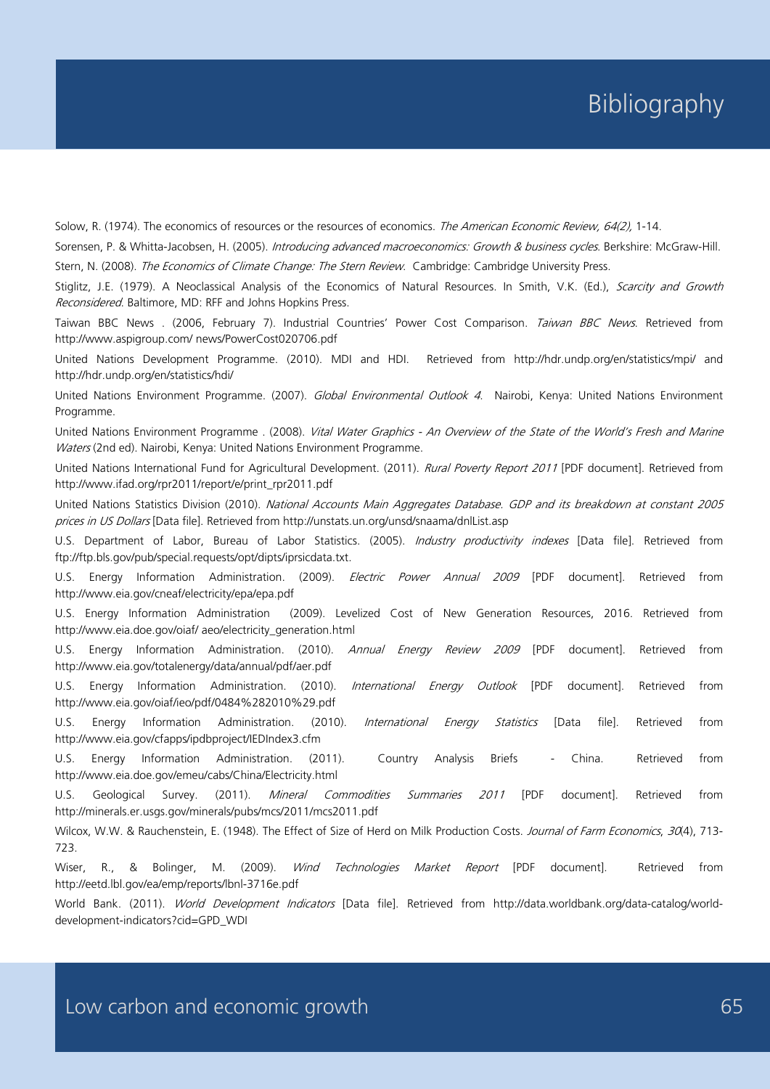Solow, R. (1974). The economics of resources or the resources of economics. The American Economic Review, 64(2), 1-14.

Sorensen, P. & Whitta-Jacobsen, H. (2005). Introducing advanced macroeconomics: Growth & business cycles. Berkshire: McGraw-Hill.

Stern, N. (2008). The Economics of Climate Change: The Stern Review. Cambridge: Cambridge University Press.

Stiglitz, J.E. (1979). A Neoclassical Analysis of the Economics of Natural Resources. In Smith, V.K. (Ed.), Scarcity and Growth Reconsidered. Baltimore, MD: RFF and Johns Hopkins Press.

Taiwan BBC News . (2006, February 7). Industrial Countries' Power Cost Comparison. Taiwan BBC News. Retrieved from http://www.aspigroup.com/ news/PowerCost020706.pdf

United Nations Development Programme. (2010). MDI and HDI. Retrieved from http://hdr.undp.org/en/statistics/mpi/ and http://hdr.undp.org/en/statistics/hdi/

United Nations Environment Programme. (2007). Global Environmental Outlook 4. Nairobi, Kenya: United Nations Environment Programme.

United Nations Environment Programme . (2008). Vital Water Graphics - An Overview of the State of the World's Fresh and Marine Waters (2nd ed). Nairobi, Kenya: United Nations Environment Programme.

United Nations International Fund for Agricultural Development. (2011). Rural Poverty Report 2011 [PDF document]. Retrieved from http://www.ifad.org/rpr2011/report/e/print\_rpr2011.pdf

United Nations Statistics Division (2010). National Accounts Main Aggregates Database. GDP and its breakdown at constant 2005 prices in US Dollars [Data file]. Retrieved from http://unstats.un.org/unsd/snaama/dnlList.asp

U.S. Department of Labor, Bureau of Labor Statistics. (2005). Industry productivity indexes [Data file]. Retrieved from ftp://ftp.bls.gov/pub/special.requests/opt/dipts/iprsicdata.txt.

U.S. Energy Information Administration. (2009). *Electric Power Annual 2009* [PDF document]. Retrieved from http://www.eia.gov/cneaf/electricity/epa/epa.pdf

U.S. Energy Information Administration (2009). Levelized Cost of New Generation Resources, 2016. Retrieved from http://www.eia.doe.gov/oiaf/ aeo/electricity\_generation.html

U.S. Energy Information Administration. (2010). Annual Energy Review 2009 [PDF document]. Retrieved from http://www.eia.gov/totalenergy/data/annual/pdf/aer.pdf

U.S. Energy Information Administration. (2010). International Energy Outlook [PDF document]. Retrieved from http://www.eia.gov/oiaf/ieo/pdf/0484%282010%29.pdf

U.S. Energy Information Administration. (2010). International Energy Statistics [Data file]. Retrieved from http://www.eia.gov/cfapps/ipdbproject/IEDIndex3.cfm

U.S. Energy Information Administration. (2011). Country Analysis Briefs - China. Retrieved from http://www.eia.doe.gov/emeu/cabs/China/Electricity.html

U.S. Geological Survey. (2011). *Mineral Commodities Summaries 2011* [PDF document]. Retrieved from http://minerals.er.usgs.gov/minerals/pubs/mcs/2011/mcs2011.pdf

Wilcox, W.W. & Rauchenstein, E. (1948). The Effect of Size of Herd on Milk Production Costs. Journal of Farm Economics, 30(4), 713-723.

Wiser, R., & Bolinger, M. (2009). Wind Technologies Market Report [PDF document]. Retrieved from http://eetd.lbl.gov/ea/emp/reports/lbnl-3716e.pdf

World Bank. (2011). World Development Indicators [Data file]. Retrieved from http://data.worldbank.org/data-catalog/worlddevelopment-indicators?cid=GPD\_WDI

Low carbon and economic growth example and the state of  $65$